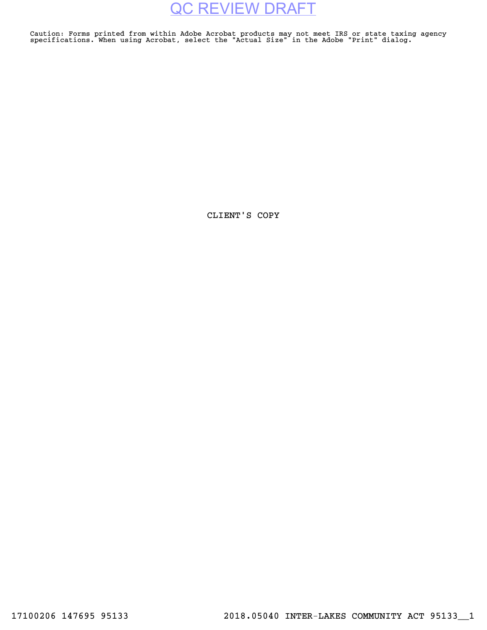Caution: Forms printed from within Adobe Acrobat products may not meet IRS or state taxing agency specifications. When using Acrobat, select the "Actual Size" in the Adobe "Print" dialog.

CLIENT'S COPY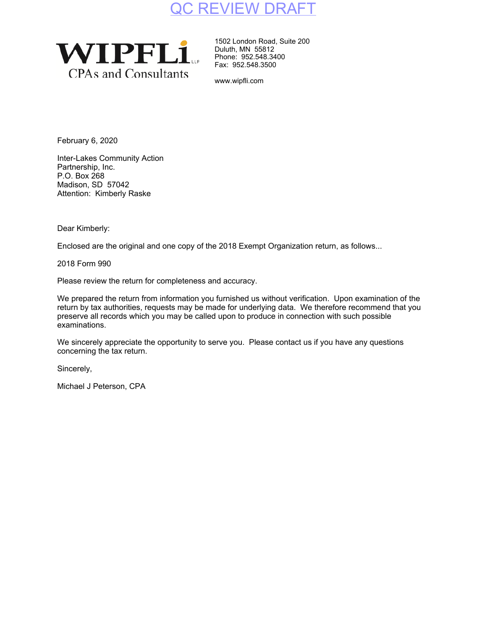

1502 London Road, Suite 200 Duluth, MN 55812 Phone: 952.548.3400 Fax: 952.548.3500

www.wipfli.com

February 6, 2020

Inter-Lakes Community Action Partnership, Inc. P.O. Box 268 Madison, SD 57042 Attention: Kimberly Raske

Dear Kimberly:

Enclosed are the original and one copy of the 2018 Exempt Organization return, as follows...

2018 Form 990

Please review the return for completeness and accuracy.

We prepared the return from information you furnished us without verification. Upon examination of the return by tax authorities, requests may be made for underlying data. We therefore recommend that you preserve all records which you may be called upon to produce in connection with such possible examinations.

We sincerely appreciate the opportunity to serve you. Please contact us if you have any questions concerning the tax return.

Sincerely,

Michael J Peterson, CPA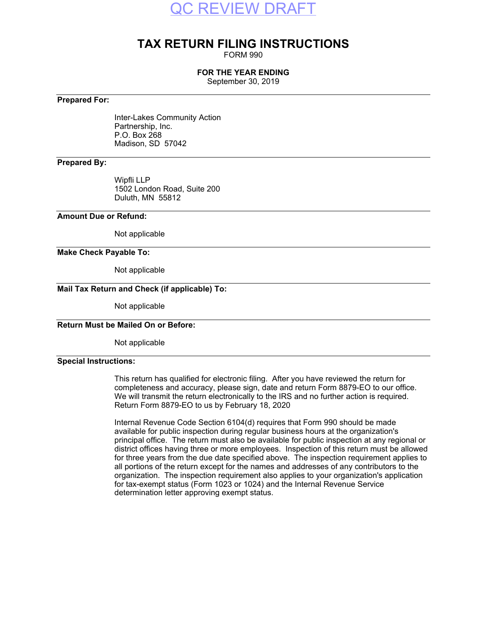

### **TAX RETURN FILING INSTRUCTIONS**

FORM 990

### **FOR THE YEAR ENDING**

September 30, 2019

### **Prepared For:**

Inter-Lakes Community Action Partnership, Inc. P.O. Box 268 Madison, SD 57042

### **Prepared By:**

Wipfli LLP 1502 London Road, Suite 200 Duluth, MN 55812

### **Amount Due or Refund:**

Not applicable

### **Make Check Payable To:**

Not applicable

### **Mail Tax Return and Check (if applicable) To:**

Not applicable

### **Return Must be Mailed On or Before:**

Not applicable

### **Special Instructions:**

This return has qualified for electronic filing. After you have reviewed the return for completeness and accuracy, please sign, date and return Form 8879-EO to our office. We will transmit the return electronically to the IRS and no further action is required. Return Form 8879-EO to us by February 18, 2020

Internal Revenue Code Section 6104(d) requires that Form 990 should be made available for public inspection during regular business hours at the organization's principal office. The return must also be available for public inspection at any regional or district offices having three or more employees. Inspection of this return must be allowed for three years from the due date specified above. The inspection requirement applies to all portions of the return except for the names and addresses of any contributors to the organization. The inspection requirement also applies to your organization's application for tax-exempt status (Form 1023 or 1024) and the Internal Revenue Service determination letter approving exempt status.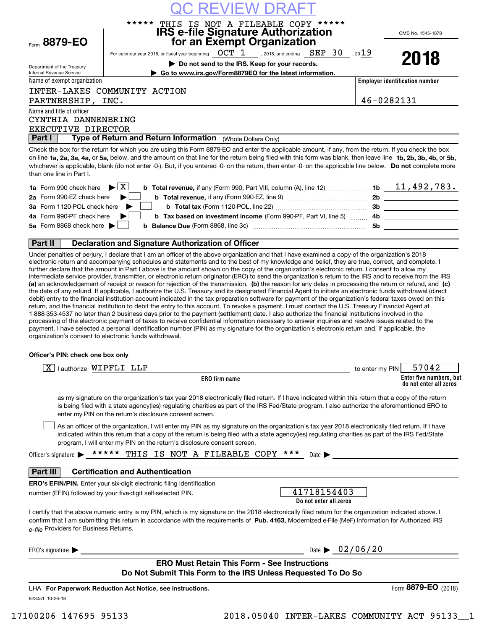|                                                        | C REVIEW DRAI                                                                                                                                                                                                                                                                                                                                                                                                                                                                                                                                                                                                                                                                                                                                                                                                                                                                                                                                                                                                                                                                                                                                                                                                                                                                                                                                                                                                                                                                                                                                                                                                                                                                                                                                                                        |                 |                                                   |
|--------------------------------------------------------|--------------------------------------------------------------------------------------------------------------------------------------------------------------------------------------------------------------------------------------------------------------------------------------------------------------------------------------------------------------------------------------------------------------------------------------------------------------------------------------------------------------------------------------------------------------------------------------------------------------------------------------------------------------------------------------------------------------------------------------------------------------------------------------------------------------------------------------------------------------------------------------------------------------------------------------------------------------------------------------------------------------------------------------------------------------------------------------------------------------------------------------------------------------------------------------------------------------------------------------------------------------------------------------------------------------------------------------------------------------------------------------------------------------------------------------------------------------------------------------------------------------------------------------------------------------------------------------------------------------------------------------------------------------------------------------------------------------------------------------------------------------------------------------|-----------------|---------------------------------------------------|
|                                                        | THIS IS NOT A FILEABLE COPY *****<br>*****<br><b>IRS e-file Signature Authorization</b>                                                                                                                                                                                                                                                                                                                                                                                                                                                                                                                                                                                                                                                                                                                                                                                                                                                                                                                                                                                                                                                                                                                                                                                                                                                                                                                                                                                                                                                                                                                                                                                                                                                                                              |                 |                                                   |
| Form 8879-EO                                           | for an Exempt Organization                                                                                                                                                                                                                                                                                                                                                                                                                                                                                                                                                                                                                                                                                                                                                                                                                                                                                                                                                                                                                                                                                                                                                                                                                                                                                                                                                                                                                                                                                                                                                                                                                                                                                                                                                           |                 | OMB No. 1545-1878                                 |
|                                                        | For calendar year 2018, or fiscal year beginning $\qquad$ OCT $\;1\;$ , 2018, and ending $\;$ SEP $\;30\;$ , 20 $19$                                                                                                                                                                                                                                                                                                                                                                                                                                                                                                                                                                                                                                                                                                                                                                                                                                                                                                                                                                                                                                                                                                                                                                                                                                                                                                                                                                                                                                                                                                                                                                                                                                                                 |                 |                                                   |
|                                                        | Do not send to the IRS. Keep for your records.                                                                                                                                                                                                                                                                                                                                                                                                                                                                                                                                                                                                                                                                                                                                                                                                                                                                                                                                                                                                                                                                                                                                                                                                                                                                                                                                                                                                                                                                                                                                                                                                                                                                                                                                       |                 | 2018                                              |
| Department of the Treasury<br>Internal Revenue Service | Go to www.irs.gov/Form8879EO for the latest information.                                                                                                                                                                                                                                                                                                                                                                                                                                                                                                                                                                                                                                                                                                                                                                                                                                                                                                                                                                                                                                                                                                                                                                                                                                                                                                                                                                                                                                                                                                                                                                                                                                                                                                                             |                 |                                                   |
| Name of exempt organization                            |                                                                                                                                                                                                                                                                                                                                                                                                                                                                                                                                                                                                                                                                                                                                                                                                                                                                                                                                                                                                                                                                                                                                                                                                                                                                                                                                                                                                                                                                                                                                                                                                                                                                                                                                                                                      |                 | <b>Employer identification number</b>             |
|                                                        | INTER-LAKES COMMUNITY ACTION                                                                                                                                                                                                                                                                                                                                                                                                                                                                                                                                                                                                                                                                                                                                                                                                                                                                                                                                                                                                                                                                                                                                                                                                                                                                                                                                                                                                                                                                                                                                                                                                                                                                                                                                                         |                 |                                                   |
| PARTNERSHIP, INC.                                      |                                                                                                                                                                                                                                                                                                                                                                                                                                                                                                                                                                                                                                                                                                                                                                                                                                                                                                                                                                                                                                                                                                                                                                                                                                                                                                                                                                                                                                                                                                                                                                                                                                                                                                                                                                                      |                 | 46-0282131                                        |
| Name and title of officer                              |                                                                                                                                                                                                                                                                                                                                                                                                                                                                                                                                                                                                                                                                                                                                                                                                                                                                                                                                                                                                                                                                                                                                                                                                                                                                                                                                                                                                                                                                                                                                                                                                                                                                                                                                                                                      |                 |                                                   |
| CYNTHIA DANNENBRING                                    |                                                                                                                                                                                                                                                                                                                                                                                                                                                                                                                                                                                                                                                                                                                                                                                                                                                                                                                                                                                                                                                                                                                                                                                                                                                                                                                                                                                                                                                                                                                                                                                                                                                                                                                                                                                      |                 |                                                   |
| EXECUTIVE DIRECTOR                                     |                                                                                                                                                                                                                                                                                                                                                                                                                                                                                                                                                                                                                                                                                                                                                                                                                                                                                                                                                                                                                                                                                                                                                                                                                                                                                                                                                                                                                                                                                                                                                                                                                                                                                                                                                                                      |                 |                                                   |
| <b>Part I</b>                                          | Type of Return and Return Information (Whole Dollars Only)                                                                                                                                                                                                                                                                                                                                                                                                                                                                                                                                                                                                                                                                                                                                                                                                                                                                                                                                                                                                                                                                                                                                                                                                                                                                                                                                                                                                                                                                                                                                                                                                                                                                                                                           |                 |                                                   |
| than one line in Part I.                               | Check the box for the return for which you are using this Form 8879-EO and enter the applicable amount, if any, from the return. If you check the box<br>on line 1a, 2a, 3a, 4a, or 5a, below, and the amount on that line for the return being filed with this form was blank, then leave line 1b, 2b, 3b, 4b, or 5b,<br>whichever is applicable, blank (do not enter -0-). But, if you entered -0- on the return, then enter -0- on the applicable line below. Do not complete more                                                                                                                                                                                                                                                                                                                                                                                                                                                                                                                                                                                                                                                                                                                                                                                                                                                                                                                                                                                                                                                                                                                                                                                                                                                                                                |                 |                                                   |
| <b>1a</b> Form 990 check here                          | $\blacktriangleright$ $\vert$ X $\vert$                                                                                                                                                                                                                                                                                                                                                                                                                                                                                                                                                                                                                                                                                                                                                                                                                                                                                                                                                                                                                                                                                                                                                                                                                                                                                                                                                                                                                                                                                                                                                                                                                                                                                                                                              |                 |                                                   |
| 2a Form 990-EZ check here                              |                                                                                                                                                                                                                                                                                                                                                                                                                                                                                                                                                                                                                                                                                                                                                                                                                                                                                                                                                                                                                                                                                                                                                                                                                                                                                                                                                                                                                                                                                                                                                                                                                                                                                                                                                                                      |                 | 2b ____________________                           |
| 3a Form 1120-POL check here                            |                                                                                                                                                                                                                                                                                                                                                                                                                                                                                                                                                                                                                                                                                                                                                                                                                                                                                                                                                                                                                                                                                                                                                                                                                                                                                                                                                                                                                                                                                                                                                                                                                                                                                                                                                                                      |                 |                                                   |
| 4a Form 990-PF check here                              | b Tax based on investment income (Form 990-PF, Part VI, line 5)                                                                                                                                                                                                                                                                                                                                                                                                                                                                                                                                                                                                                                                                                                                                                                                                                                                                                                                                                                                                                                                                                                                                                                                                                                                                                                                                                                                                                                                                                                                                                                                                                                                                                                                      |                 |                                                   |
| 5a Form 8868 check here $\blacktriangleright$          |                                                                                                                                                                                                                                                                                                                                                                                                                                                                                                                                                                                                                                                                                                                                                                                                                                                                                                                                                                                                                                                                                                                                                                                                                                                                                                                                                                                                                                                                                                                                                                                                                                                                                                                                                                                      |                 |                                                   |
|                                                        |                                                                                                                                                                                                                                                                                                                                                                                                                                                                                                                                                                                                                                                                                                                                                                                                                                                                                                                                                                                                                                                                                                                                                                                                                                                                                                                                                                                                                                                                                                                                                                                                                                                                                                                                                                                      |                 |                                                   |
| <b>Part II</b>                                         | <b>Declaration and Signature Authorization of Officer</b>                                                                                                                                                                                                                                                                                                                                                                                                                                                                                                                                                                                                                                                                                                                                                                                                                                                                                                                                                                                                                                                                                                                                                                                                                                                                                                                                                                                                                                                                                                                                                                                                                                                                                                                            |                 |                                                   |
|                                                        | Under penalties of perjury, I declare that I am an officer of the above organization and that I have examined a copy of the organization's 2018<br>electronic return and accompanying schedules and statements and to the best of my knowledge and belief, they are true, correct, and complete. I<br>further declare that the amount in Part I above is the amount shown on the copy of the organization's electronic return. I consent to allow my<br>intermediate service provider, transmitter, or electronic return originator (ERO) to send the organization's return to the IRS and to receive from the IRS<br>(a) an acknowledgement of receipt or reason for rejection of the transmission, (b) the reason for any delay in processing the return or refund, and (c)<br>the date of any refund. If applicable, I authorize the U.S. Treasury and its designated Financial Agent to initiate an electronic funds withdrawal (direct<br>debit) entry to the financial institution account indicated in the tax preparation software for payment of the organization's federal taxes owed on this<br>return, and the financial institution to debit the entry to this account. To revoke a payment, I must contact the U.S. Treasury Financial Agent at<br>1-888-353-4537 no later than 2 business days prior to the payment (settlement) date. I also authorize the financial institutions involved in the<br>processing of the electronic payment of taxes to receive confidential information necessary to answer inquiries and resolve issues related to the<br>payment. I have selected a personal identification number (PIN) as my signature for the organization's electronic return and, if applicable, the<br>organization's consent to electronic funds withdrawal. |                 |                                                   |
| Officer's PIN: check one box only                      |                                                                                                                                                                                                                                                                                                                                                                                                                                                                                                                                                                                                                                                                                                                                                                                                                                                                                                                                                                                                                                                                                                                                                                                                                                                                                                                                                                                                                                                                                                                                                                                                                                                                                                                                                                                      |                 |                                                   |
| X   lauthorize WIPFLI LLP                              |                                                                                                                                                                                                                                                                                                                                                                                                                                                                                                                                                                                                                                                                                                                                                                                                                                                                                                                                                                                                                                                                                                                                                                                                                                                                                                                                                                                                                                                                                                                                                                                                                                                                                                                                                                                      | to enter my PIN | 57042                                             |
|                                                        | ERO firm name                                                                                                                                                                                                                                                                                                                                                                                                                                                                                                                                                                                                                                                                                                                                                                                                                                                                                                                                                                                                                                                                                                                                                                                                                                                                                                                                                                                                                                                                                                                                                                                                                                                                                                                                                                        |                 | Enter five numbers, but<br>do not enter all zeros |
|                                                        | as my signature on the organization's tax year 2018 electronically filed return. If I have indicated within this return that a copy of the return<br>is being filed with a state agency(ies) regulating charities as part of the IRS Fed/State program, I also authorize the aforementioned ERO to<br>enter my PIN on the return's disclosure consent screen.                                                                                                                                                                                                                                                                                                                                                                                                                                                                                                                                                                                                                                                                                                                                                                                                                                                                                                                                                                                                                                                                                                                                                                                                                                                                                                                                                                                                                        |                 |                                                   |
|                                                        | As an officer of the organization, I will enter my PIN as my signature on the organization's tax year 2018 electronically filed return. If I have<br>indicated within this return that a copy of the return is being filed with a state agency(ies) regulating charities as part of the IRS Fed/State<br>program, I will enter my PIN on the return's disclosure consent screen.                                                                                                                                                                                                                                                                                                                                                                                                                                                                                                                                                                                                                                                                                                                                                                                                                                                                                                                                                                                                                                                                                                                                                                                                                                                                                                                                                                                                     |                 |                                                   |
| Officer's signature                                    | *****<br>THIS IS NOT A FILEABLE COPY ***<br>Date $\blacktriangleright$                                                                                                                                                                                                                                                                                                                                                                                                                                                                                                                                                                                                                                                                                                                                                                                                                                                                                                                                                                                                                                                                                                                                                                                                                                                                                                                                                                                                                                                                                                                                                                                                                                                                                                               |                 |                                                   |

### **Part III Certification and Authentication**

**ERO's EFIN/PIN.** Enter your six-digit electronic filing identification number (EFIN) followed by your five-digit self-selected PIN.

| 41718154403            |
|------------------------|
| Do not enter all zeros |

confirm that I am submitting this return in accordance with the requirements of **Pub. 4163,** Modernized e-File (MeF) Information for Authorized IRS *e-file*  Providers for Business Returns. I certify that the above numeric entry is my PIN, which is my signature on the 2018 electronically filed return for the organization indicated above. I

 $ERO's signature \triangleright$  Date  $\triangleright$ 

| )ate $\blacktriangleright$ | 02/06/20 |  |
|----------------------------|----------|--|

### **ERO Must Retain This Form - See Instructions Do Not Submit This Form to the IRS Unless Requested To Do So**

823051 10-26-18 LHA For Paperwork Reduction Act Notice, see instructions.

17100206 147695 95133 2018.05040 INTER-LAKES COMMUNITY ACT 95133\_\_1

Form (2018) **8879-EO**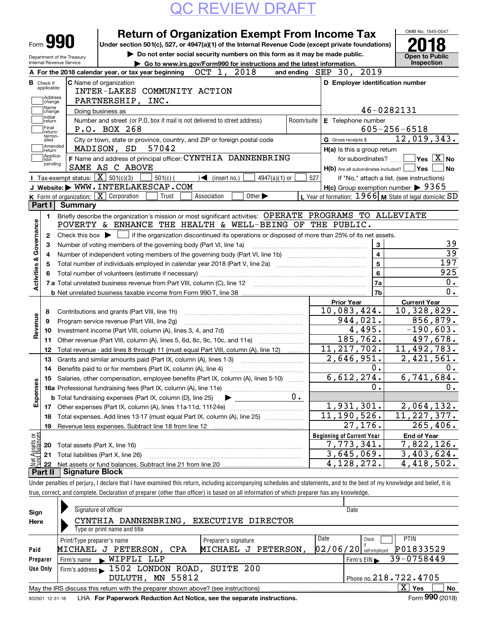|                           | Form <b>990</b>             |                            | <b>Return of Organization Exempt From Income Tax</b><br>Under section 501(c), 527, or 4947(a)(1) of the Internal Revenue Code (except private foundations)                   |                   | OMB No. 1545-0047                                   |
|---------------------------|-----------------------------|----------------------------|------------------------------------------------------------------------------------------------------------------------------------------------------------------------------|-------------------|-----------------------------------------------------|
|                           |                             | Department of the Treasury | Do not enter social security numbers on this form as it may be made public.                                                                                                  |                   | <b>Open to Public</b>                               |
|                           | Internal Revenue Service    |                            | Go to www.irs.gov/Form990 for instructions and the latest information.                                                                                                       |                   | Inspection                                          |
|                           |                             |                            | and ending SEP 30, 2019<br>OCT 1,<br>2018<br>A For the 2018 calendar year, or tax year beginning                                                                             |                   |                                                     |
| <b>B</b> Check if         |                             |                            | D Employer identification number<br><b>C</b> Name of organization                                                                                                            |                   |                                                     |
|                           | applicable:                 |                            | INTER-LAKES COMMUNITY ACTION                                                                                                                                                 |                   |                                                     |
|                           | Address<br>change           |                            | PARTNERSHIP, INC.                                                                                                                                                            |                   |                                                     |
|                           | Name<br>change              |                            | Doing business as                                                                                                                                                            | 46-0282131        |                                                     |
|                           | Initial<br>return           |                            | Number and street (or P.O. box if mail is not delivered to street address)<br>Room/suite<br>E Telephone number                                                               |                   |                                                     |
|                           | Final<br>return/            |                            | P.O. BOX 268                                                                                                                                                                 |                   | $605 - 256 - 6518$                                  |
|                           | termin-<br>ated             |                            | City or town, state or province, country, and ZIP or foreign postal code<br>G Gross receipts \$                                                                              |                   | 12,019,343.                                         |
|                           | Amended<br> return          |                            | 57042<br>MADISON, SD<br>$H(a)$ is this a group return                                                                                                                        |                   |                                                     |
|                           | Applica-<br>tion<br>pending |                            | F Name and address of principal officer: CYNTHIA DANNENBRING                                                                                                                 | for subordinates? | $\overline{\mathsf{Yes} \mathbb{X}}$ No             |
|                           |                             |                            | SAME AS C ABOVE<br>$H(b)$ Are all subordinates included? $\Box$ Yes                                                                                                          |                   |                                                     |
|                           |                             |                            | Tax-exempt status: $\boxed{\mathbf{X}}$ 501(c)(3)<br>$501(c)$ (<br>4947(a)(1) or<br>$\sqrt{\bullet}$ (insert no.)<br>527                                                     |                   | If "No," attach a list. (see instructions)          |
|                           |                             |                            | J Website: WWW. INTERLAKESCAP.COM                                                                                                                                            |                   | $H(c)$ Group exemption number $\triangleright$ 9365 |
|                           |                             |                            | L Year of formation: $1966$ M State of legal domicile: SD<br>K Form of organization: $\boxed{\mathbf{X}}$ Corporation<br>Association<br>Other $\blacktriangleright$<br>Trust |                   |                                                     |
|                           | Part I I                    | <b>Summary</b>             |                                                                                                                                                                              |                   |                                                     |
|                           | 1.                          |                            | Briefly describe the organization's mission or most significant activities: OPERATE PROGRAMS TO ALLEVIATE                                                                    |                   |                                                     |
|                           |                             |                            | POVERTY & ENHANCE THE HEALTH & WELL-BEING OF THE PUBLIC.                                                                                                                     |                   |                                                     |
|                           | 2                           |                            | Check this box $\blacktriangleright$ $\Box$ if the organization discontinued its operations or disposed of more than 25% of its net assets.                                  |                   |                                                     |
| Governance                | 3                           |                            | Number of voting members of the governing body (Part VI, line 1a)                                                                                                            | 3                 |                                                     |
|                           | 4                           |                            |                                                                                                                                                                              | 4                 |                                                     |
|                           | 5                           |                            |                                                                                                                                                                              | 5                 | 197                                                 |
| <b>Activities &amp;</b>   | 6                           |                            |                                                                                                                                                                              | 6                 | 925                                                 |
|                           |                             |                            |                                                                                                                                                                              | 7a                |                                                     |
|                           |                             |                            |                                                                                                                                                                              | 7b                |                                                     |
|                           |                             |                            | <b>Prior Year</b>                                                                                                                                                            |                   | <b>Current Year</b>                                 |
|                           | 8                           |                            | 10,083,424.<br>Contributions and grants (Part VIII, line 1h)                                                                                                                 |                   | $\overline{10}$ , 328, 829.                         |
| Revenue                   | 9                           |                            | 944,021.<br>Program service revenue (Part VIII, line 2g)                                                                                                                     |                   | 856,879.                                            |
|                           | 10                          |                            |                                                                                                                                                                              | 4,495.            | $-190,603.$                                         |
|                           | 11                          |                            | 185,762.<br>Other revenue (Part VIII, column (A), lines 5, 6d, 8c, 9c, 10c, and 11e)                                                                                         |                   | 497,678.                                            |
|                           | 12                          |                            | 11, 217, 702.<br>Total revenue - add lines 8 through 11 (must equal Part VIII, column (A), line 12)                                                                          |                   | 11,492,783.                                         |
|                           | 13                          |                            | 2,646,951.<br>Grants and similar amounts paid (Part IX, column (A), lines 1-3)                                                                                               |                   | 2,421,561.                                          |
|                           | 14                          |                            | Benefits paid to or for members (Part IX, column (A), line 4)                                                                                                                | 0.                |                                                     |
|                           |                             |                            | 6,612,274.<br>15 Salaries, other compensation, employee benefits (Part IX, column (A), lines 5-10)                                                                           |                   | 6,741,684.                                          |
| Expenses                  |                             |                            |                                                                                                                                                                              | Ο.                |                                                     |
|                           |                             |                            | υ.<br><b>b</b> Total fundraising expenses (Part IX, column (D), line 25)                                                                                                     |                   |                                                     |
|                           | 17                          |                            | 1,931,301.<br>Other expenses (Part IX, column (A), lines 11a-11d, 11f-24e)                                                                                                   |                   | 2,064,132.                                          |
|                           | 18                          |                            | 11, 190, 526.<br>Total expenses. Add lines 13-17 (must equal Part IX, column (A), line 25) [                                                                                 |                   | 11, 227, 377.                                       |
|                           | 19                          |                            | 27,176.                                                                                                                                                                      |                   | 265, 406.                                           |
|                           |                             |                            | <b>Beginning of Current Year</b>                                                                                                                                             |                   | <b>End of Year</b>                                  |
| : Assets or<br>d Balances | 20                          |                            | 7,773,341.<br>Total assets (Part X, line 16)                                                                                                                                 |                   | 7,822,126.                                          |
|                           | 21                          |                            | 3,645,069.<br>Total liabilities (Part X, line 26)                                                                                                                            |                   | 3,403,624.                                          |
|                           |                             |                            | 4, 128, 272.                                                                                                                                                                 |                   | $\overline{4}$ , 418, 502.                          |
| 혏<br>22                   |                             |                            |                                                                                                                                                                              |                   |                                                     |

| Sign     | Signature of officer                                                                                         | Date                                  |  |  |  |  |  |  |
|----------|--------------------------------------------------------------------------------------------------------------|---------------------------------------|--|--|--|--|--|--|
| Here     | CYNTHIA DANNENBRING,<br>EXECUTIVE DIRECTOR                                                                   |                                       |  |  |  |  |  |  |
|          | Type or print name and title                                                                                 |                                       |  |  |  |  |  |  |
|          | Print/Type preparer's name<br>Preparer's signature                                                           | Date<br><b>PTIN</b><br>Check          |  |  |  |  |  |  |
| Paid     | PETERSON,<br>MICHAEL J PETERSON,<br>MICHAEL<br>CPA<br>J                                                      | P01833529<br>$02/06/20$ self-employed |  |  |  |  |  |  |
| Preparer | WIPFLI LLP<br>Firm's name<br>$\mathbf{r}$                                                                    | 39-0758449<br>Firm's $EIN$            |  |  |  |  |  |  |
| Use Only | Firm's address 1502 LONDON ROAD, SUITE 200                                                                   |                                       |  |  |  |  |  |  |
|          | DULUTH, MN 55812                                                                                             | Phone no. 218.722.4705                |  |  |  |  |  |  |
|          | May the IRS discuss this return with the preparer shown above? (see instructions)                            | x<br><b>No</b><br>Yes                 |  |  |  |  |  |  |
|          | Form 990 (2018)<br>LHA For Paperwork Reduction Act Notice, see the separate instructions.<br>832001 12-31-18 |                                       |  |  |  |  |  |  |

true, correct, and complete. Declaration of preparer (other than officer) is based on all information of which preparer has any knowledge.

832001 12-31-18 LHA **For Paperwork Reduction Act Notice, see the separate instructions.**<br> **Back Contract Contract Contract Contract Contract Contract Contract Contract Contract Contract Contract Contr**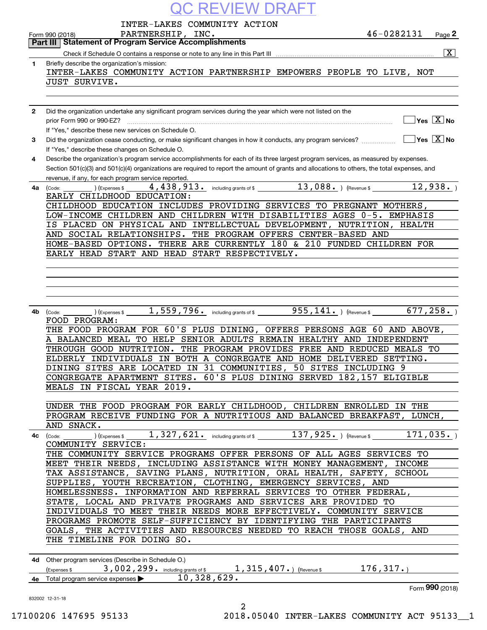|              | C REVIEW DRAF'                                                                                                                                                                                      |                       |                                        |
|--------------|-----------------------------------------------------------------------------------------------------------------------------------------------------------------------------------------------------|-----------------------|----------------------------------------|
|              | INTER-LAKES COMMUNITY ACTION                                                                                                                                                                        |                       |                                        |
|              | PARTNERSHIP, INC.<br>Form 990 (2018)                                                                                                                                                                | $46 - 0282131$ Page 2 |                                        |
|              | <b>Part III Statement of Program Service Accomplishments</b>                                                                                                                                        |                       |                                        |
| 1.           | Briefly describe the organization's mission:                                                                                                                                                        |                       | $\boxed{\text{X}}$                     |
|              | INTER-LAKES COMMUNITY ACTION PARTNERSHIP EMPOWERS PEOPLE TO LIVE, NOT<br>JUST SURVIVE.                                                                                                              |                       |                                        |
|              |                                                                                                                                                                                                     |                       |                                        |
| $\mathbf{2}$ | Did the organization undertake any significant program services during the year which were not listed on the                                                                                        |                       |                                        |
|              | prior Form 990 or 990-EZ?                                                                                                                                                                           |                       | $\sqrt{}$ Yes $\sqrt{X}$ No            |
|              | If "Yes," describe these new services on Schedule O.                                                                                                                                                |                       |                                        |
| 3            | Did the organization cease conducting, or make significant changes in how it conducts, any program services?<br>If "Yes," describe these changes on Schedule O.                                     |                       | $\sqrt{}$ Yes $\sqrt{}$ X $\sqrt{}$ No |
| 4            | Describe the organization's program service accomplishments for each of its three largest program services, as measured by expenses.                                                                |                       |                                        |
|              | Section 501(c)(3) and 501(c)(4) organizations are required to report the amount of grants and allocations to others, the total expenses, and<br>revenue, if any, for each program service reported. |                       |                                        |
| 4a l         | 4,438,913. including grants of \$13,088. (Revenue \$12,938.)<br>) (Expenses \$<br>(Code:<br>EARLY CHILDHOOD EDUCATION:                                                                              |                       |                                        |
|              | CHILDHOOD EDUCATION INCLUDES PROVIDING SERVICES TO PREGNANT MOTHERS,                                                                                                                                |                       |                                        |
|              | LOW-INCOME CHILDREN AND CHILDREN WITH DISABILITIES AGES 0-5. EMPHASIS<br>IS PLACED ON PHYSICAL AND INTELLECTUAL DEVELOPMENT, NUTRITION, HEALTH                                                      |                       |                                        |
|              | AND SOCIAL RELATIONSHIPS. THE PROGRAM OFFERS CENTER-BASED AND                                                                                                                                       |                       |                                        |
|              | HOME-BASED OPTIONS. THERE ARE CURRENTLY 180 & 210 FUNDED CHILDREN FOR                                                                                                                               |                       |                                        |
|              | EARLY HEAD START AND HEAD START RESPECTIVELY.                                                                                                                                                       |                       |                                        |
|              |                                                                                                                                                                                                     |                       |                                        |
|              |                                                                                                                                                                                                     |                       |                                        |
|              |                                                                                                                                                                                                     |                       |                                        |
| 4b l         | $(1.559, 796.$ including grants of \$ $(955, 141.)$ (Revenue \$ $(677, 258.)$<br>(Code:                                                                                                             |                       |                                        |
|              | FOOD PROGRAM:                                                                                                                                                                                       |                       |                                        |
|              | THE FOOD PROGRAM FOR 60'S PLUS DINING, OFFERS PERSONS AGE 60 AND ABOVE,                                                                                                                             |                       |                                        |
|              | BALANCED MEAL TO HELP SENIOR ADULTS REMAIN HEALTHY AND INDEPENDENT<br>THROUGH GOOD NUTRITION. THE PROGRAM PROVIDES FREE AND REDUCED MEALS TO                                                        |                       |                                        |
|              | ELDERLY INDIVIDUALS IN BOTH A CONGREGATE AND HOME DELIVERED SETTING.                                                                                                                                |                       |                                        |
|              | DINING SITES ARE LOCATED IN 31 COMMUNITIES, 50 SITES INCLUDING 9                                                                                                                                    |                       |                                        |
|              | CONGREGATE APARTMENT SITES. 60'S PLUS DINING SERVED 182,157 ELIGIBLE                                                                                                                                |                       |                                        |
|              | MEALS IN FISCAL YEAR 2019.                                                                                                                                                                          |                       |                                        |
|              | UNDER THE FOOD PROGRAM FOR EARLY CHILDHOOD, CHILDREN ENROLLED IN THE                                                                                                                                |                       |                                        |
|              | PROGRAM RECEIVE FUNDING FOR A NUTRITIOUS AND BALANCED BREAKFAST, LUNCH,                                                                                                                             |                       |                                        |
|              | AND SNACK.<br><b>4c</b> (Code:                                                                                                                                                                      |                       |                                        |
|              | COMMUNITY SERVICE:                                                                                                                                                                                  |                       |                                        |
|              | THE COMMUNITY SERVICE PROGRAMS OFFER PERSONS OF ALL AGES SERVICES TO                                                                                                                                |                       |                                        |
|              | MEET THEIR NEEDS, INCLUDING ASSISTANCE WITH MONEY MANAGEMENT, INCOME<br>TAX ASSISTANCE, SAVING PLANS, NUTRITION, ORAL HEALTH, SAFETY, SCHOOL                                                        |                       |                                        |
|              | SUPPLIES, YOUTH RECREATION, CLOTHING, EMERGENCY SERVICES, AND                                                                                                                                       |                       |                                        |
|              | HOMELESSNESS. INFORMATION AND REFERRAL SERVICES TO OTHER FEDERAL,                                                                                                                                   |                       |                                        |
|              | STATE, LOCAL AND PRIVATE PROGRAMS AND SERVICES ARE PROVIDED TO                                                                                                                                      |                       |                                        |
|              | INDIVIDUALS TO MEET THEIR NEEDS MORE EFFECTIVELY. COMMUNITY SERVICE<br>PROGRAMS PROMOTE SELF-SUFFICIENCY BY IDENTIFYING THE PARTICIPANTS                                                            |                       |                                        |
|              | GOALS, THE ACTIVITIES AND RESOURCES NEEDED TO REACH THOSE GOALS, AND                                                                                                                                |                       |                                        |
|              | THE TIMELINE FOR DOING SO.                                                                                                                                                                          |                       |                                        |
|              |                                                                                                                                                                                                     |                       |                                        |
|              | 4d Other program services (Describe in Schedule O.)                                                                                                                                                 |                       |                                        |
|              | (Expenses \$3,002,299. including grants of \$1,315,407.) (Revenue \$176,317.)<br>4e Total program service expenses ▶10,328,629.                                                                     |                       |                                        |
|              |                                                                                                                                                                                                     |                       | Form 990 (2018)                        |
|              | 832002 12-31-18<br>2                                                                                                                                                                                |                       |                                        |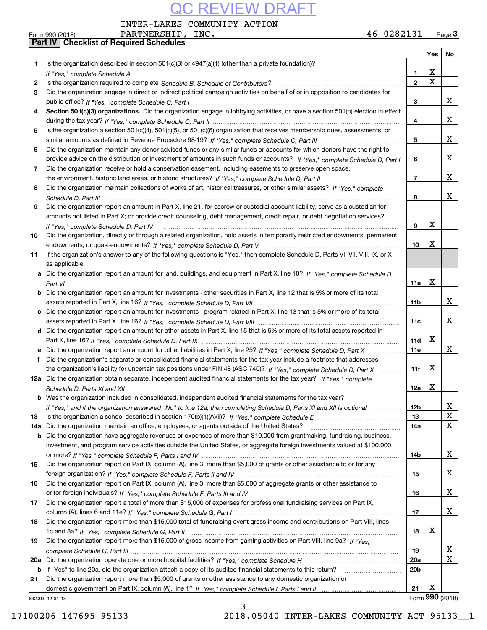INTER-LAKES COMMUNITY ACTION

|     | 46-0282131<br>PARTNERSHIP, INC.<br>Form 990 (2018)                                                                                                                                                                                  |                 |             | Page $3$        |
|-----|-------------------------------------------------------------------------------------------------------------------------------------------------------------------------------------------------------------------------------------|-----------------|-------------|-----------------|
|     | <b>Part IV   Checklist of Required Schedules</b>                                                                                                                                                                                    |                 |             |                 |
|     |                                                                                                                                                                                                                                     |                 | Yes         | No              |
| 1   | Is the organization described in section $501(c)(3)$ or $4947(a)(1)$ (other than a private foundation)?                                                                                                                             |                 |             |                 |
|     |                                                                                                                                                                                                                                     | 1               | х           |                 |
| 2   |                                                                                                                                                                                                                                     | $\mathbf{2}$    | $\mathbf X$ |                 |
| 3   | Did the organization engage in direct or indirect political campaign activities on behalf of or in opposition to candidates for                                                                                                     |                 |             |                 |
|     |                                                                                                                                                                                                                                     | 3               |             | x               |
| 4   | Section 501(c)(3) organizations. Did the organization engage in lobbying activities, or have a section 501(h) election in effect                                                                                                    |                 |             |                 |
|     |                                                                                                                                                                                                                                     | 4               |             | х               |
| 5   | Is the organization a section 501(c)(4), 501(c)(5), or 501(c)(6) organization that receives membership dues, assessments, or                                                                                                        |                 |             |                 |
|     |                                                                                                                                                                                                                                     | 5               |             | х               |
| 6   | Did the organization maintain any donor advised funds or any similar funds or accounts for which donors have the right to                                                                                                           |                 |             |                 |
|     | provide advice on the distribution or investment of amounts in such funds or accounts? If "Yes," complete Schedule D, Part I                                                                                                        | 6               |             | х               |
| 7   | Did the organization receive or hold a conservation easement, including easements to preserve open space,                                                                                                                           |                 |             |                 |
|     |                                                                                                                                                                                                                                     | $\overline{7}$  |             | х               |
| 8   | Did the organization maintain collections of works of art, historical treasures, or other similar assets? If "Yes," complete                                                                                                        |                 |             |                 |
|     |                                                                                                                                                                                                                                     | 8               |             | х               |
| 9   | Did the organization report an amount in Part X, line 21, for escrow or custodial account liability, serve as a custodian for                                                                                                       |                 |             |                 |
|     | amounts not listed in Part X; or provide credit counseling, debt management, credit repair, or debt negotiation services?                                                                                                           |                 |             |                 |
|     |                                                                                                                                                                                                                                     | 9               | Х           |                 |
|     | If "Yes." complete Schedule D. Part IV                                                                                                                                                                                              |                 |             |                 |
| 10  | Did the organization, directly or through a related organization, hold assets in temporarily restricted endowments, permanent                                                                                                       |                 | х           |                 |
|     |                                                                                                                                                                                                                                     | 10              |             |                 |
| 11  | If the organization's answer to any of the following questions is "Yes," then complete Schedule D, Parts VI, VII, VIII, IX, or X                                                                                                    |                 |             |                 |
|     | as applicable.                                                                                                                                                                                                                      |                 |             |                 |
|     | a Did the organization report an amount for land, buildings, and equipment in Part X, line 10? If "Yes," complete Schedule D.                                                                                                       |                 |             |                 |
|     |                                                                                                                                                                                                                                     | 11a             | Х           |                 |
|     | <b>b</b> Did the organization report an amount for investments - other securities in Part X, line 12 that is 5% or more of its total                                                                                                |                 |             |                 |
|     |                                                                                                                                                                                                                                     | 11 <sub>b</sub> |             | х               |
|     | c Did the organization report an amount for investments - program related in Part X, line 13 that is 5% or more of its total                                                                                                        |                 |             |                 |
|     |                                                                                                                                                                                                                                     | 11c             |             | х               |
|     | d Did the organization report an amount for other assets in Part X, line 15 that is 5% or more of its total assets reported in                                                                                                      |                 |             |                 |
|     |                                                                                                                                                                                                                                     | 11d             | х           |                 |
|     |                                                                                                                                                                                                                                     | 11e             |             | $\mathbf{X}$    |
|     | f Did the organization's separate or consolidated financial statements for the tax year include a footnote that addresses                                                                                                           |                 |             |                 |
|     | the organization's liability for uncertain tax positions under FIN 48 (ASC 740)? If "Yes," complete Schedule D, Part X                                                                                                              | 11f             | x           |                 |
|     | 12a Did the organization obtain separate, independent audited financial statements for the tax year? If "Yes," complete                                                                                                             |                 |             |                 |
|     | Schedule D, Parts XI and XII <i>measured.communications</i> and the settlement of the settlement of the settlement of the settlement of the settlement of the settlement of the settlement of the settlement of the settlement of t | 12a             | X           |                 |
|     | <b>b</b> Was the organization included in consolidated, independent audited financial statements for the tax year?                                                                                                                  |                 |             |                 |
|     | If "Yes," and if the organization answered "No" to line 12a, then completing Schedule D, Parts XI and XII is optional                                                                                                               | 12 <sub>b</sub> |             | х               |
| 13  | Is the organization a school described in section $170(b)(1)(A)(ii)?$ If "Yes," complete Schedule E                                                                                                                                 | 13              |             | X               |
| 14a | Did the organization maintain an office, employees, or agents outside of the United States?                                                                                                                                         | 14a             |             | Х               |
| b   | Did the organization have aggregate revenues or expenses of more than \$10,000 from grantmaking, fundraising, business,                                                                                                             |                 |             |                 |
|     | investment, and program service activities outside the United States, or aggregate foreign investments valued at \$100,000                                                                                                          |                 |             |                 |
|     |                                                                                                                                                                                                                                     | 14b             |             | x               |
| 15  | Did the organization report on Part IX, column (A), line 3, more than \$5,000 of grants or other assistance to or for any                                                                                                           |                 |             |                 |
|     |                                                                                                                                                                                                                                     | 15              |             | x               |
| 16  | Did the organization report on Part IX, column (A), line 3, more than \$5,000 of aggregate grants or other assistance to                                                                                                            |                 |             |                 |
|     |                                                                                                                                                                                                                                     | 16              |             | x               |
| 17  | Did the organization report a total of more than \$15,000 of expenses for professional fundraising services on Part IX,                                                                                                             |                 |             |                 |
|     |                                                                                                                                                                                                                                     | 17              |             | x               |
| 18  | Did the organization report more than \$15,000 total of fundraising event gross income and contributions on Part VIII, lines                                                                                                        |                 |             |                 |
|     |                                                                                                                                                                                                                                     | 18              | х           |                 |
| 19  | Did the organization report more than \$15,000 of gross income from gaming activities on Part VIII, line 9a? If "Yes."                                                                                                              |                 |             |                 |
|     |                                                                                                                                                                                                                                     | 19              |             | x               |
|     |                                                                                                                                                                                                                                     | 20a             |             | х               |
| b   | If "Yes" to line 20a, did the organization attach a copy of its audited financial statements to this return?                                                                                                                        | 20 <sub>b</sub> |             |                 |
| 21  | Did the organization report more than \$5,000 of grants or other assistance to any domestic organization or                                                                                                                         |                 |             |                 |
|     |                                                                                                                                                                                                                                     | 21              | х           |                 |
|     |                                                                                                                                                                                                                                     |                 |             | Form 990 (2018) |
|     | 832003 12-31-18<br>ર                                                                                                                                                                                                                |                 |             |                 |

3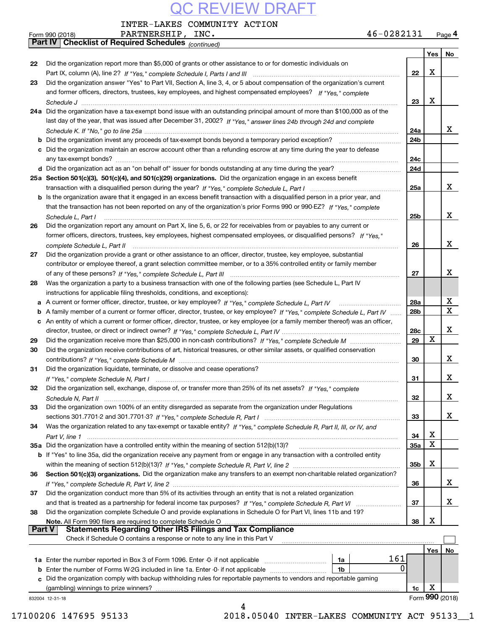INTER-LAKES COMMUNITY ACTION

|               | 46-0282131<br>PARTNERSHIP, INC.<br>Form 990 (2018)                                                                                |                 |     | $Page$ <sup>4</sup> |
|---------------|-----------------------------------------------------------------------------------------------------------------------------------|-----------------|-----|---------------------|
|               | Part IV Checklist of Required Schedules (continued)                                                                               |                 |     |                     |
|               |                                                                                                                                   |                 | Yes | No                  |
| 22            | Did the organization report more than \$5,000 of grants or other assistance to or for domestic individuals on                     |                 |     |                     |
|               |                                                                                                                                   | 22              | x   |                     |
| 23            | Did the organization answer "Yes" to Part VII, Section A, line 3, 4, or 5 about compensation of the organization's current        |                 |     |                     |
|               | and former officers, directors, trustees, key employees, and highest compensated employees? If "Yes," complete                    |                 |     |                     |
|               |                                                                                                                                   | 23              | x   |                     |
|               | 24a Did the organization have a tax-exempt bond issue with an outstanding principal amount of more than \$100,000 as of the       |                 |     |                     |
|               | last day of the year, that was issued after December 31, 2002? If "Yes," answer lines 24b through 24d and complete                |                 |     |                     |
|               |                                                                                                                                   | 24a             |     | x                   |
|               | <b>b</b> Did the organization invest any proceeds of tax-exempt bonds beyond a temporary period exception?                        | 24b             |     |                     |
|               | c Did the organization maintain an escrow account other than a refunding escrow at any time during the year to defease            |                 |     |                     |
|               |                                                                                                                                   | 24c             |     |                     |
|               |                                                                                                                                   | 24d             |     |                     |
|               | 25a Section 501(c)(3), 501(c)(4), and 501(c)(29) organizations. Did the organization engage in an excess benefit                  |                 |     |                     |
|               |                                                                                                                                   | 25a             |     | x                   |
|               | b Is the organization aware that it engaged in an excess benefit transaction with a disqualified person in a prior year, and      |                 |     |                     |
|               | that the transaction has not been reported on any of the organization's prior Forms 990 or 990-EZ? If "Yes," complete             |                 |     |                     |
|               | Schedule L, Part I                                                                                                                | 25b             |     | X                   |
| 26            | Did the organization report any amount on Part X, line 5, 6, or 22 for receivables from or payables to any current or             |                 |     |                     |
|               | former officers, directors, trustees, key employees, highest compensated employees, or disqualified persons? If "Yes."            |                 |     |                     |
|               | complete Schedule L, Part II                                                                                                      | 26              |     | X                   |
| 27            | Did the organization provide a grant or other assistance to an officer, director, trustee, key employee, substantial              |                 |     |                     |
|               | contributor or employee thereof, a grant selection committee member, or to a 35% controlled entity or family member               |                 |     |                     |
|               |                                                                                                                                   | 27              |     | X                   |
| 28            | Was the organization a party to a business transaction with one of the following parties (see Schedule L, Part IV                 |                 |     |                     |
|               | instructions for applicable filing thresholds, conditions, and exceptions):                                                       |                 |     |                     |
|               | a A current or former officer, director, trustee, or key employee? If "Yes," complete Schedule L, Part IV                         | 28a             |     | х                   |
|               | b A family member of a current or former officer, director, trustee, or key employee? If "Yes," complete Schedule L, Part IV      | 28 <sub>b</sub> |     | X                   |
|               | c An entity of which a current or former officer, director, trustee, or key employee (or a family member thereof) was an officer, |                 |     |                     |
|               |                                                                                                                                   | 28c             |     | X                   |
| 29            |                                                                                                                                   | 29              | X   |                     |
| 30            | Did the organization receive contributions of art, historical treasures, or other similar assets, or qualified conservation       |                 |     |                     |
|               |                                                                                                                                   | 30              |     | x                   |
| 31            | Did the organization liquidate, terminate, or dissolve and cease operations?                                                      |                 |     |                     |
|               |                                                                                                                                   | 31              |     | x                   |
| 32            | Did the organization sell, exchange, dispose of, or transfer more than 25% of its net assets? If "Yes," complete                  |                 |     |                     |
|               |                                                                                                                                   | 32              |     | х                   |
| 33            | Did the organization own 100% of an entity disregarded as separate from the organization under Regulations                        |                 |     |                     |
|               |                                                                                                                                   | 33              |     | х                   |
| 34            | Was the organization related to any tax-exempt or taxable entity? If "Yes," complete Schedule R, Part II, III, or IV, and         |                 |     |                     |
|               |                                                                                                                                   | 34              | х   |                     |
|               | 35a Did the organization have a controlled entity within the meaning of section 512(b)(13)?                                       | <b>35a</b>      | X   |                     |
|               | b If "Yes" to line 35a, did the organization receive any payment from or engage in any transaction with a controlled entity       |                 |     |                     |
|               |                                                                                                                                   | 35b             | х   |                     |
| 36            | Section 501(c)(3) organizations. Did the organization make any transfers to an exempt non-charitable related organization?        |                 |     |                     |
|               |                                                                                                                                   | 36              |     | х                   |
| 37            | Did the organization conduct more than 5% of its activities through an entity that is not a related organization                  |                 |     |                     |
|               |                                                                                                                                   | 37              |     | х                   |
| 38            | Did the organization complete Schedule O and provide explanations in Schedule O for Part VI, lines 11b and 19?                    |                 |     |                     |
| <b>Part V</b> | Note. All Form 990 filers are required to complete Schedule O<br><b>Statements Regarding Other IRS Filings and Tax Compliance</b> | 38              | х   |                     |
|               | Check if Schedule O contains a response or note to any line in this Part V                                                        |                 |     |                     |
|               |                                                                                                                                   |                 |     |                     |
|               | 161                                                                                                                               |                 | Yes | No                  |
|               | 1a<br>0<br><b>b</b> Enter the number of Forms W-2G included in line 1a. Enter -0- if not applicable <i>manumumumum</i><br>1b      |                 |     |                     |
|               | c Did the organization comply with backup withholding rules for reportable payments to vendors and reportable gaming              |                 |     |                     |
|               |                                                                                                                                   | 1c              | х   |                     |
|               | 832004 12-31-18                                                                                                                   |                 |     | Form 990 (2018)     |
|               | 4                                                                                                                                 |                 |     |                     |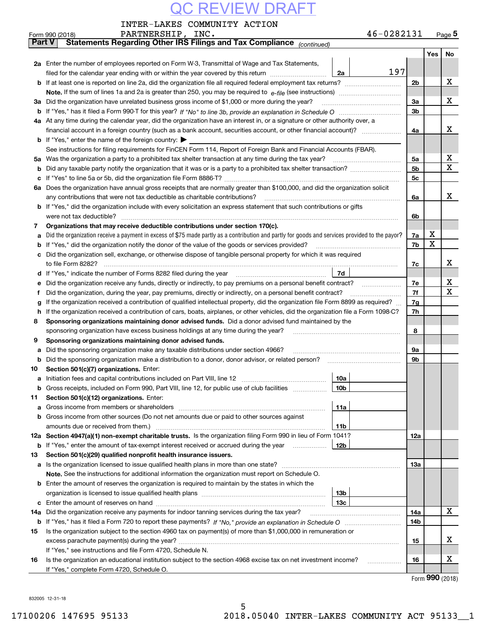|               | INTER-LAKES COMMUNITY ACTION                                                                                                                    |                 |            |                |     |             |
|---------------|-------------------------------------------------------------------------------------------------------------------------------------------------|-----------------|------------|----------------|-----|-------------|
|               | PARTNERSHIP, INC.<br>Form 990 (2018)                                                                                                            |                 | 46-0282131 |                |     | Page $5$    |
| <b>Part V</b> | Statements Regarding Other IRS Filings and Tax Compliance (continued)                                                                           |                 |            |                |     |             |
|               |                                                                                                                                                 |                 |            |                | Yes | No          |
|               | 2a Enter the number of employees reported on Form W-3, Transmittal of Wage and Tax Statements,                                                  |                 |            |                |     |             |
|               | filed for the calendar year ending with or within the year covered by this return                                                               | 2a              | 197        |                |     |             |
|               |                                                                                                                                                 |                 |            | 2b             |     | х           |
|               |                                                                                                                                                 |                 |            |                |     |             |
| За            | Did the organization have unrelated business gross income of \$1,000 or more during the year?                                                   |                 |            | 3a             |     | X           |
| b             |                                                                                                                                                 |                 |            | 3b             |     |             |
|               | 4a At any time during the calendar year, did the organization have an interest in, or a signature or other authority over, a                    |                 |            |                |     |             |
|               | financial account in a foreign country (such as a bank account, securities account, or other financial account)?                                |                 |            | 4a             |     | x           |
|               | <b>b</b> If "Yes," enter the name of the foreign country: $\blacktriangleright$                                                                 |                 |            |                |     |             |
|               | See instructions for filing requirements for FinCEN Form 114, Report of Foreign Bank and Financial Accounts (FBAR).                             |                 |            |                |     |             |
| 5а            | Was the organization a party to a prohibited tax shelter transaction at any time during the tax year?                                           |                 |            | 5а             |     | x           |
| b             |                                                                                                                                                 |                 |            | 5 <sub>b</sub> |     | $\mathbf X$ |
| c             |                                                                                                                                                 |                 |            | 5c             |     |             |
| 6а            | Does the organization have annual gross receipts that are normally greater than \$100,000, and did the organization solicit                     |                 |            |                |     |             |
|               | any contributions that were not tax deductible as charitable contributions?                                                                     |                 |            | 6a             |     | x           |
| b             | If "Yes," did the organization include with every solicitation an express statement that such contributions or gifts                            |                 |            |                |     |             |
|               | were not tax deductible?                                                                                                                        |                 |            | 6b             |     |             |
| 7             | Organizations that may receive deductible contributions under section 170(c).                                                                   |                 |            |                |     |             |
| a             | Did the organization receive a payment in excess of \$75 made partly as a contribution and partly for goods and services provided to the payor? |                 |            | 7a             | х   |             |
| b             | If "Yes," did the organization notify the donor of the value of the goods or services provided?                                                 |                 |            | 7b             | X   |             |
|               | Did the organization sell, exchange, or otherwise dispose of tangible personal property for which it was required                               |                 |            |                |     |             |
|               | to file Form 8282?                                                                                                                              |                 |            | 7c             |     | x           |
| d             |                                                                                                                                                 | 7d              |            |                |     |             |
| е             | Did the organization receive any funds, directly or indirectly, to pay premiums on a personal benefit contract?                                 |                 |            | 7е             |     | х           |
| f             | Did the organization, during the year, pay premiums, directly or indirectly, on a personal benefit contract?                                    |                 |            | 7f             |     | X           |
| g             | If the organization received a contribution of qualified intellectual property, did the organization file Form 8899 as required?                |                 |            | 7g             |     |             |
| h             | If the organization received a contribution of cars, boats, airplanes, or other vehicles, did the organization file a Form 1098-C?              |                 |            | 7h             |     |             |
| 8             | Sponsoring organizations maintaining donor advised funds. Did a donor advised fund maintained by the                                            |                 |            |                |     |             |
|               | sponsoring organization have excess business holdings at any time during the year?                                                              |                 |            | 8              |     |             |
| 9             | Sponsoring organizations maintaining donor advised funds.                                                                                       |                 |            |                |     |             |
| а             | Did the sponsoring organization make any taxable distributions under section 4966?                                                              |                 |            | 9а             |     |             |
| b             | Did the sponsoring organization make a distribution to a donor, donor advisor, or related person?                                               |                 |            | 9b             |     |             |
| 10            | Section 501(c)(7) organizations. Enter:                                                                                                         |                 |            |                |     |             |
|               |                                                                                                                                                 | 10a             |            |                |     |             |
|               | Gross receipts, included on Form 990, Part VIII, line 12, for public use of club facilities                                                     | 10 <sub>b</sub> |            |                |     |             |
| 11            | Section 501(c)(12) organizations. Enter:                                                                                                        |                 |            |                |     |             |
| а             | Gross income from members or shareholders                                                                                                       | 11a             |            |                |     |             |
| b             | Gross income from other sources (Do not net amounts due or paid to other sources against                                                        |                 |            |                |     |             |
|               | amounts due or received from them.)                                                                                                             | 11b             |            |                |     |             |
|               | 12a Section 4947(a)(1) non-exempt charitable trusts. Is the organization filing Form 990 in lieu of Form 1041?                                  |                 |            | 12a            |     |             |
|               | <b>b</b> If "Yes," enter the amount of tax-exempt interest received or accrued during the year                                                  | 12b             |            |                |     |             |
| 13            | Section 501(c)(29) qualified nonprofit health insurance issuers.                                                                                |                 |            |                |     |             |
| a             | Is the organization licensed to issue qualified health plans in more than one state?                                                            |                 |            | 13a            |     |             |
|               | Note. See the instructions for additional information the organization must report on Schedule O.                                               |                 |            |                |     |             |
| b             | Enter the amount of reserves the organization is required to maintain by the states in which the                                                |                 |            |                |     |             |
|               |                                                                                                                                                 | 13 <sub>b</sub> |            |                |     |             |
| с             |                                                                                                                                                 | 13 <sub>c</sub> |            |                |     |             |
| 14a           | Did the organization receive any payments for indoor tanning services during the tax year?                                                      |                 |            | 14a            |     | X           |
|               |                                                                                                                                                 |                 |            | 14b            |     |             |
| 15            | Is the organization subject to the section 4960 tax on payment(s) of more than \$1,000,000 in remuneration or                                   |                 |            |                |     |             |
|               |                                                                                                                                                 |                 |            | 15             |     | x           |
|               | If "Yes," see instructions and file Form 4720, Schedule N.                                                                                      |                 |            |                |     |             |
| 16            | Is the organization an educational institution subject to the section 4968 excise tax on net investment income?                                 |                 |            | 16             |     | х           |

Form (2018) **990**

832005 12-31-18

If "Yes," complete Form 4720, Schedule O.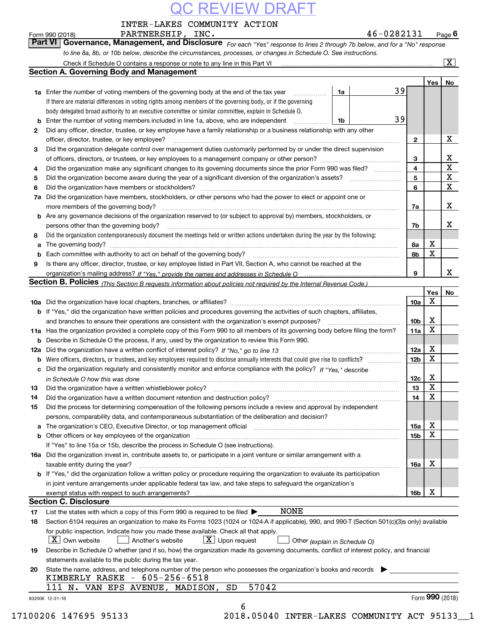| INTER-LAKES COMMUNITY ACTION |  |
|------------------------------|--|
|                              |  |

| Form 990 (2018) | 46-0282131<br>PARTNERSHIP,<br>INC.                                                                                                 |     | $P$ <sub>age</sub> $6$    |
|-----------------|------------------------------------------------------------------------------------------------------------------------------------|-----|---------------------------|
|                 | <b>Part VI Governance, Management, and Disclosure</b> For each "Yes" response to lines 2 through 7b below, and for a "No" response |     |                           |
|                 | to line 8a, 8b, or 10b below, describe the circumstances, processes, or changes in Schedule O. See instructions.                   |     |                           |
|                 | Check if Schedule O contains a response or note to any line in this Part VI                                                        |     | $\overline{\mathtt{x}}$ ) |
|                 | <b>Section A. Governing Body and Management</b>                                                                                    |     |                           |
|                 |                                                                                                                                    | Yes | N۵                        |

|        |                                                                                                                                                                                                                                                                                                |                 | Yes         | No          |
|--------|------------------------------------------------------------------------------------------------------------------------------------------------------------------------------------------------------------------------------------------------------------------------------------------------|-----------------|-------------|-------------|
|        | 39<br><b>1a</b> Enter the number of voting members of the governing body at the end of the tax year<br>1a                                                                                                                                                                                      |                 |             |             |
|        | If there are material differences in voting rights among members of the governing body, or if the governing                                                                                                                                                                                    |                 |             |             |
|        | body delegated broad authority to an executive committee or similar committee, explain in Schedule O.                                                                                                                                                                                          |                 |             |             |
| b      | 39<br>Enter the number of voting members included in line 1a, above, who are independent<br>1b                                                                                                                                                                                                 |                 |             |             |
| 2      | Did any officer, director, trustee, or key employee have a family relationship or a business relationship with any other                                                                                                                                                                       |                 |             |             |
|        | officer, director, trustee, or key employee?                                                                                                                                                                                                                                                   | $\mathbf{2}$    |             | X           |
| 3      | Did the organization delegate control over management duties customarily performed by or under the direct supervision                                                                                                                                                                          |                 |             |             |
|        |                                                                                                                                                                                                                                                                                                | 3               |             | X           |
| 4      | Did the organization make any significant changes to its governing documents since the prior Form 990 was filed?                                                                                                                                                                               | $\overline{4}$  |             | $\mathbf X$ |
| 5      | Did the organization become aware during the year of a significant diversion of the organization's assets?                                                                                                                                                                                     | 5               |             | X           |
| 6      | Did the organization have members or stockholders?                                                                                                                                                                                                                                             | 6               |             | $\mathbf x$ |
| 7a     | Did the organization have members, stockholders, or other persons who had the power to elect or appoint one or                                                                                                                                                                                 |                 |             |             |
|        | more members of the governing body?                                                                                                                                                                                                                                                            | 7a              |             | x           |
| b      | Are any governance decisions of the organization reserved to (or subject to approval by) members, stockholders, or                                                                                                                                                                             |                 |             |             |
|        | persons other than the governing body?                                                                                                                                                                                                                                                         | 7b              |             | x           |
| 8      | Did the organization contemporaneously document the meetings held or written actions undertaken during the year by the following:                                                                                                                                                              |                 | х           |             |
| a      | Each committee with authority to act on behalf of the governing body?                                                                                                                                                                                                                          | 8a<br>8b        | X           |             |
| b<br>9 | Is there any officer, director, trustee, or key employee listed in Part VII, Section A, who cannot be reached at the                                                                                                                                                                           |                 |             |             |
|        |                                                                                                                                                                                                                                                                                                | 9               |             | x           |
|        | Section B. Policies <sub>(This Section B requests information about policies not required by the Internal Revenue Code.)</sub>                                                                                                                                                                 |                 |             |             |
|        |                                                                                                                                                                                                                                                                                                |                 | Yes         | No          |
|        |                                                                                                                                                                                                                                                                                                | 10a             | Χ           |             |
|        | <b>b</b> If "Yes," did the organization have written policies and procedures governing the activities of such chapters, affiliates,                                                                                                                                                            |                 |             |             |
|        | and branches to ensure their operations are consistent with the organization's exempt purposes?                                                                                                                                                                                                | 10 <sub>b</sub> | X           |             |
| 11a    | Has the organization provided a complete copy of this Form 990 to all members of its governing body before filing the form?                                                                                                                                                                    | 11a             | $\mathbf X$ |             |
| b      | Describe in Schedule O the process, if any, used by the organization to review this Form 990.                                                                                                                                                                                                  |                 |             |             |
| 12a    | Did the organization have a written conflict of interest policy? If "No," go to line 13                                                                                                                                                                                                        | 12a             | X           |             |
| b      | Were officers, directors, or trustees, and key employees required to disclose annually interests that could give rise to conflicts?                                                                                                                                                            | 12 <sub>b</sub> | $\mathbf X$ |             |
| с      | Did the organization regularly and consistently monitor and enforce compliance with the policy? If "Yes," describe                                                                                                                                                                             |                 |             |             |
|        | in Schedule O how this was done <i>manually contained as a series of the series</i> and the series of the series of th                                                                                                                                                                         | 12c             | X           |             |
| 13     | Did the organization have a written whistleblower policy?                                                                                                                                                                                                                                      | 13              | $\mathbf X$ |             |
| 14     | Did the organization have a written document retention and destruction policy?                                                                                                                                                                                                                 | 14              | X           |             |
| 15     | Did the process for determining compensation of the following persons include a review and approval by independent                                                                                                                                                                             |                 |             |             |
|        | persons, comparability data, and contemporaneous substantiation of the deliberation and decision?                                                                                                                                                                                              |                 | X           |             |
|        | The organization's CEO, Executive Director, or top management official [11] [12] manuscription or the organization's CEO, Executive Director, or top management official [12] manuscription or the original manuscription of t<br><b>b</b> Other officers or key employees of the organization | 15a             | X           |             |
|        | If "Yes" to line 15a or 15b, describe the process in Schedule O (see instructions).                                                                                                                                                                                                            | 15b             |             |             |
|        | 16a Did the organization invest in, contribute assets to, or participate in a joint venture or similar arrangement with a                                                                                                                                                                      |                 |             |             |
|        | taxable entity during the year?                                                                                                                                                                                                                                                                | 16a             | x           |             |
|        | b If "Yes," did the organization follow a written policy or procedure requiring the organization to evaluate its participation                                                                                                                                                                 |                 |             |             |
|        | in joint venture arrangements under applicable federal tax law, and take steps to safeguard the organization's                                                                                                                                                                                 |                 |             |             |
|        | exempt status with respect to such arrangements?                                                                                                                                                                                                                                               | 16b             | x           |             |
|        | Section C. Disclosure                                                                                                                                                                                                                                                                          |                 |             |             |
| 17     | <b>NONE</b><br>List the states with which a copy of this Form 990 is required to be filed $\blacktriangleright$                                                                                                                                                                                |                 |             |             |
| 18     | Section 6104 requires an organization to make its Forms 1023 (1024 or 1024 A if applicable), 990, and 990 T (Section 501(c)(3)s only) available                                                                                                                                                |                 |             |             |
|        | for public inspection. Indicate how you made these available. Check all that apply.                                                                                                                                                                                                            |                 |             |             |
|        | X   Own website<br>$\lfloor x \rfloor$ Upon request<br>Another's website<br>Other (explain in Schedule O)                                                                                                                                                                                      |                 |             |             |
| 19     | Describe in Schedule O whether (and if so, how) the organization made its governing documents, conflict of interest policy, and financial                                                                                                                                                      |                 |             |             |
|        | statements available to the public during the tax year.                                                                                                                                                                                                                                        |                 |             |             |
| 20     | State the name, address, and telephone number of the person who possesses the organization's books and records<br>KIMBERLY RASKE - 605-256-6518                                                                                                                                                |                 |             |             |
|        |                                                                                                                                                                                                                                                                                                |                 |             |             |

6

832006 12-31-18 111 N. VAN EPS AVENUE, MADISON, SD 57042

17100206 147695 95133 2018.05040 INTER-LAKES COMMUNITY ACT 95133\_\_1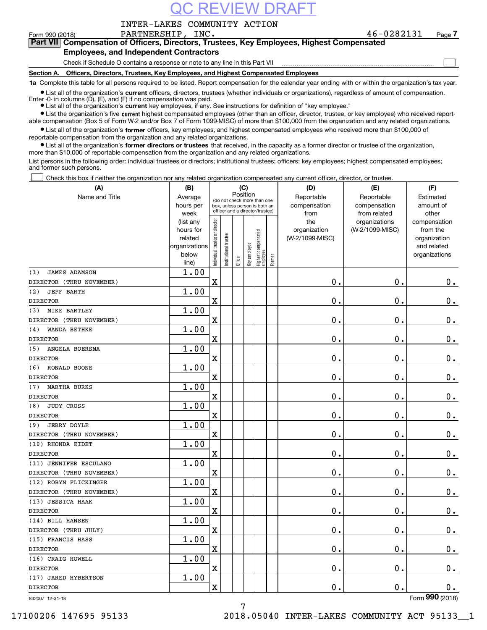### REVIEW DRA

INTER-LAKES COMMUNITY ACTION

 $\mathcal{L}^{\text{max}}$ 

# **7Part VII Compensation of Officers, Directors, Trustees, Key Employees, Highest Compensated**

### **Employees, and Independent Contractors**

Check if Schedule O contains a response or note to any line in this Part VII

**Section A. Officers, Directors, Trustees, Key Employees, and Highest Compensated Employees**

**1a**  Complete this table for all persons required to be listed. Report compensation for the calendar year ending with or within the organization's tax year.

**•** List all of the organization's current officers, directors, trustees (whether individuals or organizations), regardless of amount of compensation. Enter -0- in columns  $(D)$ ,  $(E)$ , and  $(F)$  if no compensation was paid.

● List all of the organization's **current** key employees, if any. See instructions for definition of "key employee."

· List the organization's five current highest compensated employees (other than an officer, director, trustee, or key employee) who received report-■ List the organization's five current highest compensated employees (other than an officer, director, trustee, or key employee) who received report-<br>able compensation (Box 5 of Form W-2 and/or Box 7 of Form 1099-MISC) of

 $\bullet$  List all of the organization's **former** officers, key employees, and highest compensated employees who received more than \$100,000 of reportable compensation from the organization and any related organizations.

**•** List all of the organization's former directors or trustees that received, in the capacity as a former director or trustee of the organization, more than \$10,000 of reportable compensation from the organization and any related organizations.

List persons in the following order: individual trustees or directors; institutional trustees; officers; key employees; highest compensated employees; and former such persons.

Check this box if neither the organization nor any related organization compensated any current officer, director, or trustee.  $\mathcal{L}^{\text{max}}$ 

| (A)                         | (B)                    |                               |                                                                  | (C)     |              |                                  |           | (D)             | (E)                              | (F)                            |
|-----------------------------|------------------------|-------------------------------|------------------------------------------------------------------|---------|--------------|----------------------------------|-----------|-----------------|----------------------------------|--------------------------------|
| Name and Title              | Average                |                               | Position<br>(do not check more than one                          |         | Reportable   | Reportable                       | Estimated |                 |                                  |                                |
|                             | hours per              |                               | box, unless person is both an<br>officer and a director/trustee) |         |              |                                  |           | compensation    | compensation                     | amount of                      |
|                             | week                   |                               |                                                                  |         |              |                                  |           | from<br>the     | from related                     | other                          |
|                             | (list any<br>hours for |                               |                                                                  |         |              |                                  |           | organization    | organizations<br>(W-2/1099-MISC) | compensation<br>from the       |
|                             | related                |                               |                                                                  |         |              |                                  |           | (W-2/1099-MISC) |                                  | organization                   |
|                             | organizations          |                               |                                                                  |         |              |                                  |           |                 |                                  | and related                    |
|                             | below                  | ndividual trustee or director | nstitutional trustee                                             |         | Key employee |                                  |           |                 |                                  | organizations                  |
|                             | line)                  |                               |                                                                  | Officer |              | Highest compensated<br> employee | Former    |                 |                                  |                                |
| <b>JAMES ADAMSON</b><br>(1) | 1.00                   |                               |                                                                  |         |              |                                  |           |                 |                                  |                                |
| DIRECTOR (THRU NOVEMBER)    |                        | $\mathbf X$                   |                                                                  |         |              |                                  |           | 0.              | $\mathbf 0$ .                    | $\mathbf 0$ .                  |
| (2)<br><b>JEFF BARTH</b>    | 1.00                   |                               |                                                                  |         |              |                                  |           |                 |                                  |                                |
| <b>DIRECTOR</b>             |                        | Χ                             |                                                                  |         |              |                                  |           | 0.              | $\mathbf 0$ .                    | $\mathbf 0$ .                  |
| MIKE BARTLEY<br>(3)         | 1.00                   |                               |                                                                  |         |              |                                  |           |                 |                                  |                                |
| DIRECTOR (THRU NOVEMBER)    |                        | $\mathbf X$                   |                                                                  |         |              |                                  |           | $\mathbf 0$ .   | $\mathbf 0$ .                    | $0$ .                          |
| WANDA BETHKE<br>(4)         | 1.00                   |                               |                                                                  |         |              |                                  |           |                 |                                  |                                |
| <b>DIRECTOR</b>             |                        | Χ                             |                                                                  |         |              |                                  |           | 0.              | $\mathbf 0$ .                    | $\mathbf 0$ .                  |
| ANGELA BOERSMA<br>(5)       | 1.00                   |                               |                                                                  |         |              |                                  |           |                 |                                  |                                |
| <b>DIRECTOR</b>             |                        | $\overline{\textbf{X}}$       |                                                                  |         |              |                                  |           | 0.              | $\mathbf 0$ .                    | $0_{.}$                        |
| (6)<br>RONALD BOONE         | 1.00                   |                               |                                                                  |         |              |                                  |           |                 |                                  |                                |
| <b>DIRECTOR</b>             |                        | X                             |                                                                  |         |              |                                  |           | 0.              | 0.                               | $\mathbf 0$ .                  |
| <b>MARTHA BURKS</b><br>(7)  | 1.00                   |                               |                                                                  |         |              |                                  |           |                 |                                  |                                |
| <b>DIRECTOR</b>             |                        | $\mathbf X$                   |                                                                  |         |              |                                  |           | $\mathbf 0$ .   | $\mathbf 0$ .                    | $0_{.}$                        |
| <b>JUDY CROSS</b><br>(8)    | 1.00                   |                               |                                                                  |         |              |                                  |           |                 |                                  |                                |
| <b>DIRECTOR</b>             |                        | $\overline{\mathbf{X}}$       |                                                                  |         |              |                                  |           | 0.              | $\mathbf 0$ .                    | $\mathbf 0$ .                  |
| <b>JERRY DOYLE</b><br>(9)   | 1.00                   |                               |                                                                  |         |              |                                  |           |                 |                                  |                                |
| DIRECTOR (THRU NOVEMBER)    |                        | $\mathbf x$                   |                                                                  |         |              |                                  |           | 0.              | $\mathbf 0$ .                    | $0_{.}$                        |
| (10) RHONDA EIDET           | 1.00                   |                               |                                                                  |         |              |                                  |           |                 |                                  |                                |
| <b>DIRECTOR</b>             |                        | $\overline{\textbf{X}}$       |                                                                  |         |              |                                  |           | $\mathbf 0$ .   | $\mathbf 0$ .                    | $0$ .                          |
| (11) JENNIFER ESCULANO      | 1.00                   |                               |                                                                  |         |              |                                  |           |                 |                                  |                                |
| DIRECTOR (THRU NOVEMBER)    |                        | $\mathbf X$                   |                                                                  |         |              |                                  |           | $\mathbf 0$ .   | $\mathbf 0$ .                    | $\mathbf 0$ .                  |
| (12) ROBYN FLICKINGER       | 1.00                   |                               |                                                                  |         |              |                                  |           |                 |                                  |                                |
| DIRECTOR (THRU NOVEMBER)    |                        | X                             |                                                                  |         |              |                                  |           | 0.              | $\mathbf 0$ .                    | $\mathbf 0$ .                  |
| (13) JESSICA HAAK           | 1.00                   |                               |                                                                  |         |              |                                  |           |                 |                                  |                                |
| <b>DIRECTOR</b>             |                        | $\rm X$                       |                                                                  |         |              |                                  |           | 0.              | 0.                               | $0_{.}$                        |
| (14) BILL HANSEN            | 1.00                   |                               |                                                                  |         |              |                                  |           |                 |                                  |                                |
| DIRECTOR (THRU JULY)        |                        | $\mathbf X$                   |                                                                  |         |              |                                  |           | 0.              | $\mathbf 0$ .                    | $\mathbf 0$ .                  |
| (15) FRANCIS HASS           | 1.00                   |                               |                                                                  |         |              |                                  |           |                 |                                  |                                |
| <b>DIRECTOR</b>             |                        | X                             |                                                                  |         |              |                                  |           | $\mathbf 0$ .   | $\mathbf 0$ .                    | $\mathbf 0$ .                  |
| (16) CRAIG HOWELL           | 1.00                   |                               |                                                                  |         |              |                                  |           |                 |                                  |                                |
| <b>DIRECTOR</b>             |                        | $\mathbf X$                   |                                                                  |         |              |                                  |           | $\mathbf 0$ .   | $\mathbf 0$ .                    | 0.                             |
| (17) JARED HYBERTSON        | 1.00                   |                               |                                                                  |         |              |                                  |           |                 |                                  |                                |
| <b>DIRECTOR</b>             |                        | X                             |                                                                  |         |              |                                  |           | 0.              | 0.                               | 0.<br>$\overline{\phantom{a}}$ |

832007 12-31-18

7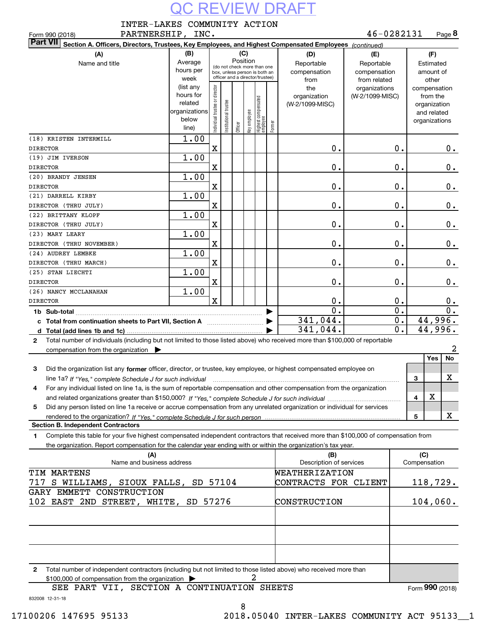| INTER-LAKES COMMUNITY ACTION |  |  |
|------------------------------|--|--|
|                              |  |  |

| 46-0282131<br>PARTNERSHIP, INC.<br>Page 8<br>Form 990 (2018)                                                                                                                                                                                    |                                                                      |                                |                       |         |                 |                                                                                                 |        |                                           |                                                   |                  |          |                                                                          |       |
|-------------------------------------------------------------------------------------------------------------------------------------------------------------------------------------------------------------------------------------------------|----------------------------------------------------------------------|--------------------------------|-----------------------|---------|-----------------|-------------------------------------------------------------------------------------------------|--------|-------------------------------------------|---------------------------------------------------|------------------|----------|--------------------------------------------------------------------------|-------|
| <b>Part VII</b><br>Section A. Officers, Directors, Trustees, Key Employees, and Highest Compensated Employees (continued)                                                                                                                       |                                                                      |                                |                       |         |                 |                                                                                                 |        |                                           |                                                   |                  |          |                                                                          |       |
| (A)<br>Name and title                                                                                                                                                                                                                           | (B)<br>Average<br>hours per<br>week                                  |                                |                       | (C)     | Position        | (do not check more than one<br>box, unless person is both an<br>officer and a director/trustee) |        | (D)<br>Reportable<br>compensation<br>from | (E)<br>Reportable<br>compensation<br>from related |                  |          | (F)<br>Estimated<br>amount of<br>other                                   |       |
|                                                                                                                                                                                                                                                 | (list any<br>hours for<br>related<br>organizations<br>below<br>line) | Individual trustee or director | Institutional trustee | Officer | employee<br>Key | Highest compensated<br>  employee                                                               | Former | the<br>organization<br>(W-2/1099-MISC)    | organizations<br>(W-2/1099-MISC)                  |                  |          | compensation<br>from the<br>organization<br>and related<br>organizations |       |
| (18) KRISTEN INTERMILL<br>DIRECTOR                                                                                                                                                                                                              | 1.00                                                                 | X                              |                       |         |                 |                                                                                                 |        | $\mathbf 0$ .                             |                                                   | 0.               |          |                                                                          | 0.    |
| (19) JIM IVERSON<br>DIRECTOR                                                                                                                                                                                                                    | 1.00                                                                 | X                              |                       |         |                 |                                                                                                 |        | $\mathbf 0$ .                             |                                                   | 0.               |          |                                                                          | $0$ . |
| (20) BRANDY JENSEN<br>DIRECTOR                                                                                                                                                                                                                  | 1.00                                                                 | $\mathbf X$                    |                       |         |                 |                                                                                                 |        | $\mathbf 0$ .                             |                                                   | 0.               |          |                                                                          | 0.    |
| (21) DARRELL KIRBY                                                                                                                                                                                                                              | 1.00                                                                 |                                |                       |         |                 |                                                                                                 |        |                                           |                                                   |                  |          |                                                                          |       |
| DIRECTOR (THRU JULY)<br>(22) BRITTANY KLOPF                                                                                                                                                                                                     | 1.00                                                                 | X                              |                       |         |                 |                                                                                                 |        | $\mathbf 0$ .                             |                                                   | 0.               |          |                                                                          | 0.    |
| DIRECTOR (THRU JULY)<br>(23) MARY LEARY                                                                                                                                                                                                         | 1.00                                                                 | X                              |                       |         |                 |                                                                                                 |        | $\mathbf 0$ .                             |                                                   | 0.               |          |                                                                          | $0$ . |
| DIRECTOR (THRU NOVEMBER)                                                                                                                                                                                                                        |                                                                      | X                              |                       |         |                 |                                                                                                 |        | $\mathbf 0$ .                             |                                                   | 0.               |          |                                                                          | 0.    |
| (24) AUDREY LEMBKE<br>DIRECTOR (THRU MARCH)                                                                                                                                                                                                     | 1.00<br>$\mathbf 0$ .<br>X                                           |                                |                       |         | 0.              |                                                                                                 |        | 0.                                        |                                                   |                  |          |                                                                          |       |
| (25) STAN LIECHTI<br><b>DIRECTOR</b>                                                                                                                                                                                                            | 1.00                                                                 | X                              |                       |         |                 |                                                                                                 |        | $\mathbf 0$ .                             | 0.<br>$0$ .                                       |                  |          |                                                                          |       |
| (26) NANCY MCCLANAHAN                                                                                                                                                                                                                           | 1.00                                                                 |                                |                       |         |                 |                                                                                                 |        |                                           |                                                   |                  |          |                                                                          |       |
| <b>DIRECTOR</b>                                                                                                                                                                                                                                 |                                                                      | $\mathbf x$                    |                       |         |                 |                                                                                                 |        | 0.<br>0.                                  |                                                   | 0.<br>0.         | О.<br>О. |                                                                          |       |
| c Total from continuation sheets to Part VII, Section A                                                                                                                                                                                         |                                                                      |                                |                       |         |                 |                                                                                                 |        | 341,044.                                  |                                                   | $\overline{0}$ . |          | 44,996.                                                                  |       |
|                                                                                                                                                                                                                                                 |                                                                      |                                |                       |         |                 |                                                                                                 |        | 341,044.                                  |                                                   | 0.               |          | 44,996.                                                                  |       |
| Total number of individuals (including but not limited to those listed above) who received more than \$100,000 of reportable<br>2                                                                                                               |                                                                      |                                |                       |         |                 |                                                                                                 |        |                                           |                                                   |                  |          |                                                                          |       |
| compensation from the organization $\blacktriangleright$                                                                                                                                                                                        |                                                                      |                                |                       |         |                 |                                                                                                 |        |                                           |                                                   |                  |          |                                                                          | 2     |
| Did the organization list any former officer, director, or trustee, key employee, or highest compensated employee on<br>3                                                                                                                       |                                                                      |                                |                       |         |                 |                                                                                                 |        |                                           |                                                   |                  |          | Yes                                                                      | No    |
| line 1a? If "Yes," complete Schedule J for such individual material content content to the complete Schedule J<br>For any individual listed on line 1a, is the sum of reportable compensation and other compensation from the organization<br>4 |                                                                      |                                |                       |         |                 |                                                                                                 |        |                                           |                                                   |                  | 3        |                                                                          | х     |
|                                                                                                                                                                                                                                                 |                                                                      |                                |                       |         |                 |                                                                                                 |        |                                           |                                                   |                  | 4        | х                                                                        |       |
| Did any person listed on line 1a receive or accrue compensation from any unrelated organization or individual for services<br>5                                                                                                                 |                                                                      |                                |                       |         |                 |                                                                                                 |        |                                           |                                                   |                  | 5        |                                                                          | X     |
| <b>Section B. Independent Contractors</b>                                                                                                                                                                                                       |                                                                      |                                |                       |         |                 |                                                                                                 |        |                                           |                                                   |                  |          |                                                                          |       |
| Complete this table for your five highest compensated independent contractors that received more than \$100,000 of compensation from<br>1                                                                                                       |                                                                      |                                |                       |         |                 |                                                                                                 |        |                                           |                                                   |                  |          |                                                                          |       |
| the organization. Report compensation for the calendar year ending with or within the organization's tax year.                                                                                                                                  |                                                                      |                                |                       |         |                 |                                                                                                 |        |                                           |                                                   |                  |          |                                                                          |       |
| (A)<br>Name and business address                                                                                                                                                                                                                |                                                                      |                                |                       |         |                 |                                                                                                 |        | (B)<br>Description of services            |                                                   |                  | (C)      | Compensation                                                             |       |
| <b>TIM MARTENS</b><br>S WILLIAMS, SIOUX FALLS, SD 57104<br>717                                                                                                                                                                                  |                                                                      |                                |                       |         |                 |                                                                                                 |        | WEATHERIZATION<br>CONTRACTS FOR CLIENT    |                                                   |                  |          | 118,729.                                                                 |       |
| GARY EMMETT CONSTRUCTION                                                                                                                                                                                                                        |                                                                      |                                |                       |         |                 |                                                                                                 |        | CONSTRUCTION                              |                                                   |                  |          |                                                                          |       |
| 102 EAST 2ND STREET, WHITE, SD 57276<br>104,060.                                                                                                                                                                                                |                                                                      |                                |                       |         |                 |                                                                                                 |        |                                           |                                                   |                  |          |                                                                          |       |

**2**Total number of independent contractors (including but not limited to those listed above) who received more than 2

Form (2018) **990**

832008 12-31-18

8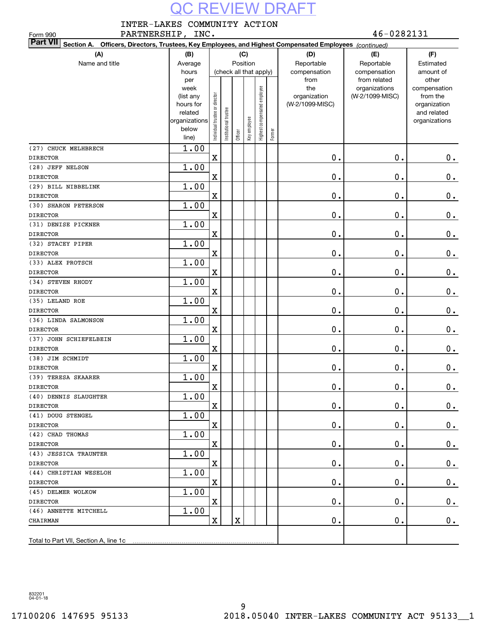INTER-LAKES COMMUNITY ACTION

PARTNERSHIP, INC.  $46-0282131$ Form 990 **Section A. Officers, Directors, Trustees, Key Employees, and Highest Compensated Employees**  *(continued)* **Part VII (A) (B) (C) (D) (E) (F)** Name and title **Average** ReportableReportableEstimatedPosition compensation compensation amount of hours (check all that apply) otherper from from related compensationweektheorganizations Highest compensated employee Highest compensated employee (list any Individual trustee or director organization (W-2/1099-MISC)from the rustee or director hours for (W-2/1099-MISC)organization Institutional trustee Institutional trustee and related related organizations Key employee organizations Individual belowFormer Officer line)1.00 (27) CHUCK MELHBRECH X 0. 0.  $0$  . DIRECTOR 1.00 (28) JEFF NELSON 0. X  $\mathbf 0$  . 0. DIRECTOR(29) BILL NIBBELINK 1.00 X  $\mathbf 0$ 0. 0. DIRECTOR (30) SHARON PETERSON 1.00 X 0. 0.  $0_{.}$ DIRECTOR 1.00 (31) DENISE PICKNER 0. X 0. 0. DIRECTOR (32) STACEY PIPER 1.00 X  $\mathbf 0$  . 0.  $0$  . DIRECTOR (33) ALEX PROTSCH 1.00 X 0. 0. 0. DIRECTOR (34) STEVEN RHODY 1.00 0. X 0. 0. DIRECTOR 1.00 (35) LELAND ROE X 0. 0. 0. DIRECTOR 1.00 (36) LINDA SALMONSON DIRECTORX 0. 0. 0. (37) JOHN SCHIEFELBEIN 1.00 DIRECTORX 0. 0. 0. 1.00 (38) JIM SCHMIDT  $0.$ X 0. 0. DIRECTOR (39) TERESA SKAARER 1.00 X  $\mathbf 0$  . 0. 0. DIRECTOR(40) DENNIS SLAUGHTER 1.00 X  $\mathbf 0$ 0. 0. DIRECTOR(41) DOUG STENGEL 1.00 X 0. 0. 0. DIRECTOR 1.00 (42) CHAD THOMAS 0. X 0. 0. DIRECTOR (43) JESSICA TRAUNTER 1.00 X 0. 0. 0. DIRECTOR (44) CHRISTIAN WESELOH 1.00  $\begin{array}{ccc} \vert \text{X} \vert & \vert & \vert & \vert & \vert \end{array} \qquad \qquad \begin{array}{ccc} \text{0.} & \text{0.} & \text{0.} & \text{0.} \end{array}$ DIRECTOR (45) DELMER WOLKOW 1.00 DIRECTOR $\begin{array}{ccc} \vert \text{X} \vert & \vert & \vert & \vert & \vert \end{array} \qquad \qquad \begin{array}{ccc} \text{0.} & \text{0.} & \text{0.} & \text{0.} \end{array}$ 1.00 (46) ANNETTE MITCHELL  $X$   $\begin{array}{|c|c|c|c|c|}\hline X & X & Y & 0. & \hline \end{array}$  . O. CHAIRMAN Total to Part VII, Section A, line 1c

832201 04-01-18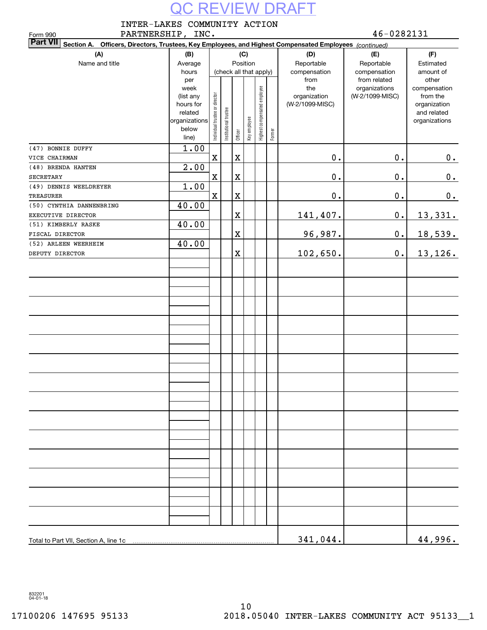INTER-LAKES COMMUNITY ACTION

PARTNERSHIP, INC. 46-0282131 Form 990 **Section A. Officers, Directors, Trustees, Key Employees, and Highest Compensated Employees**  *(continued)* **Part VII (A) (B) (C) (D) (E) (F)** Name and title **Average** Position ReportableReportableEstimated compensation compensation amount of hours (check all that apply) per from from related other compensationweektheorganizations Highest compensated employee Highest compensated employee (W-2/1099-MISC)(list any Individual trustee or director organization from the trustee or director hours for organization (W-2/1099-MISC) Institutional trustee Institutional trustee and related relatedKey employee organizations organizations Individual belowFormer Officer line)1.00 (47) BONNIE DUFFY VICE CHAIRMAN X X 0. 0.  $0$  . 2.00 (48) BRENDA HANTEN 0. X X 0. 0. SECRETARY(49) DENNIS WEELDREYER 1.00 X X  $\mathbf 0$  . 0. 0. TREASURER (50) CYNTHIA DANNENBRING 40.00 X 141,407. 0. 13,331. EXECUTIVE DIRECTOR (51) KIMBERLY RASKE 40.00 X FISCAL DIRECTOR 96,987. 0. 18,539. (52) ARLEEN WEERHEIM 40.00 X DEPUTY DIRECTOR 102,650. 0. 13,126. Total to Part VII, Section A, line 1c 341,044. 44,996.

832201 04-01-18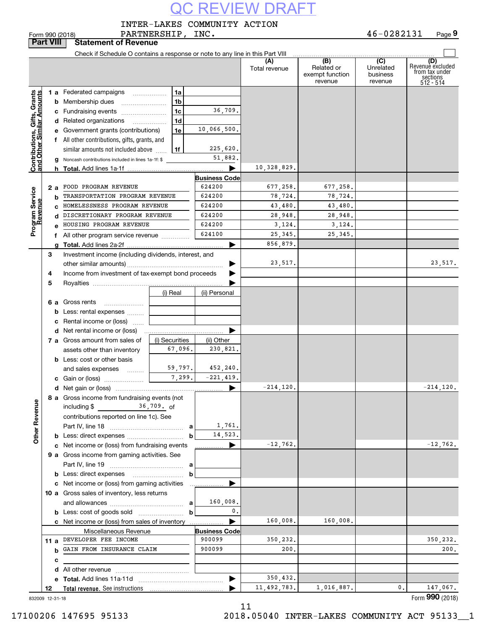INTER-LAKES COMMUNITY ACTION

46-0282131 **9**Form 990 (2018) PARTNERSHIP, INC. 4 6-0 2 8 2 1 3 1 Page **Part VIII Statement of Revenue**  $\mathbf{r}$ Check if Schedule O contains a response or note to any line in this Part VIII **(A)(B) (C) (D)**<br> **(C)** Revenue excluded or **the under the conduct vecture from tax under**<br> **husiness** from tax under Total revenue | Related or Unrelatedexempt function businesssections 512 - 514 revenuerevenue**Contributions, Gifts, Grants**<br>and Other Similar Amounts **1 a** Federated campaigns **Contributions, Gifts, Grants and Other Similar Amounts 1ab**Membership dues ~~~~~~~~ **1b**36,709. **c** Fundraising events ....................... **1cd** Related organizations ................. **1d**10,066,500. **e** Government grants (contributions) **1ef** All other contributions, gifts, grants, and 225,620.  $\mathop{\mathsf{similar}}\nolimits$  amounts not included above  $\,\,\ldots\,$ **1f**51,882. Noncash contributions included in lines 1a-1f: \$ **g**10,328,829. **hTotal.**  Add lines 1a-1f <sup>|</sup> **Business Code** 677,258. **2 a** <code>FOOD PROGRAM REVENUE | 624200 | 677,258.| 677,258.</code> Program Service<br>Revenue **Program Service** TRANSPORTATION PROGRAM REVENUE 624200 78,724. 78,724<br>
HOMELESSNESS PROGRAM REVENUE 624200 43,480. 43,480 78,724. **bRevenue** 43,480. 43,480. **c** HOMELESSNESS PROGRAM REVENUE 624200<br> **CORPETIONARY PROGRAM REVENUE d**DISCRETIONARY PROGRAM REVENUE 624200<br>HOUSING PROGRAM REVENUE 624200 28,948. 28,948. HOUSING PROGRAM REVENUE | 624200 | 3.124. 3.124. 3,124. **e**624100 25,345. 25,345. **f** All other program service revenue  $\ldots$  $\ldots$  $\ldots$ 856,879. Add lines 2a-2f <sup>|</sup> Investment income (including dividends, interest, and **gTotal. 3**23,517.  $\overrightarrow{ }$ other similar amounts) ~~~~~~~~~~~~~~~~~Income from investment of tax-exempt bond proceeds **4**Royalties <sup>|</sup> **5**(ii) Personal **6 a** Gross rents ~~~~~~~**b** Less: rental expenses  $_{\dots\dots\dots}$ **c** Rental income or (loss) | **d** Net rental income or (loss) (i) Securities **a** Gross amount from sales of 67,096. 230,821. assets other than inventory **b** Less: cost or other basis 59,797. 452,240. and sales expenses 7,299. -221,419. **c**Gain or (loss) ~~~~~~~  $-214, 120.$   $-214, 120.$ **d**Net gain or (loss) <sup>|</sup> **8 a** Gross income from fundraising events (not **Other Revenue Other Revenue** including \$ 36 , 709 . <sub>Of</sub> contributions reported on line 1c). See 1,761. **a** Part IV, line 18 ~~~~~~~~~~~~~ 14,523. **b** Less: direct expenses <sub>-----------------------------</sub><br>e . Net income or (less) from fundraining over: **b** $-12,762.$   $-12,762.$ **c**Net income or (loss) from fundraising events <sup>|</sup> **9 a** Gross income from gaming activities. See<br>Rart IV line 19 **a** Part IV, line 19 ~~~~~~~~~~~~~ **b** Less: direct expenses \_\_\_\_\_\_\_\_\_\_\_\_\_\_\_\_\_\_\_\_ **b** $\blacktriangleright$ **c** Net income or (loss) from gaming activities . . . . . . . . . . . . . . . . . . **10 a** Gross sales of inventory, less returns and allowances ~~~~~~~~~~~~~ 160,008. **a**0.**b**Less: cost of goods sold ~~~~~~~~ **b**160,008. 160,008. **Business Code c** Net income or (loss) from sales of inventory . . . . . . . . . . . . . . . . . . Miscellaneous Revenue 350,232. 350,232. **11 a** DEVELOPER FEE INCOME 900099<br>**b** GAIN FROM INSURANCE CLAIM 900099 200.200.**b** GAIN FROM INSURANCE CLAIM | 900099 **cd** All other revenue <sub>………</sub>…………………………<br>e \_**Tetel** Add lines 11e 11d 350,432. **e Total.**  Add lines 11a-11d ~~~~~~~~~~~~~~~ <sup>|</sup> …… ▶ **12Total revenue.**  See instructions 11,492,783. 1,016,887. 1,016,887. 1,016,000. 147,067.<br>**000** 10010 Form (2018) **990**

832009 12-31-18

11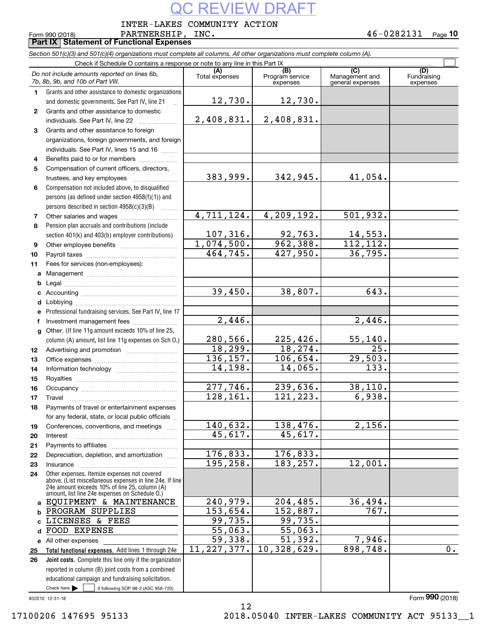INTER-LAKES COMMUNITY ACTION

**PARTNERSHIP**,<br>**Part IX** Statement of Functional Expenses

Form 990 (2018) PARTNERSHIP , INC . 4 6-0 2 8 2 1 3 1 Page **10**

| Section 501(c)(3) and 501(c)(4) organizations must complete all columns. All other organizations must complete column (A). |                                                                                                           |                          |                                    |                                           |                                |  |  |  |
|----------------------------------------------------------------------------------------------------------------------------|-----------------------------------------------------------------------------------------------------------|--------------------------|------------------------------------|-------------------------------------------|--------------------------------|--|--|--|
|                                                                                                                            | Check if Schedule O contains a response or note to any line in this Part IX                               |                          |                                    |                                           |                                |  |  |  |
|                                                                                                                            | Do not include amounts reported on lines 6b,<br>7b, 8b, 9b, and 10b of Part VIII.                         | (A)<br>Total expenses    | (B)<br>Program service<br>expenses | (C)<br>Management and<br>general expenses | (D)<br>Fundraising<br>expenses |  |  |  |
| $\mathbf{1}$                                                                                                               | Grants and other assistance to domestic organizations                                                     |                          |                                    |                                           |                                |  |  |  |
|                                                                                                                            | and domestic governments. See Part IV, line 21                                                            | 12,730.                  | 12,730.                            |                                           |                                |  |  |  |
| $\mathbf{2}$                                                                                                               | Grants and other assistance to domestic                                                                   |                          |                                    |                                           |                                |  |  |  |
|                                                                                                                            | individuals. See Part IV, line 22                                                                         | 2,408,831.               | 2,408,831.                         |                                           |                                |  |  |  |
| 3                                                                                                                          | Grants and other assistance to foreign                                                                    |                          |                                    |                                           |                                |  |  |  |
|                                                                                                                            | organizations, foreign governments, and foreign                                                           |                          |                                    |                                           |                                |  |  |  |
|                                                                                                                            | individuals. See Part IV, lines 15 and 16                                                                 |                          |                                    |                                           |                                |  |  |  |
| 4                                                                                                                          | Benefits paid to or for members                                                                           |                          |                                    |                                           |                                |  |  |  |
| 5                                                                                                                          | Compensation of current officers, directors,                                                              |                          |                                    |                                           |                                |  |  |  |
|                                                                                                                            |                                                                                                           | 383,999.                 | 342, 945.                          | 41,054.                                   |                                |  |  |  |
| 6                                                                                                                          | Compensation not included above, to disqualified                                                          |                          |                                    |                                           |                                |  |  |  |
|                                                                                                                            | persons (as defined under section 4958(f)(1)) and                                                         |                          |                                    |                                           |                                |  |  |  |
|                                                                                                                            | persons described in section 4958(c)(3)(B)                                                                |                          |                                    |                                           |                                |  |  |  |
| 7                                                                                                                          |                                                                                                           | 4,711,124.               | 4,209,192.                         | 501,932.                                  |                                |  |  |  |
| 8                                                                                                                          | Pension plan accruals and contributions (include                                                          |                          |                                    |                                           |                                |  |  |  |
|                                                                                                                            | section 401(k) and 403(b) employer contributions)                                                         | 107,316.                 | $\frac{92,763}{962,388}$           | 14,553.                                   |                                |  |  |  |
| 9                                                                                                                          |                                                                                                           | 1,074,500.               |                                    | 112, 112.                                 |                                |  |  |  |
| 10                                                                                                                         |                                                                                                           | 464, 745.                | 427,950.                           | 36,795.                                   |                                |  |  |  |
| 11                                                                                                                         | Fees for services (non-employees):                                                                        |                          |                                    |                                           |                                |  |  |  |
| а                                                                                                                          |                                                                                                           |                          |                                    |                                           |                                |  |  |  |
| b                                                                                                                          |                                                                                                           |                          |                                    |                                           |                                |  |  |  |
| с                                                                                                                          |                                                                                                           | 39,450.                  | 38,807.                            | 643.                                      |                                |  |  |  |
| d                                                                                                                          |                                                                                                           |                          |                                    |                                           |                                |  |  |  |
| е                                                                                                                          | Professional fundraising services. See Part IV, line 17                                                   |                          |                                    |                                           |                                |  |  |  |
| f                                                                                                                          | Investment management fees                                                                                | 2,446.                   |                                    | 2,446.                                    |                                |  |  |  |
| g                                                                                                                          | Other. (If line 11g amount exceeds 10% of line 25,                                                        |                          |                                    |                                           |                                |  |  |  |
|                                                                                                                            | column (A) amount, list line 11g expenses on Sch O.)                                                      | 280,566.                 | 225, 426.                          | 55, 140.                                  |                                |  |  |  |
| 12                                                                                                                         |                                                                                                           | 18, 299.                 | 18, 274.                           | 25.                                       |                                |  |  |  |
| 13                                                                                                                         |                                                                                                           | 136, 157.                | 106,654.                           | 29,503.                                   |                                |  |  |  |
| 14                                                                                                                         |                                                                                                           | 14,198.                  | 14,065.                            | 133.                                      |                                |  |  |  |
| 15                                                                                                                         |                                                                                                           |                          |                                    |                                           |                                |  |  |  |
| 16                                                                                                                         |                                                                                                           | 277,746.                 | 239,636.                           | 38, 110.                                  |                                |  |  |  |
| 17                                                                                                                         |                                                                                                           | 128, 161.                | 121, 223.                          | 6,938.                                    |                                |  |  |  |
| 18                                                                                                                         | Payments of travel or entertainment expenses                                                              |                          |                                    |                                           |                                |  |  |  |
|                                                                                                                            | for any federal, state, or local public officials                                                         | 140,632.                 |                                    | 2,156.                                    |                                |  |  |  |
| 19                                                                                                                         | Conferences, conventions, and meetings<br>$\overline{1}$                                                  | 45,617.                  | 138,476.<br>45,617.                |                                           |                                |  |  |  |
| 20                                                                                                                         | Interest                                                                                                  |                          |                                    |                                           |                                |  |  |  |
| 21                                                                                                                         | Depreciation, depletion, and amortization                                                                 | 176,833.                 | 176,833.                           |                                           |                                |  |  |  |
| 22                                                                                                                         |                                                                                                           | 195, 258.                | 183, 257.                          | 12,001.                                   |                                |  |  |  |
| 23<br>24                                                                                                                   | Insurance<br>Other expenses. Itemize expenses not covered                                                 |                          |                                    |                                           |                                |  |  |  |
|                                                                                                                            | above. (List miscellaneous expenses in line 24e. If line<br>24e amount exceeds 10% of line 25, column (A) |                          |                                    |                                           |                                |  |  |  |
|                                                                                                                            | amount, list line 24e expenses on Schedule O.)                                                            |                          |                                    |                                           |                                |  |  |  |
| a                                                                                                                          | EQUIPMENT & MAINTENANCE                                                                                   | 240,979.                 | 204,485.                           | 36,494.                                   |                                |  |  |  |
| b                                                                                                                          | PROGRAM SUPPLIES                                                                                          | 153,654.                 | 152,887.                           | 767.                                      |                                |  |  |  |
| C                                                                                                                          | LICENSES & FEES                                                                                           | 99,735.                  | 99,735.                            |                                           |                                |  |  |  |
| d                                                                                                                          | FOOD EXPENSE                                                                                              | 55,063.                  | 55,063.<br>51,392.                 |                                           |                                |  |  |  |
| е                                                                                                                          | All other expenses                                                                                        | 59,338.<br>11, 227, 377. | 10,328,629.                        | 7,946.<br>898,748.                        | 0.                             |  |  |  |
| 25                                                                                                                         | Total functional expenses. Add lines 1 through 24e                                                        |                          |                                    |                                           |                                |  |  |  |
| 26                                                                                                                         | Joint costs. Complete this line only if the organization                                                  |                          |                                    |                                           |                                |  |  |  |
|                                                                                                                            | reported in column (B) joint costs from a combined<br>educational campaign and fundraising solicitation.  |                          |                                    |                                           |                                |  |  |  |
|                                                                                                                            | Check here $\blacktriangleright$<br>if following SOP 98-2 (ASC 958-720)                                   |                          |                                    |                                           |                                |  |  |  |
|                                                                                                                            |                                                                                                           |                          |                                    |                                           |                                |  |  |  |

12

832010 12-31-18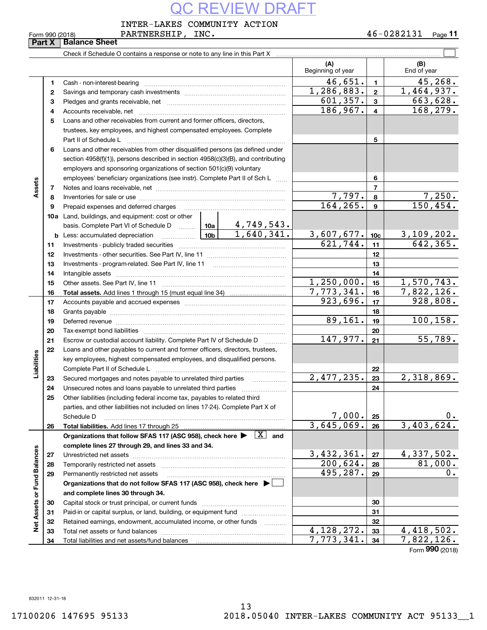VERSHIP, INC. INTER-LAKES COMMUNITY ACTION

Form 990 (2018) PARTNERSHIP , INC **.** 4 6-0 2 8 2 1 3 1 <sub>Page</sub> 11

| Form 990 (2018) |                               | PARTN |
|-----------------|-------------------------------|-------|
|                 | <b>Part X   Balance Sheet</b> |       |

|                             | Part X       | <b>Balance Sheet</b>                                                                                                                                                                                                           |  |            |                               |                         |                             |
|-----------------------------|--------------|--------------------------------------------------------------------------------------------------------------------------------------------------------------------------------------------------------------------------------|--|------------|-------------------------------|-------------------------|-----------------------------|
|                             |              | Check if Schedule O contains a response or note to any line in this Part X                                                                                                                                                     |  |            |                               |                         |                             |
|                             |              |                                                                                                                                                                                                                                |  |            | (A)<br>Beginning of year      |                         | (B)<br>End of year          |
|                             | 1            |                                                                                                                                                                                                                                |  |            | 46,651.                       | $\mathbf{1}$            | 45, 268.                    |
|                             | $\mathbf{2}$ |                                                                                                                                                                                                                                |  |            | 1, 286, 883.                  | $\overline{\mathbf{2}}$ | 1,464,937.                  |
|                             | 3            |                                                                                                                                                                                                                                |  |            | 601, 357.                     | $\mathbf{3}$            | 663,628.                    |
|                             | 4            |                                                                                                                                                                                                                                |  |            | 186, 967.                     | $\overline{4}$          | 168,279.                    |
|                             | 5            | Loans and other receivables from current and former officers, directors,                                                                                                                                                       |  |            |                               |                         |                             |
|                             |              | trustees, key employees, and highest compensated employees. Complete                                                                                                                                                           |  |            |                               |                         |                             |
|                             |              |                                                                                                                                                                                                                                |  |            |                               | 5                       |                             |
|                             | 6            | Loans and other receivables from other disqualified persons (as defined under                                                                                                                                                  |  |            |                               |                         |                             |
|                             |              | section 4958(f)(1)), persons described in section 4958(c)(3)(B), and contributing                                                                                                                                              |  |            |                               |                         |                             |
|                             |              | employers and sponsoring organizations of section 501(c)(9) voluntary                                                                                                                                                          |  |            |                               |                         |                             |
|                             |              | employees' beneficiary organizations (see instr). Complete Part II of Sch L                                                                                                                                                    |  |            |                               | 6                       |                             |
| Assets                      | 7            |                                                                                                                                                                                                                                |  |            |                               | $\overline{7}$          |                             |
|                             | 8            |                                                                                                                                                                                                                                |  |            | 7,797.                        | 8                       | 7,250.                      |
|                             | 9            | Prepaid expenses and deferred charges                                                                                                                                                                                          |  |            | 164, 265.                     | $\mathbf{9}$            | 150, 454.                   |
|                             |              | <b>10a</b> Land, buildings, and equipment: cost or other                                                                                                                                                                       |  |            |                               |                         |                             |
|                             |              | basis. Complete Part VI of Schedule D  10a                                                                                                                                                                                     |  | 4,749,543. |                               |                         |                             |
|                             |              | <u>  10b</u>  <br><b>b</b> Less: accumulated depreciation                                                                                                                                                                      |  | 1,640,341. | $\frac{3,607,677.}{621,744.}$ | 10 <sub>c</sub>         | 3,109,202.                  |
|                             | 11           |                                                                                                                                                                                                                                |  |            |                               | 11                      | 642, 365.                   |
|                             | 12           |                                                                                                                                                                                                                                |  |            |                               | 12                      |                             |
|                             | 13           |                                                                                                                                                                                                                                |  |            |                               | 13                      |                             |
|                             | 14           |                                                                                                                                                                                                                                |  | 14         |                               |                         |                             |
|                             | 15           |                                                                                                                                                                                                                                |  | 1,250,000. | 15                            | 1,570,743.              |                             |
|                             | 16           |                                                                                                                                                                                                                                |  |            | 7,773,341.                    | 16                      | 7,822,126.                  |
|                             | 17           |                                                                                                                                                                                                                                |  |            | 923,696.                      | 17                      | 928,808.                    |
|                             | 18           |                                                                                                                                                                                                                                |  | 18         |                               |                         |                             |
|                             | 19           | Deferred revenue manual contracts and contracts are contracted and contract and contract are contracted and contract are contracted and contract are contracted and contract are contracted and contract are contracted and co |  |            | 89,161.                       | 19                      | 100, 158.                   |
|                             | 20           |                                                                                                                                                                                                                                |  |            |                               | 20                      |                             |
|                             | 21           | Escrow or custodial account liability. Complete Part IV of Schedule D                                                                                                                                                          |  |            | 147,977.                      | 21                      | 55,789.                     |
|                             | 22           | Loans and other payables to current and former officers, directors, trustees,                                                                                                                                                  |  |            |                               |                         |                             |
| Liabilities                 |              | key employees, highest compensated employees, and disqualified persons.                                                                                                                                                        |  |            |                               |                         |                             |
|                             |              |                                                                                                                                                                                                                                |  |            |                               | 22                      |                             |
|                             | 23           | Secured mortgages and notes payable to unrelated third parties                                                                                                                                                                 |  |            | 2,477,235.                    | 23                      | 2,318,869.                  |
|                             | 24           |                                                                                                                                                                                                                                |  |            |                               | 24                      |                             |
|                             | 25           | Other liabilities (including federal income tax, payables to related third                                                                                                                                                     |  |            |                               |                         |                             |
|                             |              | parties, and other liabilities not included on lines 17-24). Complete Part X of                                                                                                                                                |  |            |                               |                         |                             |
|                             |              | Schedule D                                                                                                                                                                                                                     |  |            | 7,000.<br>3,645,069.          | 25                      | 0.                          |
|                             | 26           | Total liabilities. Add lines 17 through 25                                                                                                                                                                                     |  |            |                               | 26                      | 3,403,624.                  |
|                             |              | Organizations that follow SFAS 117 (ASC 958), check here $\blacktriangleright \begin{array}{ c } \hline X & \text{and} \end{array}$                                                                                            |  |            |                               |                         |                             |
|                             |              | complete lines 27 through 29, and lines 33 and 34.                                                                                                                                                                             |  |            | 3,432,361.                    |                         | 4,337,502.                  |
|                             | 27           |                                                                                                                                                                                                                                |  |            | 200,624.                      | 27                      | 81,000.                     |
|                             | 28           | Temporarily restricted net assets                                                                                                                                                                                              |  |            | 495,287.                      | 28                      | 0.                          |
|                             | 29           | Permanently restricted net assets                                                                                                                                                                                              |  |            |                               | 29                      |                             |
|                             |              | Organizations that do not follow SFAS 117 (ASC 958), check here ▶ │                                                                                                                                                            |  |            |                               |                         |                             |
|                             |              | and complete lines 30 through 34.                                                                                                                                                                                              |  |            |                               |                         |                             |
| Net Assets or Fund Balances | 30           |                                                                                                                                                                                                                                |  |            |                               | 30                      |                             |
|                             | 31           | Paid-in or capital surplus, or land, building, or equipment fund                                                                                                                                                               |  |            |                               | 31                      |                             |
|                             | 32           | Retained earnings, endowment, accumulated income, or other funds                                                                                                                                                               |  |            | 4,128,272.                    | 32                      | 4,418,502.                  |
|                             | 33           | Total net assets or fund balances                                                                                                                                                                                              |  |            | 7,773,341.                    | 33                      | 7,822,126.                  |
|                             | 34           |                                                                                                                                                                                                                                |  |            |                               | 34                      | $F_{\text{arm}}$ 990 (2019) |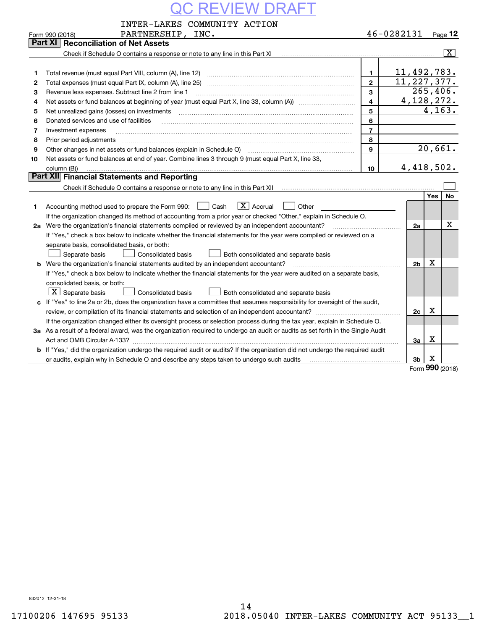|                                                                                                                               | INTER-LAKES COMMUNITY ACTION                                                                                                                                      |                |                |     |                          |  |  |  |  |  |
|-------------------------------------------------------------------------------------------------------------------------------|-------------------------------------------------------------------------------------------------------------------------------------------------------------------|----------------|----------------|-----|--------------------------|--|--|--|--|--|
|                                                                                                                               | PARTNERSHIP, INC.<br>Form 990 (2018)                                                                                                                              |                | 46-0282131     |     | $_{Page}$ 12             |  |  |  |  |  |
|                                                                                                                               | Part XI<br><b>Reconciliation of Net Assets</b>                                                                                                                    |                |                |     |                          |  |  |  |  |  |
|                                                                                                                               | Check if Schedule O contains a response or note to any line in this Part XI [11] [12] Check if Schedule O contains a response or note to any line in this Part XI |                |                |     | $\lceil \text{X} \rceil$ |  |  |  |  |  |
|                                                                                                                               |                                                                                                                                                                   |                |                |     |                          |  |  |  |  |  |
| 1                                                                                                                             | Total revenue (must equal Part VIII, column (A), line 12)                                                                                                         | $\mathbf{1}$   | 11,492,783.    |     |                          |  |  |  |  |  |
| $\mathbf{2}$                                                                                                                  |                                                                                                                                                                   | $\mathbf{2}$   | 11, 227, 377.  |     |                          |  |  |  |  |  |
| 3                                                                                                                             | Revenue less expenses. Subtract line 2 from line 1                                                                                                                | $\mathbf{3}$   | 4, 128, 272.   |     | 265,406.                 |  |  |  |  |  |
| 4                                                                                                                             | $\overline{\mathbf{4}}$                                                                                                                                           |                |                |     |                          |  |  |  |  |  |
| 5                                                                                                                             | Net unrealized gains (losses) on investments                                                                                                                      | 5              |                |     | 4, 163.                  |  |  |  |  |  |
| 6                                                                                                                             | Donated services and use of facilities                                                                                                                            | 6              |                |     |                          |  |  |  |  |  |
| 7                                                                                                                             | Investment expenses                                                                                                                                               | $\overline{7}$ |                |     |                          |  |  |  |  |  |
| 8                                                                                                                             | Prior period adjustments                                                                                                                                          | 8              |                |     |                          |  |  |  |  |  |
| 9                                                                                                                             | Other changes in net assets or fund balances (explain in Schedule O)                                                                                              | $\mathbf{g}$   |                |     | 20,661.                  |  |  |  |  |  |
| 10                                                                                                                            | Net assets or fund balances at end of year. Combine lines 3 through 9 (must equal Part X, line 33,                                                                |                |                |     |                          |  |  |  |  |  |
|                                                                                                                               | column (B))                                                                                                                                                       | 10             | 4,418,502.     |     |                          |  |  |  |  |  |
|                                                                                                                               | Part XII Financial Statements and Reporting                                                                                                                       |                |                |     |                          |  |  |  |  |  |
|                                                                                                                               |                                                                                                                                                                   |                |                |     |                          |  |  |  |  |  |
|                                                                                                                               |                                                                                                                                                                   |                |                | Yes | No                       |  |  |  |  |  |
| 1                                                                                                                             | $\boxed{\mathbf{X}}$ Accrual<br>Cash<br>Accounting method used to prepare the Form 990:<br>Other                                                                  |                |                |     |                          |  |  |  |  |  |
|                                                                                                                               | If the organization changed its method of accounting from a prior year or checked "Other," explain in Schedule O.                                                 |                |                |     |                          |  |  |  |  |  |
| 2a                                                                                                                            | Were the organization's financial statements compiled or reviewed by an independent accountant?                                                                   |                | 2a             |     | Χ                        |  |  |  |  |  |
|                                                                                                                               | If "Yes," check a box below to indicate whether the financial statements for the year were compiled or reviewed on a                                              |                |                |     |                          |  |  |  |  |  |
|                                                                                                                               | separate basis, consolidated basis, or both:                                                                                                                      |                |                |     |                          |  |  |  |  |  |
|                                                                                                                               | Separate basis<br><b>Consolidated basis</b><br>Both consolidated and separate basis                                                                               |                |                |     |                          |  |  |  |  |  |
| b                                                                                                                             | Were the organization's financial statements audited by an independent accountant?                                                                                |                | 2 <sub>b</sub> | X   |                          |  |  |  |  |  |
|                                                                                                                               | If "Yes," check a box below to indicate whether the financial statements for the year were audited on a separate basis,                                           |                |                |     |                          |  |  |  |  |  |
|                                                                                                                               | consolidated basis, or both:                                                                                                                                      |                |                |     |                          |  |  |  |  |  |
|                                                                                                                               | $X$ Separate basis<br>Consolidated basis<br>Both consolidated and separate basis                                                                                  |                |                |     |                          |  |  |  |  |  |
| c                                                                                                                             | If "Yes" to line 2a or 2b, does the organization have a committee that assumes responsibility for oversight of the audit,                                         |                |                |     |                          |  |  |  |  |  |
|                                                                                                                               |                                                                                                                                                                   |                | 2c             | Х   |                          |  |  |  |  |  |
|                                                                                                                               | If the organization changed either its oversight process or selection process during the tax year, explain in Schedule O.                                         |                |                |     |                          |  |  |  |  |  |
|                                                                                                                               | 3a As a result of a federal award, was the organization required to undergo an audit or audits as set forth in the Single Audit                                   |                |                |     |                          |  |  |  |  |  |
|                                                                                                                               |                                                                                                                                                                   |                | За             | х   |                          |  |  |  |  |  |
| b If "Yes," did the organization undergo the required audit or audits? If the organization did not undergo the required audit |                                                                                                                                                                   |                |                |     |                          |  |  |  |  |  |
|                                                                                                                               |                                                                                                                                                                   |                | 3b             | X   |                          |  |  |  |  |  |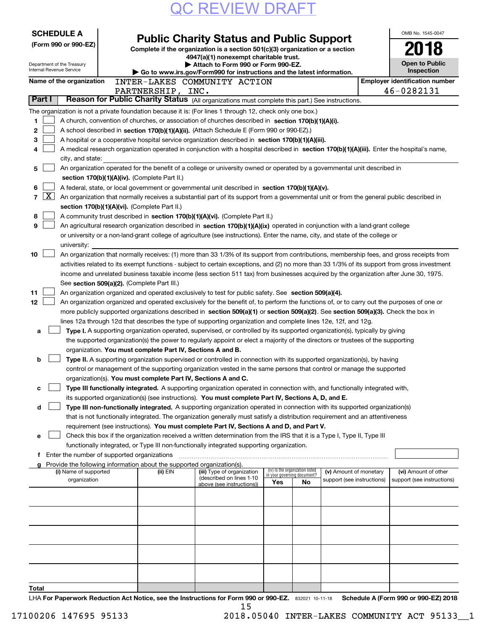| <b>SCHEDULE A</b> |                                                        |  |                                               |                                                                                                                                                                                                                                                                |     |                                                                |                            |  | OMB No. 1545-0047                                   |
|-------------------|--------------------------------------------------------|--|-----------------------------------------------|----------------------------------------------------------------------------------------------------------------------------------------------------------------------------------------------------------------------------------------------------------------|-----|----------------------------------------------------------------|----------------------------|--|-----------------------------------------------------|
|                   | (Form 990 or 990-EZ)                                   |  |                                               | <b>Public Charity Status and Public Support</b><br>Complete if the organization is a section 501(c)(3) organization or a section                                                                                                                               |     |                                                                |                            |  |                                                     |
|                   |                                                        |  |                                               | 4947(a)(1) nonexempt charitable trust.                                                                                                                                                                                                                         |     |                                                                |                            |  |                                                     |
|                   | Department of the Treasury<br>Internal Revenue Service |  |                                               | Attach to Form 990 or Form 990-EZ.                                                                                                                                                                                                                             |     |                                                                |                            |  | <b>Open to Public</b>                               |
|                   |                                                        |  |                                               | Go to www.irs.gov/Form990 for instructions and the latest information.                                                                                                                                                                                         |     |                                                                |                            |  | Inspection<br><b>Employer identification number</b> |
|                   | Name of the organization                               |  | PARTNERSHIP, INC.                             | INTER-LAKES COMMUNITY ACTION                                                                                                                                                                                                                                   |     |                                                                |                            |  | 46-0282131                                          |
| Part I            |                                                        |  |                                               | Reason for Public Charity Status (All organizations must complete this part.) See instructions.                                                                                                                                                                |     |                                                                |                            |  |                                                     |
|                   |                                                        |  |                                               | The organization is not a private foundation because it is: (For lines 1 through 12, check only one box.)                                                                                                                                                      |     |                                                                |                            |  |                                                     |
| 1.                |                                                        |  |                                               | A church, convention of churches, or association of churches described in section 170(b)(1)(A)(i).                                                                                                                                                             |     |                                                                |                            |  |                                                     |
| 2                 |                                                        |  |                                               | A school described in section 170(b)(1)(A)(ii). (Attach Schedule E (Form 990 or 990-EZ).)                                                                                                                                                                      |     |                                                                |                            |  |                                                     |
| 3                 |                                                        |  |                                               | A hospital or a cooperative hospital service organization described in section $170(b)(1)(A)(iii)$ .                                                                                                                                                           |     |                                                                |                            |  |                                                     |
| 4                 |                                                        |  |                                               | A medical research organization operated in conjunction with a hospital described in section 170(b)(1)(A)(iii). Enter the hospital's name,                                                                                                                     |     |                                                                |                            |  |                                                     |
|                   | city, and state:                                       |  |                                               |                                                                                                                                                                                                                                                                |     |                                                                |                            |  |                                                     |
| 5                 |                                                        |  |                                               | An organization operated for the benefit of a college or university owned or operated by a governmental unit described in                                                                                                                                      |     |                                                                |                            |  |                                                     |
|                   |                                                        |  | section 170(b)(1)(A)(iv). (Complete Part II.) |                                                                                                                                                                                                                                                                |     |                                                                |                            |  |                                                     |
| 6                 |                                                        |  |                                               | A federal, state, or local government or governmental unit described in section 170(b)(1)(A)(v).                                                                                                                                                               |     |                                                                |                            |  |                                                     |
| $\mathbf{X}$<br>7 |                                                        |  |                                               | An organization that normally receives a substantial part of its support from a governmental unit or from the general public described in                                                                                                                      |     |                                                                |                            |  |                                                     |
| 8                 |                                                        |  | section 170(b)(1)(A)(vi). (Complete Part II.) |                                                                                                                                                                                                                                                                |     |                                                                |                            |  |                                                     |
| 9                 |                                                        |  |                                               | A community trust described in section 170(b)(1)(A)(vi). (Complete Part II.)<br>An agricultural research organization described in section 170(b)(1)(A)(ix) operated in conjunction with a land-grant college                                                  |     |                                                                |                            |  |                                                     |
|                   |                                                        |  |                                               | or university or a non-land-grant college of agriculture (see instructions). Enter the name, city, and state of the college or                                                                                                                                 |     |                                                                |                            |  |                                                     |
|                   | university:                                            |  |                                               |                                                                                                                                                                                                                                                                |     |                                                                |                            |  |                                                     |
| 10                |                                                        |  |                                               | An organization that normally receives: (1) more than 33 1/3% of its support from contributions, membership fees, and gross receipts from                                                                                                                      |     |                                                                |                            |  |                                                     |
|                   |                                                        |  |                                               | activities related to its exempt functions - subject to certain exceptions, and (2) no more than 33 1/3% of its support from gross investment                                                                                                                  |     |                                                                |                            |  |                                                     |
|                   |                                                        |  |                                               | income and unrelated business taxable income (less section 511 tax) from businesses acquired by the organization after June 30, 1975.                                                                                                                          |     |                                                                |                            |  |                                                     |
|                   |                                                        |  | See section 509(a)(2). (Complete Part III.)   |                                                                                                                                                                                                                                                                |     |                                                                |                            |  |                                                     |
| 11                |                                                        |  |                                               | An organization organized and operated exclusively to test for public safety. See section 509(a)(4).                                                                                                                                                           |     |                                                                |                            |  |                                                     |
| 12                |                                                        |  |                                               | An organization organized and operated exclusively for the benefit of, to perform the functions of, or to carry out the purposes of one or                                                                                                                     |     |                                                                |                            |  |                                                     |
|                   |                                                        |  |                                               | more publicly supported organizations described in section 509(a)(1) or section 509(a)(2). See section 509(a)(3). Check the box in                                                                                                                             |     |                                                                |                            |  |                                                     |
|                   |                                                        |  |                                               | lines 12a through 12d that describes the type of supporting organization and complete lines 12e, 12f, and 12g.                                                                                                                                                 |     |                                                                |                            |  |                                                     |
| a                 |                                                        |  |                                               | Type I. A supporting organization operated, supervised, or controlled by its supported organization(s), typically by giving<br>the supported organization(s) the power to regularly appoint or elect a majority of the directors or trustees of the supporting |     |                                                                |                            |  |                                                     |
|                   |                                                        |  |                                               | organization. You must complete Part IV, Sections A and B.                                                                                                                                                                                                     |     |                                                                |                            |  |                                                     |
| b                 |                                                        |  |                                               | Type II. A supporting organization supervised or controlled in connection with its supported organization(s), by having                                                                                                                                        |     |                                                                |                            |  |                                                     |
|                   |                                                        |  |                                               | control or management of the supporting organization vested in the same persons that control or manage the supported                                                                                                                                           |     |                                                                |                            |  |                                                     |
|                   |                                                        |  |                                               | organization(s). You must complete Part IV, Sections A and C.                                                                                                                                                                                                  |     |                                                                |                            |  |                                                     |
| с                 |                                                        |  |                                               | Type III functionally integrated. A supporting organization operated in connection with, and functionally integrated with,                                                                                                                                     |     |                                                                |                            |  |                                                     |
|                   |                                                        |  |                                               | its supported organization(s) (see instructions). You must complete Part IV, Sections A, D, and E.                                                                                                                                                             |     |                                                                |                            |  |                                                     |
| d                 |                                                        |  |                                               | Type III non-functionally integrated. A supporting organization operated in connection with its supported organization(s)                                                                                                                                      |     |                                                                |                            |  |                                                     |
|                   |                                                        |  |                                               | that is not functionally integrated. The organization generally must satisfy a distribution requirement and an attentiveness                                                                                                                                   |     |                                                                |                            |  |                                                     |
|                   |                                                        |  |                                               | requirement (see instructions). You must complete Part IV, Sections A and D, and Part V.                                                                                                                                                                       |     |                                                                |                            |  |                                                     |
| е                 |                                                        |  |                                               | Check this box if the organization received a written determination from the IRS that it is a Type I, Type II, Type III                                                                                                                                        |     |                                                                |                            |  |                                                     |
|                   | Enter the number of supported organizations            |  |                                               | functionally integrated, or Type III non-functionally integrated supporting organization.                                                                                                                                                                      |     |                                                                |                            |  |                                                     |
|                   |                                                        |  |                                               | Provide the following information about the supported organization(s).                                                                                                                                                                                         |     |                                                                |                            |  |                                                     |
|                   | (i) Name of supported                                  |  | (ii) EIN                                      | (iii) Type of organization                                                                                                                                                                                                                                     |     | (iv) Is the organization listed<br>in your governing document? | (v) Amount of monetary     |  | (vi) Amount of other                                |
|                   | organization                                           |  |                                               | (described on lines 1-10<br>above (see instructions))                                                                                                                                                                                                          | Yes | No                                                             | support (see instructions) |  | support (see instructions)                          |
|                   |                                                        |  |                                               |                                                                                                                                                                                                                                                                |     |                                                                |                            |  |                                                     |
|                   |                                                        |  |                                               |                                                                                                                                                                                                                                                                |     |                                                                |                            |  |                                                     |
|                   |                                                        |  |                                               |                                                                                                                                                                                                                                                                |     |                                                                |                            |  |                                                     |
|                   |                                                        |  |                                               |                                                                                                                                                                                                                                                                |     |                                                                |                            |  |                                                     |
|                   |                                                        |  |                                               |                                                                                                                                                                                                                                                                |     |                                                                |                            |  |                                                     |
|                   |                                                        |  |                                               |                                                                                                                                                                                                                                                                |     |                                                                |                            |  |                                                     |
|                   |                                                        |  |                                               |                                                                                                                                                                                                                                                                |     |                                                                |                            |  |                                                     |
|                   |                                                        |  |                                               |                                                                                                                                                                                                                                                                |     |                                                                |                            |  |                                                     |
|                   |                                                        |  |                                               |                                                                                                                                                                                                                                                                |     |                                                                |                            |  |                                                     |
| Total             |                                                        |  |                                               |                                                                                                                                                                                                                                                                |     |                                                                |                            |  |                                                     |

LHA For Paperwork Reduction Act Notice, see the Instructions for Form 990 or 990-EZ. 832021 10-11-18 Schedule A (Form 990 or 990-EZ) 2018 15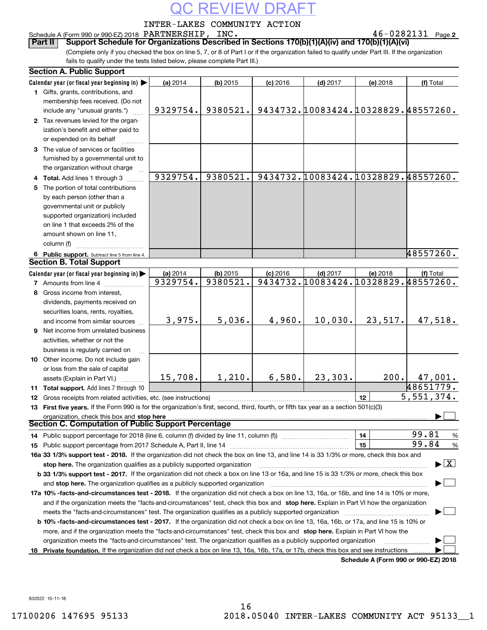### INTER-LAKES COMMUNITY ACTION

### Schedule A (Form 990 or 990-EZ) 2018 Page PARTNERSHIP, INC. 46-0282131

**2**

(Complete only if you checked the box on line 5, 7, or 8 of Part I or if the organization failed to qualify under Part III. If the organization fails to qualify under the tests listed below, please complete Part III.) **Part II** | Support Schedule for Organizations Described in Sections 170(b)(1)(A)(iv) and 170(b)(1)(A)(vi)

| <b>Section A. Public Support</b>                                                                                                               |          |            |            |            |                                      |                                          |
|------------------------------------------------------------------------------------------------------------------------------------------------|----------|------------|------------|------------|--------------------------------------|------------------------------------------|
| Calendar year (or fiscal year beginning in)                                                                                                    | (a) 2014 | $(b)$ 2015 | $(c)$ 2016 | $(d)$ 2017 | (e) 2018                             | (f) Total                                |
| 1 Gifts, grants, contributions, and                                                                                                            |          |            |            |            |                                      |                                          |
| membership fees received. (Do not                                                                                                              |          |            |            |            |                                      |                                          |
| include any "unusual grants.")                                                                                                                 | 9329754. | 9380521.   |            |            | 9434732.10083424.10328829.48557260.  |                                          |
| 2 Tax revenues levied for the organ-                                                                                                           |          |            |            |            |                                      |                                          |
| ization's benefit and either paid to                                                                                                           |          |            |            |            |                                      |                                          |
| or expended on its behalf                                                                                                                      |          |            |            |            |                                      |                                          |
| 3 The value of services or facilities                                                                                                          |          |            |            |            |                                      |                                          |
| furnished by a governmental unit to                                                                                                            |          |            |            |            |                                      |                                          |
| the organization without charge                                                                                                                |          |            |            |            |                                      |                                          |
| 4 Total. Add lines 1 through 3                                                                                                                 | 9329754. | 9380521.   |            |            | 9434732.10083424.10328829.48557260.  |                                          |
| 5 The portion of total contributions                                                                                                           |          |            |            |            |                                      |                                          |
| by each person (other than a                                                                                                                   |          |            |            |            |                                      |                                          |
| governmental unit or publicly                                                                                                                  |          |            |            |            |                                      |                                          |
| supported organization) included                                                                                                               |          |            |            |            |                                      |                                          |
| on line 1 that exceeds 2% of the                                                                                                               |          |            |            |            |                                      |                                          |
| amount shown on line 11,                                                                                                                       |          |            |            |            |                                      |                                          |
| column (f)                                                                                                                                     |          |            |            |            |                                      |                                          |
| 6 Public support. Subtract line 5 from line 4.                                                                                                 |          |            |            |            |                                      | 48557260.                                |
| <b>Section B. Total Support</b>                                                                                                                |          |            |            |            |                                      |                                          |
| Calendar year (or fiscal year beginning in)                                                                                                    | (a) 2014 | $(b)$ 2015 | $(c)$ 2016 | $(d)$ 2017 | (e) 2018                             | (f) Total                                |
| <b>7</b> Amounts from line 4                                                                                                                   | 9329754. | 9380521.   |            |            | 9434732.10083424.10328829.48557260.  |                                          |
| 8 Gross income from interest,                                                                                                                  |          |            |            |            |                                      |                                          |
| dividends, payments received on                                                                                                                |          |            |            |            |                                      |                                          |
| securities loans, rents, royalties,                                                                                                            |          |            |            |            |                                      |                                          |
| and income from similar sources                                                                                                                | 3,975.   | 5,036.     | 4,960.     | 10,030.    | 23,517.                              | 47,518.                                  |
| 9 Net income from unrelated business                                                                                                           |          |            |            |            |                                      |                                          |
| activities, whether or not the                                                                                                                 |          |            |            |            |                                      |                                          |
| business is regularly carried on                                                                                                               |          |            |            |            |                                      |                                          |
| 10 Other income. Do not include gain                                                                                                           |          |            |            |            |                                      |                                          |
| or loss from the sale of capital                                                                                                               |          |            |            |            |                                      |                                          |
| assets (Explain in Part VI.)                                                                                                                   | 15,708.  | 1,210.     | 6,580.     | 23,303.    | 200.                                 | 47,001.                                  |
| 11 Total support. Add lines 7 through 10                                                                                                       |          |            |            |            |                                      | 48651779.                                |
| 12 Gross receipts from related activities, etc. (see instructions)                                                                             |          |            |            |            | 12                                   | 5,551,374.                               |
| 13 First five years. If the Form 990 is for the organization's first, second, third, fourth, or fifth tax year as a section 501(c)(3)          |          |            |            |            |                                      |                                          |
| organization, check this box and stop here                                                                                                     |          |            |            |            |                                      |                                          |
| Section C. Computation of Public Support Percentage                                                                                            |          |            |            |            |                                      |                                          |
| 14 Public support percentage for 2018 (line 6, column (f) divided by line 11, column (f) <i>mummention</i>                                     |          |            |            |            | 14                                   | 99.81<br>%                               |
|                                                                                                                                                |          |            |            |            | 15                                   | 99.84<br>%                               |
| 16a 33 1/3% support test - 2018. If the organization did not check the box on line 13, and line 14 is 33 1/3% or more, check this box and      |          |            |            |            |                                      |                                          |
| stop here. The organization qualifies as a publicly supported organization                                                                     |          |            |            |            |                                      | $\blacktriangleright$ $\boxed{\text{X}}$ |
| b 33 1/3% support test - 2017. If the organization did not check a box on line 13 or 16a, and line 15 is 33 1/3% or more, check this box       |          |            |            |            |                                      |                                          |
| and stop here. The organization qualifies as a publicly supported organization                                                                 |          |            |            |            |                                      |                                          |
| 17a 10% -facts-and-circumstances test - 2018. If the organization did not check a box on line 13, 16a, or 16b, and line 14 is 10% or more,     |          |            |            |            |                                      |                                          |
| and if the organization meets the "facts-and-circumstances" test, check this box and stop here. Explain in Part VI how the organization        |          |            |            |            |                                      |                                          |
| meets the "facts-and-circumstances" test. The organization qualifies as a publicly supported organization                                      |          |            |            |            |                                      |                                          |
| <b>b 10% -facts-and-circumstances test - 2017.</b> If the organization did not check a box on line 13, 16a, 16b, or 17a, and line 15 is 10% or |          |            |            |            |                                      |                                          |
| more, and if the organization meets the "facts-and-circumstances" test, check this box and stop here. Explain in Part VI how the               |          |            |            |            |                                      |                                          |
| organization meets the "facts-and-circumstances" test. The organization qualifies as a publicly supported organization                         |          |            |            |            |                                      |                                          |
| 18 Private foundation. If the organization did not check a box on line 13, 16a, 16b, 17a, or 17b, check this box and see instructions          |          |            |            |            |                                      |                                          |
|                                                                                                                                                |          |            |            |            | Schedule A (Form 990 or 990-EZ) 2018 |                                          |

832022 10-11-18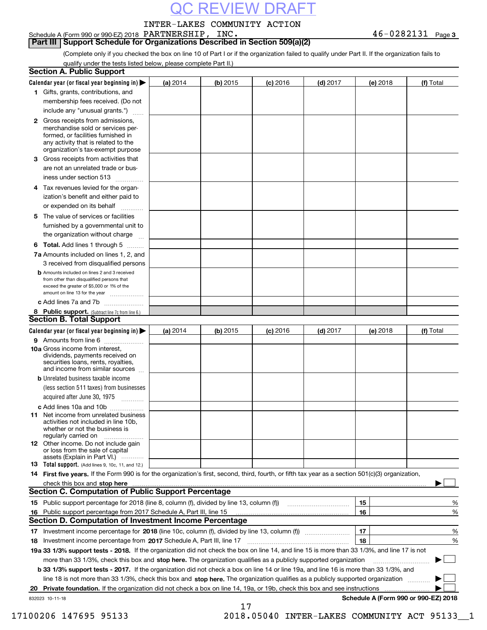### INTER-LAKES COMMUNITY ACTION

**3** Schedule A (Form 990 or 990-EZ) 2018 Page PARTNERSHIP, INC. 46-0282131

(Complete only if you checked the box on line 10 of Part I or if the organization failed to qualify under Part II. If the organization fails to **Part III** | Support Schedule for Organizations Described in Section 509(a)(2)

|  |  | qualify under the tests listed below, please complete Part II.) |  |
|--|--|-----------------------------------------------------------------|--|
|  |  |                                                                 |  |

|    | <b>Section A. Public Support</b>                                                                                                                                                                                               |          |          |            |            |          |                                      |
|----|--------------------------------------------------------------------------------------------------------------------------------------------------------------------------------------------------------------------------------|----------|----------|------------|------------|----------|--------------------------------------|
|    | Calendar year (or fiscal year beginning in) $\blacktriangleright$                                                                                                                                                              | (a) 2014 | (b) 2015 | $(c)$ 2016 | $(d)$ 2017 | (e) 2018 | (f) Total                            |
|    | 1 Gifts, grants, contributions, and                                                                                                                                                                                            |          |          |            |            |          |                                      |
|    | membership fees received. (Do not                                                                                                                                                                                              |          |          |            |            |          |                                      |
|    | include any "unusual grants.")                                                                                                                                                                                                 |          |          |            |            |          |                                      |
|    | <b>2</b> Gross receipts from admissions,<br>merchandise sold or services per-<br>formed, or facilities furnished in<br>any activity that is related to the<br>organization's tax-exempt purpose                                |          |          |            |            |          |                                      |
|    | 3 Gross receipts from activities that<br>are not an unrelated trade or bus-                                                                                                                                                    |          |          |            |            |          |                                      |
|    | iness under section 513                                                                                                                                                                                                        |          |          |            |            |          |                                      |
|    | 4 Tax revenues levied for the organ-                                                                                                                                                                                           |          |          |            |            |          |                                      |
|    | ization's benefit and either paid to<br>or expended on its behalf<br>.                                                                                                                                                         |          |          |            |            |          |                                      |
|    | 5 The value of services or facilities<br>furnished by a governmental unit to                                                                                                                                                   |          |          |            |            |          |                                      |
|    | the organization without charge                                                                                                                                                                                                |          |          |            |            |          |                                      |
|    | <b>6 Total.</b> Add lines 1 through 5                                                                                                                                                                                          |          |          |            |            |          |                                      |
|    | 7a Amounts included on lines 1, 2, and<br>3 received from disqualified persons                                                                                                                                                 |          |          |            |            |          |                                      |
|    | <b>b</b> Amounts included on lines 2 and 3 received<br>from other than disqualified persons that<br>exceed the greater of \$5,000 or 1% of the<br>amount on line 13 for the year                                               |          |          |            |            |          |                                      |
|    | c Add lines 7a and 7b                                                                                                                                                                                                          |          |          |            |            |          |                                      |
|    | 8 Public support. (Subtract line 7c from line 6.)<br><b>Section B. Total Support</b>                                                                                                                                           |          |          |            |            |          |                                      |
|    | Calendar year (or fiscal year beginning in)                                                                                                                                                                                    | (a) 2014 | (b) 2015 | $(c)$ 2016 | $(d)$ 2017 | (e) 2018 | (f) Total                            |
|    | 9 Amounts from line 6                                                                                                                                                                                                          |          |          |            |            |          |                                      |
|    | 10a Gross income from interest,<br>dividends, payments received on<br>securities loans, rents, royalties,<br>and income from similar sources                                                                                   |          |          |            |            |          |                                      |
|    | <b>b</b> Unrelated business taxable income                                                                                                                                                                                     |          |          |            |            |          |                                      |
|    | (less section 511 taxes) from businesses<br>acquired after June 30, 1975                                                                                                                                                       |          |          |            |            |          |                                      |
|    | c Add lines 10a and 10b                                                                                                                                                                                                        |          |          |            |            |          |                                      |
|    | 11 Net income from unrelated business<br>activities not included in line 10b,<br>whether or not the business is<br>regularly carried on                                                                                        |          |          |            |            |          |                                      |
|    | <b>12</b> Other income. Do not include gain<br>or loss from the sale of capital<br>assets (Explain in Part VI.)                                                                                                                |          |          |            |            |          |                                      |
|    | <b>13</b> Total support. (Add lines 9, 10c, 11, and 12.)                                                                                                                                                                       |          |          |            |            |          |                                      |
|    | 14 First five years. If the Form 990 is for the organization's first, second, third, fourth, or fifth tax year as a section 501(c)(3) organization,                                                                            |          |          |            |            |          |                                      |
|    | check this box and stop here manufactured and content to the state of the state of the state of the state of the state of the state of the state of the state of the state of the state of the state of the state of the state |          |          |            |            |          |                                      |
|    | <b>Section C. Computation of Public Support Percentage</b>                                                                                                                                                                     |          |          |            |            |          |                                      |
|    | 15 Public support percentage for 2018 (line 8, column (f), divided by line 13, column (f))                                                                                                                                     |          |          |            |            | 15       | %                                    |
|    | 16 Public support percentage from 2017 Schedule A, Part III, line 15                                                                                                                                                           |          |          |            |            | 16       | %                                    |
|    | <b>Section D. Computation of Investment Income Percentage</b>                                                                                                                                                                  |          |          |            |            |          |                                      |
|    | 17 Investment income percentage for 2018 (line 10c, column (f), divided by line 13, column (f))<br><b>18</b> Investment income percentage from <b>2017</b> Schedule A, Part III, line 17                                       |          |          |            |            | 17<br>18 | %<br>%                               |
|    | 19a 33 1/3% support tests - 2018. If the organization did not check the box on line 14, and line 15 is more than 33 1/3%, and line 17 is not                                                                                   |          |          |            |            |          |                                      |
|    | more than 33 1/3%, check this box and stop here. The organization qualifies as a publicly supported organization                                                                                                               |          |          |            |            |          | $\sim$ 1                             |
|    | b 33 1/3% support tests - 2017. If the organization did not check a box on line 14 or line 19a, and line 16 is more than 33 1/3%, and                                                                                          |          |          |            |            |          |                                      |
|    | line 18 is not more than 33 1/3%, check this box and stop here. The organization qualifies as a publicly supported organization                                                                                                |          |          |            |            |          |                                      |
| 20 | Private foundation. If the organization did not check a box on line 14, 19a, or 19b, check this box and see instructions                                                                                                       |          |          |            |            |          |                                      |
|    | 832023 10-11-18                                                                                                                                                                                                                |          |          |            |            |          | Schedule A (Form 990 or 990-EZ) 2018 |
|    |                                                                                                                                                                                                                                |          | 17       |            |            |          |                                      |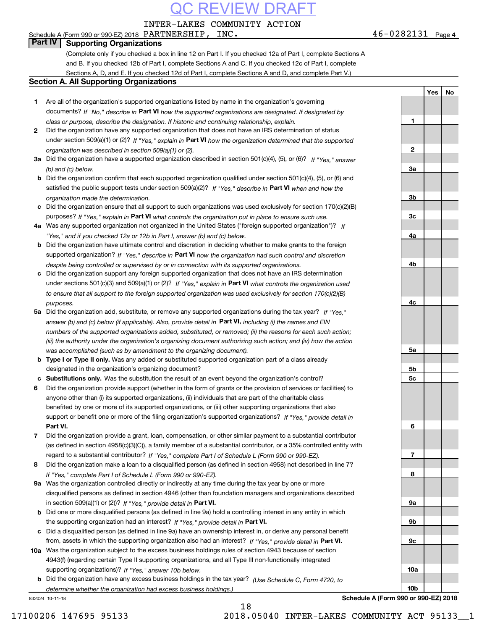INTER-LAKES COMMUNITY ACTION

### Schedule A (Form 990 or 990-EZ) 2018 Page PARTNERSHIP, INC. 46-0282131

**Part IV Supporting Organizations**

(Complete only if you checked a box in line 12 on Part I. If you checked 12a of Part I, complete Sections A and B. If you checked 12b of Part I, complete Sections A and C. If you checked 12c of Part I, complete Sections A, D, and E. If you checked 12d of Part I, complete Sections A and D, and complete Part V.)

### **Section A. All Supporting Organizations**

- **2**under section 509(a)(1) or (2)? If "Yes," explain in Part VI how the organization determined that the supported *organization was described in section 509(a)(1) or (2).* Did the organization have any supported organization that does not have an IRS determination of status
- **3a** Did the organization have a supported organization described in section 501(c)(4), (5), or (6)? If "Yes," answer *(b) and (c) below.*
- **b** Did the organization confirm that each supported organization qualified under section 501(c)(4), (5), or (6) and satisfied the public support tests under section 509(a)(2)? If "Yes," describe in **Part VI** when and how the *organization made the determination.*
- **c**Did the organization ensure that all support to such organizations was used exclusively for section 170(c)(2)(B) purposes? If "Yes," explain in **Part VI** what controls the organization put in place to ensure such use.
- **4a***If* Was any supported organization not organized in the United States ("foreign supported organization")? *"Yes," and if you checked 12a or 12b in Part I, answer (b) and (c) below.*
- **b** Did the organization have ultimate control and discretion in deciding whether to make grants to the foreign supported organization? If "Yes," describe in **Part VI** how the organization had such control and discretion *despite being controlled or supervised by or in connection with its supported organizations.*
- **c** Did the organization support any foreign supported organization that does not have an IRS determination under sections 501(c)(3) and 509(a)(1) or (2)? If "Yes," explain in **Part VI** what controls the organization used *to ensure that all support to the foreign supported organization was used exclusively for section 170(c)(2)(B) purposes.*
- **5a***If "Yes,"* Did the organization add, substitute, or remove any supported organizations during the tax year? answer (b) and (c) below (if applicable). Also, provide detail in **Part VI,** including (i) the names and EIN *numbers of the supported organizations added, substituted, or removed; (ii) the reasons for each such action; (iii) the authority under the organization's organizing document authorizing such action; and (iv) how the action was accomplished (such as by amendment to the organizing document).*
- **b** Type I or Type II only. Was any added or substituted supported organization part of a class already designated in the organization's organizing document?
- **cSubstitutions only.**  Was the substitution the result of an event beyond the organization's control?
- **6** Did the organization provide support (whether in the form of grants or the provision of services or facilities) to **Part VI.** *If "Yes," provide detail in* support or benefit one or more of the filing organization's supported organizations? anyone other than (i) its supported organizations, (ii) individuals that are part of the charitable class benefited by one or more of its supported organizations, or (iii) other supporting organizations that also
- **7**Did the organization provide a grant, loan, compensation, or other similar payment to a substantial contributor *If "Yes," complete Part I of Schedule L (Form 990 or 990-EZ).* regard to a substantial contributor? (as defined in section 4958(c)(3)(C)), a family member of a substantial contributor, or a 35% controlled entity with
- **8***If "Yes," complete Part I of Schedule L (Form 990 or 990-EZ).* Did the organization make a loan to a disqualified person (as defined in section 4958) not described in line 7?
- **9a** Was the organization controlled directly or indirectly at any time during the tax year by one or more in section 509(a)(1) or (2))? If "Yes," *provide detail in* <code>Part VI.</code> disqualified persons as defined in section 4946 (other than foundation managers and organizations described
- **b**the supporting organization had an interest? If "Yes," provide detail in P**art VI**. Did one or more disqualified persons (as defined in line 9a) hold a controlling interest in any entity in which
- **c**Did a disqualified person (as defined in line 9a) have an ownership interest in, or derive any personal benefit from, assets in which the supporting organization also had an interest? If "Yes," provide detail in P**art VI.**
- **10a** Was the organization subject to the excess business holdings rules of section 4943 because of section supporting organizations)? If "Yes," answer 10b below. 4943(f) (regarding certain Type II supporting organizations, and all Type III non-functionally integrated
- **b** Did the organization have any excess business holdings in the tax year? (Use Schedule C, Form 4720, to *determine whether the organization had excess business holdings.)*

832024 10-11-18

| 1              |  |
|----------------|--|
|                |  |
| $\overline{2}$ |  |
|                |  |
| <u>3a</u>      |  |
|                |  |
| $\frac{3b}{2}$ |  |
|                |  |
| $\frac{3c}{2}$ |  |
|                |  |
| <u>4a</u>      |  |
|                |  |
| <u>4b</u>      |  |
|                |  |
| $rac{4c}{2}$   |  |
|                |  |
| <u>5a</u>      |  |
|                |  |
| <u>5b</u>      |  |
| $\frac{5c}{2}$ |  |
|                |  |
| 6              |  |
|                |  |
| $\overline{1}$ |  |
|                |  |
| 8              |  |
|                |  |
| <u>9a</u>      |  |
|                |  |
| <u>9b</u>      |  |
| 9c             |  |

**Yes**

 **No**

**Schedule A (Form 990 or 990-EZ) 2018**

**10a**

**10b**

18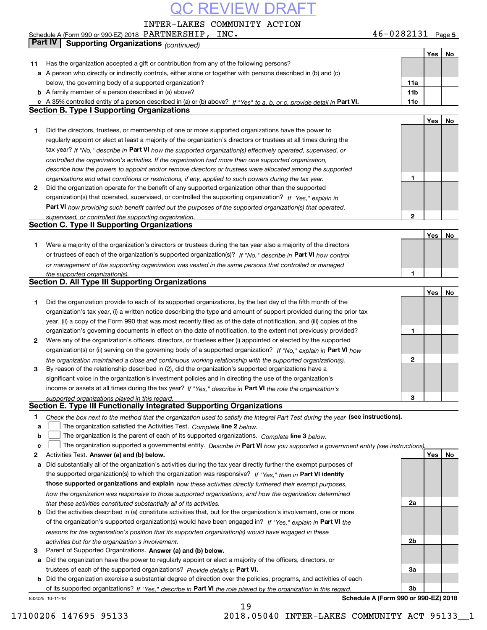INTER-LAKES COMMUNITY ACTION

|    | Schedule A (Form 990 or 990-EZ) 2018 $\rm {PARTNERSHIP}$ , $\rm {INC}$ .                                                                                                                                     | $46 - 0282131$ Page 5 |     |    |
|----|--------------------------------------------------------------------------------------------------------------------------------------------------------------------------------------------------------------|-----------------------|-----|----|
|    | <b>Part IV</b><br><b>Supporting Organizations (continued)</b>                                                                                                                                                |                       |     |    |
|    |                                                                                                                                                                                                              |                       | Yes | No |
| 11 | Has the organization accepted a gift or contribution from any of the following persons?                                                                                                                      |                       |     |    |
| а  | A person who directly or indirectly controls, either alone or together with persons described in (b) and (c)                                                                                                 |                       |     |    |
|    | below, the governing body of a supported organization?                                                                                                                                                       | 11a                   |     |    |
|    | <b>b</b> A family member of a person described in (a) above?                                                                                                                                                 | 11 <sub>b</sub>       |     |    |
|    | c A 35% controlled entity of a person described in (a) or (b) above? If "Yes" to a, b, or c, provide detail in Part VI.                                                                                      | 11c                   |     |    |
|    | <b>Section B. Type I Supporting Organizations</b>                                                                                                                                                            |                       |     |    |
|    |                                                                                                                                                                                                              |                       | Yes | No |
| 1. | Did the directors, trustees, or membership of one or more supported organizations have the power to                                                                                                          |                       |     |    |
|    | regularly appoint or elect at least a majority of the organization's directors or trustees at all times during the                                                                                           |                       |     |    |
|    | tax year? If "No," describe in Part VI how the supported organization(s) effectively operated, supervised, or                                                                                                |                       |     |    |
|    | controlled the organization's activities. If the organization had more than one supported organization,                                                                                                      |                       |     |    |
|    | describe how the powers to appoint and/or remove directors or trustees were allocated among the supported                                                                                                    |                       |     |    |
|    | organizations and what conditions or restrictions, if any, applied to such powers during the tax year.                                                                                                       | 1                     |     |    |
| 2  | Did the organization operate for the benefit of any supported organization other than the supported                                                                                                          |                       |     |    |
|    | organization(s) that operated, supervised, or controlled the supporting organization? If "Yes," explain in                                                                                                   |                       |     |    |
|    | Part VI how providing such benefit carried out the purposes of the supported organization(s) that operated,                                                                                                  |                       |     |    |
|    | supervised, or controlled the supporting organization.                                                                                                                                                       | $\mathbf{2}$          |     |    |
|    | <b>Section C. Type II Supporting Organizations</b>                                                                                                                                                           |                       |     |    |
|    |                                                                                                                                                                                                              |                       | Yes | No |
| 1. | Were a majority of the organization's directors or trustees during the tax year also a majority of the directors                                                                                             |                       |     |    |
|    | or trustees of each of the organization's supported organization(s)? If "No," describe in Part VI how control                                                                                                |                       |     |    |
|    | or management of the supporting organization was vested in the same persons that controlled or managed                                                                                                       | 1                     |     |    |
|    | the supported organization(s).<br><b>Section D. All Type III Supporting Organizations</b>                                                                                                                    |                       |     |    |
|    |                                                                                                                                                                                                              |                       | Yes | No |
| 1  | Did the organization provide to each of its supported organizations, by the last day of the fifth month of the                                                                                               |                       |     |    |
|    | organization's tax year, (i) a written notice describing the type and amount of support provided during the prior tax                                                                                        |                       |     |    |
|    | year, (ii) a copy of the Form 990 that was most recently filed as of the date of notification, and (iii) copies of the                                                                                       |                       |     |    |
|    | organization's governing documents in effect on the date of notification, to the extent not previously provided?                                                                                             | 1                     |     |    |
| 2  | Were any of the organization's officers, directors, or trustees either (i) appointed or elected by the supported                                                                                             |                       |     |    |
|    | organization(s) or (ii) serving on the governing body of a supported organization? If "No," explain in Part VI how                                                                                           |                       |     |    |
|    | the organization maintained a close and continuous working relationship with the supported organization(s).                                                                                                  | 2                     |     |    |
| 3  | By reason of the relationship described in (2), did the organization's supported organizations have a                                                                                                        |                       |     |    |
|    | significant voice in the organization's investment policies and in directing the use of the organization's                                                                                                   |                       |     |    |
|    | income or assets at all times during the tax year? If "Yes," describe in Part VI the role the organization's                                                                                                 |                       |     |    |
|    | supported organizations played in this regard.                                                                                                                                                               | 3                     |     |    |
|    | Section E. Type III Functionally Integrated Supporting Organizations                                                                                                                                         |                       |     |    |
| 1  | Check the box next to the method that the organization used to satisfy the Integral Part Test during the year (see instructions).                                                                            |                       |     |    |
| a  | The organization satisfied the Activities Test. Complete line 2 below.                                                                                                                                       |                       |     |    |
| b  | The organization is the parent of each of its supported organizations. Complete line 3 below.                                                                                                                |                       |     |    |
| c  | The organization supported a governmental entity. Describe in Part VI how you supported a government entity (see instructions),                                                                              |                       |     |    |
| 2  | Activities Test. Answer (a) and (b) below.                                                                                                                                                                   |                       | Yes | No |
| а  | Did substantially all of the organization's activities during the tax year directly further the exempt purposes of                                                                                           |                       |     |    |
|    | the supported organization(s) to which the organization was responsive? If "Yes," then in Part VI identify                                                                                                   |                       |     |    |
|    | those supported organizations and explain how these activities directly furthered their exempt purposes,                                                                                                     |                       |     |    |
|    | how the organization was responsive to those supported organizations, and how the organization determined                                                                                                    |                       |     |    |
|    | that these activities constituted substantially all of its activities.                                                                                                                                       | 2a                    |     |    |
| b  | Did the activities described in (a) constitute activities that, but for the organization's involvement, one or more                                                                                          |                       |     |    |
|    | of the organization's supported organization(s) would have been engaged in? If "Yes," explain in Part VI the                                                                                                 |                       |     |    |
|    | reasons for the organization's position that its supported organization(s) would have engaged in these                                                                                                       |                       |     |    |
|    | activities but for the organization's involvement.                                                                                                                                                           | 2b                    |     |    |
| 3  | Parent of Supported Organizations. Answer (a) and (b) below.                                                                                                                                                 |                       |     |    |
| а  | Did the organization have the power to regularly appoint or elect a majority of the officers, directors, or                                                                                                  |                       |     |    |
|    | trustees of each of the supported organizations? Provide details in Part VI.<br><b>b</b> Did the organization exercise a substantial degree of direction over the policies, programs, and activities of each | За                    |     |    |
|    |                                                                                                                                                                                                              |                       |     |    |

**bPart VI**  *If "Yes," describe in the role played by the organization in this regard.* of its supported organizations? Did the organization exercise a substantial degree of direction over the policies, programs, and activities of each

832025 10-11-18

**Schedule A (Form 990 or 990-EZ) 2018**

**3b**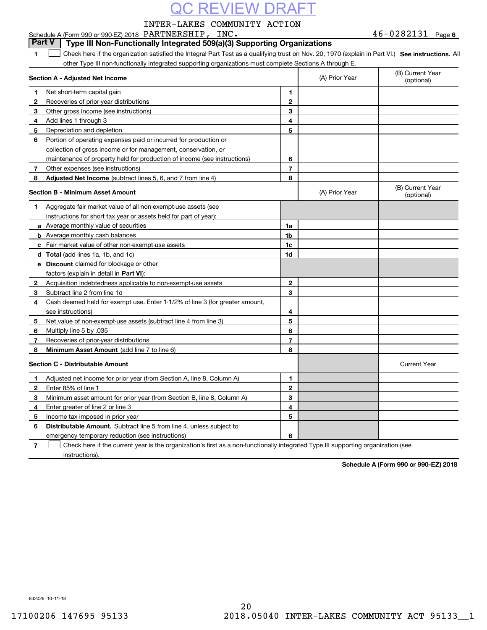### INTER-LAKES COMMUNITY ACTION

Schedule A (Form 990 or 990-EZ) 2018 Page PARTNERSHIP, INC. 46-0282131

**6**

| <b>Part V</b> | Type III Non-Functionally Integrated 509(a)(3) Supporting Organizations                                                                            |  |
|---------------|----------------------------------------------------------------------------------------------------------------------------------------------------|--|
|               | Check here if the organization satisfied the Integral Part Test as a qualifying trust on Nov. 20, 1970 (explain in Part VI.) See instructions. Al' |  |
|               | other Type III non-functionally integrated supporting organizations must complete Sections A through E.                                            |  |

|              | Section A - Adjusted Net Income                                                                                                   |                | (A) Prior Year | (B) Current Year<br>(optional) |
|--------------|-----------------------------------------------------------------------------------------------------------------------------------|----------------|----------------|--------------------------------|
| 1.           | Net short-term capital gain                                                                                                       | 1              |                |                                |
| $\mathbf{2}$ | Recoveries of prior-year distributions                                                                                            | $\overline{2}$ |                |                                |
| 3            | Other gross income (see instructions)                                                                                             | 3              |                |                                |
| 4            | Add lines 1 through 3                                                                                                             | 4              |                |                                |
| 5            | Depreciation and depletion                                                                                                        | 5              |                |                                |
| 6            | Portion of operating expenses paid or incurred for production or                                                                  |                |                |                                |
|              | collection of gross income or for management, conservation, or                                                                    |                |                |                                |
|              | maintenance of property held for production of income (see instructions)                                                          | 6              |                |                                |
| 7            | Other expenses (see instructions)                                                                                                 | 7              |                |                                |
| 8            | <b>Adjusted Net Income</b> (subtract lines 5, 6, and 7 from line 4)                                                               | 8              |                |                                |
|              | <b>Section B - Minimum Asset Amount</b>                                                                                           |                | (A) Prior Year | (B) Current Year<br>(optional) |
| 1            | Aggregate fair market value of all non-exempt-use assets (see                                                                     |                |                |                                |
|              | instructions for short tax year or assets held for part of year):                                                                 |                |                |                                |
|              | a Average monthly value of securities                                                                                             | 1a             |                |                                |
|              | <b>b</b> Average monthly cash balances                                                                                            | 1b             |                |                                |
|              | c Fair market value of other non-exempt-use assets                                                                                | 1c             |                |                                |
|              | d Total (add lines 1a, 1b, and 1c)                                                                                                | 1d             |                |                                |
|              | <b>e</b> Discount claimed for blockage or other                                                                                   |                |                |                                |
|              | factors (explain in detail in Part VI):                                                                                           |                |                |                                |
| 2            | Acquisition indebtedness applicable to non-exempt-use assets                                                                      | $\mathbf 2$    |                |                                |
| 3            | Subtract line 2 from line 1d                                                                                                      | 3              |                |                                |
| 4            | Cash deemed held for exempt use. Enter 1-1/2% of line 3 (for greater amount,                                                      |                |                |                                |
|              | see instructions)                                                                                                                 | 4              |                |                                |
| 5            | Net value of non-exempt-use assets (subtract line 4 from line 3)                                                                  | 5              |                |                                |
| 6            | Multiply line 5 by .035                                                                                                           | 6              |                |                                |
| 7            | Recoveries of prior-year distributions                                                                                            | 7              |                |                                |
| 8            | Minimum Asset Amount (add line 7 to line 6)                                                                                       | 8              |                |                                |
|              | <b>Section C - Distributable Amount</b>                                                                                           |                |                | <b>Current Year</b>            |
| 1            | Adjusted net income for prior year (from Section A, line 8, Column A)                                                             | $\mathbf{1}$   |                |                                |
| 2            | Enter 85% of line 1                                                                                                               | $\overline{2}$ |                |                                |
| 3            | Minimum asset amount for prior year (from Section B, line 8, Column A)                                                            | 3              |                |                                |
| 4            | Enter greater of line 2 or line 3                                                                                                 | 4              |                |                                |
| 5            | Income tax imposed in prior year                                                                                                  | 5              |                |                                |
| 6            | <b>Distributable Amount.</b> Subtract line 5 from line 4, unless subject to                                                       |                |                |                                |
|              | emergency temporary reduction (see instructions)                                                                                  | 6              |                |                                |
| 7            | Check here if the current year is the organization's first as a non-functionally integrated Type III supporting organization (see |                |                |                                |

instructions).

**Schedule A (Form 990 or 990-EZ) 2018**

832026 10-11-18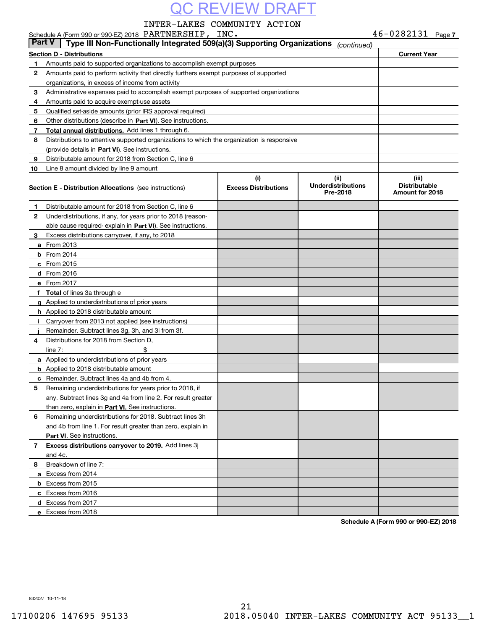### INTER-LAKES COMMUNITY ACTION

|               |                    | Schedule A (Form 990 or 990-EZ) 2018 PARTNERSHIP, INC.                                     |                                    |                                               | $46 - 0282131$ Page 7                            |  |
|---------------|--------------------|--------------------------------------------------------------------------------------------|------------------------------------|-----------------------------------------------|--------------------------------------------------|--|
| <b>Part V</b> |                    | Type III Non-Functionally Integrated 509(a)(3) Supporting Organizations                    |                                    | (continued)                                   |                                                  |  |
|               |                    | <b>Section D - Distributions</b>                                                           |                                    |                                               | <b>Current Year</b>                              |  |
| 1.            |                    | Amounts paid to supported organizations to accomplish exempt purposes                      |                                    |                                               |                                                  |  |
| $\mathbf{2}$  |                    | Amounts paid to perform activity that directly furthers exempt purposes of supported       |                                    |                                               |                                                  |  |
|               |                    | organizations, in excess of income from activity                                           |                                    |                                               |                                                  |  |
| 3             |                    | Administrative expenses paid to accomplish exempt purposes of supported organizations      |                                    |                                               |                                                  |  |
| 4             |                    | Amounts paid to acquire exempt-use assets                                                  |                                    |                                               |                                                  |  |
| 5             |                    | Qualified set-aside amounts (prior IRS approval required)                                  |                                    |                                               |                                                  |  |
| 6             |                    | Other distributions (describe in Part VI). See instructions.                               |                                    |                                               |                                                  |  |
| 7             |                    | Total annual distributions. Add lines 1 through 6.                                         |                                    |                                               |                                                  |  |
| 8             |                    | Distributions to attentive supported organizations to which the organization is responsive |                                    |                                               |                                                  |  |
|               |                    | (provide details in Part VI). See instructions.                                            |                                    |                                               |                                                  |  |
| 9             |                    | Distributable amount for 2018 from Section C, line 6                                       |                                    |                                               |                                                  |  |
| 10            |                    | Line 8 amount divided by line 9 amount                                                     |                                    |                                               |                                                  |  |
|               |                    | Section E - Distribution Allocations (see instructions)                                    | (i)<br><b>Excess Distributions</b> | (ii)<br><b>Underdistributions</b><br>Pre-2018 | (iii)<br><b>Distributable</b><br>Amount for 2018 |  |
| 1             |                    | Distributable amount for 2018 from Section C, line 6                                       |                                    |                                               |                                                  |  |
| 2             |                    | Underdistributions, if any, for years prior to 2018 (reason-                               |                                    |                                               |                                                  |  |
|               |                    | able cause required-explain in Part VI). See instructions.                                 |                                    |                                               |                                                  |  |
| з             |                    | Excess distributions carryover, if any, to 2018                                            |                                    |                                               |                                                  |  |
|               | <b>a</b> From 2013 |                                                                                            |                                    |                                               |                                                  |  |
|               | <b>b</b> From 2014 |                                                                                            |                                    |                                               |                                                  |  |
|               | $c$ From 2015      |                                                                                            |                                    |                                               |                                                  |  |
|               | d From 2016        |                                                                                            |                                    |                                               |                                                  |  |
|               | e From 2017        |                                                                                            |                                    |                                               |                                                  |  |
|               |                    | f Total of lines 3a through e                                                              |                                    |                                               |                                                  |  |
|               |                    | g Applied to underdistributions of prior years                                             |                                    |                                               |                                                  |  |
|               |                    | <b>h</b> Applied to 2018 distributable amount                                              |                                    |                                               |                                                  |  |
| Ī.            |                    | Carryover from 2013 not applied (see instructions)                                         |                                    |                                               |                                                  |  |
|               |                    | Remainder. Subtract lines 3g, 3h, and 3i from 3f.                                          |                                    |                                               |                                                  |  |
| 4             |                    | Distributions for 2018 from Section D.                                                     |                                    |                                               |                                                  |  |
|               | line $7:$          | \$                                                                                         |                                    |                                               |                                                  |  |
|               |                    | a Applied to underdistributions of prior years                                             |                                    |                                               |                                                  |  |
|               |                    | <b>b</b> Applied to 2018 distributable amount                                              |                                    |                                               |                                                  |  |
|               |                    | <b>c</b> Remainder. Subtract lines 4a and 4b from 4.                                       |                                    |                                               |                                                  |  |
|               |                    | Remaining underdistributions for years prior to 2018, if                                   |                                    |                                               |                                                  |  |
|               |                    | any. Subtract lines 3q and 4a from line 2. For result greater                              |                                    |                                               |                                                  |  |
|               |                    | than zero, explain in Part VI. See instructions.                                           |                                    |                                               |                                                  |  |
| 6             |                    | Remaining underdistributions for 2018. Subtract lines 3h                                   |                                    |                                               |                                                  |  |
|               |                    | and 4b from line 1. For result greater than zero, explain in                               |                                    |                                               |                                                  |  |
|               |                    | <b>Part VI.</b> See instructions.                                                          |                                    |                                               |                                                  |  |
| 7             |                    | Excess distributions carryover to 2019. Add lines 3j                                       |                                    |                                               |                                                  |  |
|               | and 4c.            |                                                                                            |                                    |                                               |                                                  |  |
| 8             |                    | Breakdown of line 7:                                                                       |                                    |                                               |                                                  |  |
|               |                    | a Excess from 2014                                                                         |                                    |                                               |                                                  |  |
|               |                    | <b>b</b> Excess from 2015                                                                  |                                    |                                               |                                                  |  |
|               |                    | c Excess from 2016                                                                         |                                    |                                               |                                                  |  |
|               |                    | d Excess from 2017                                                                         |                                    |                                               |                                                  |  |
|               |                    | e Excess from 2018                                                                         |                                    |                                               |                                                  |  |
|               |                    |                                                                                            |                                    |                                               |                                                  |  |

**Schedule A (Form 990 or 990-EZ) 2018**

832027 10-11-18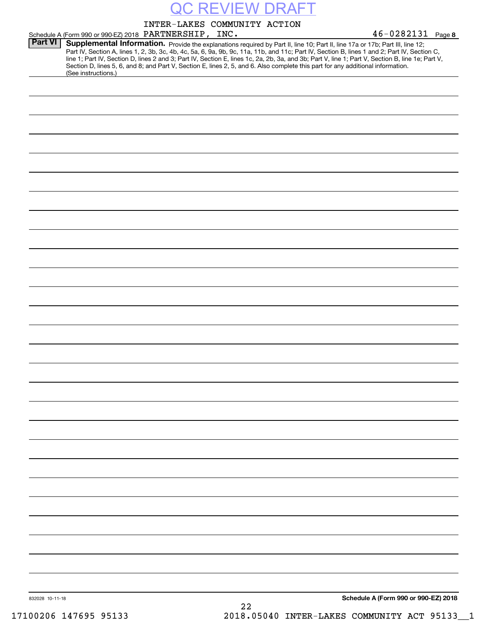|                 |                                                                                                                                                        | INTER-LAKES COMMUNITY ACTION |  |                                                                                                                                                                                                                                                                                                                                                                                                                                   |
|-----------------|--------------------------------------------------------------------------------------------------------------------------------------------------------|------------------------------|--|-----------------------------------------------------------------------------------------------------------------------------------------------------------------------------------------------------------------------------------------------------------------------------------------------------------------------------------------------------------------------------------------------------------------------------------|
|                 | Schedule A (Form 990 or 990-EZ) 2018 PARTNERSHIP, INC.                                                                                                 |                              |  | $46 - 0282131$ Page 8                                                                                                                                                                                                                                                                                                                                                                                                             |
| <b>Part VI</b>  | Section D, lines 5, 6, and 8; and Part V, Section E, lines 2, 5, and 6. Also complete this part for any additional information.<br>(See instructions.) |                              |  | Supplemental Information. Provide the explanations required by Part II, line 10; Part II, line 17a or 17b; Part III, line 12;<br>Part IV, Section A, lines 1, 2, 3b, 3c, 4b, 4c, 5a, 6, 9a, 9b, 9c, 11a, 11b, and 11c; Part IV, Section B, lines 1 and 2; Part IV, Section C,<br>line 1; Part IV, Section D, lines 2 and 3; Part IV, Section E, lines 1c, 2a, 2b, 3a, and 3b; Part V, line 1; Part V, Section B, line 1e; Part V, |
|                 |                                                                                                                                                        |                              |  |                                                                                                                                                                                                                                                                                                                                                                                                                                   |
|                 |                                                                                                                                                        |                              |  |                                                                                                                                                                                                                                                                                                                                                                                                                                   |
|                 |                                                                                                                                                        |                              |  |                                                                                                                                                                                                                                                                                                                                                                                                                                   |
|                 |                                                                                                                                                        |                              |  |                                                                                                                                                                                                                                                                                                                                                                                                                                   |
|                 |                                                                                                                                                        |                              |  |                                                                                                                                                                                                                                                                                                                                                                                                                                   |
|                 |                                                                                                                                                        |                              |  |                                                                                                                                                                                                                                                                                                                                                                                                                                   |
|                 |                                                                                                                                                        |                              |  |                                                                                                                                                                                                                                                                                                                                                                                                                                   |
|                 |                                                                                                                                                        |                              |  |                                                                                                                                                                                                                                                                                                                                                                                                                                   |
|                 |                                                                                                                                                        |                              |  |                                                                                                                                                                                                                                                                                                                                                                                                                                   |
|                 |                                                                                                                                                        |                              |  |                                                                                                                                                                                                                                                                                                                                                                                                                                   |
|                 |                                                                                                                                                        |                              |  |                                                                                                                                                                                                                                                                                                                                                                                                                                   |
|                 |                                                                                                                                                        |                              |  |                                                                                                                                                                                                                                                                                                                                                                                                                                   |
|                 |                                                                                                                                                        |                              |  |                                                                                                                                                                                                                                                                                                                                                                                                                                   |
|                 |                                                                                                                                                        |                              |  |                                                                                                                                                                                                                                                                                                                                                                                                                                   |
|                 |                                                                                                                                                        |                              |  |                                                                                                                                                                                                                                                                                                                                                                                                                                   |
|                 |                                                                                                                                                        |                              |  |                                                                                                                                                                                                                                                                                                                                                                                                                                   |
|                 |                                                                                                                                                        |                              |  |                                                                                                                                                                                                                                                                                                                                                                                                                                   |
|                 |                                                                                                                                                        |                              |  |                                                                                                                                                                                                                                                                                                                                                                                                                                   |
|                 |                                                                                                                                                        |                              |  |                                                                                                                                                                                                                                                                                                                                                                                                                                   |
|                 |                                                                                                                                                        |                              |  |                                                                                                                                                                                                                                                                                                                                                                                                                                   |
|                 |                                                                                                                                                        |                              |  |                                                                                                                                                                                                                                                                                                                                                                                                                                   |
|                 |                                                                                                                                                        |                              |  |                                                                                                                                                                                                                                                                                                                                                                                                                                   |
|                 |                                                                                                                                                        |                              |  |                                                                                                                                                                                                                                                                                                                                                                                                                                   |
|                 |                                                                                                                                                        |                              |  |                                                                                                                                                                                                                                                                                                                                                                                                                                   |
|                 |                                                                                                                                                        |                              |  |                                                                                                                                                                                                                                                                                                                                                                                                                                   |
|                 |                                                                                                                                                        |                              |  |                                                                                                                                                                                                                                                                                                                                                                                                                                   |
|                 |                                                                                                                                                        |                              |  |                                                                                                                                                                                                                                                                                                                                                                                                                                   |
|                 |                                                                                                                                                        |                              |  |                                                                                                                                                                                                                                                                                                                                                                                                                                   |
|                 |                                                                                                                                                        |                              |  |                                                                                                                                                                                                                                                                                                                                                                                                                                   |
|                 |                                                                                                                                                        |                              |  |                                                                                                                                                                                                                                                                                                                                                                                                                                   |
|                 |                                                                                                                                                        |                              |  |                                                                                                                                                                                                                                                                                                                                                                                                                                   |
| 832028 10-11-18 |                                                                                                                                                        |                              |  | Schedule A (Form 990 or 990-EZ) 2018                                                                                                                                                                                                                                                                                                                                                                                              |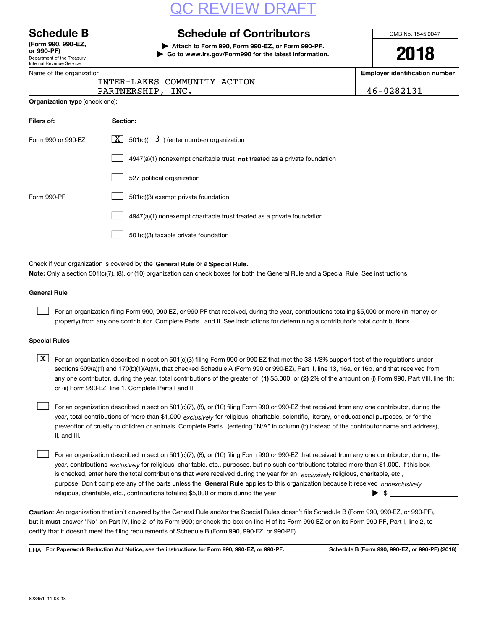## REVIEW

Department of the Treasury **(Form 990, 990-EZ, or 990-PF)**

### Internal Revenue Service

### **Schedule B Schedule of Contributors**

**| Attach to Form 990, Form 990-EZ, or Form 990-PF. | Go to www.irs.gov/Form990 for the latest information.** OMB No. 1545-0047

# **2018**

**Employer identification number**

|                                                                             | <b>Employer identificat</b>                                       |
|-----------------------------------------------------------------------------|-------------------------------------------------------------------|
| INTER-LAKES COMMUNITY ACTION<br>PARTNERSHIP, INC.                           | 46-0282131                                                        |
|                                                                             |                                                                   |
| Section:                                                                    |                                                                   |
| X <br>$501(c)$ $\overline{3}$ ) (enter number) organization                 |                                                                   |
| $4947(a)(1)$ nonexempt charitable trust not treated as a private foundation |                                                                   |
| 527 political organization                                                  |                                                                   |
|                                                                             | Name of the organization<br><b>Organization type (check one):</b> |

4947(a)(1) nonexempt charitable trust treated as a private foundation  $\mathcal{L}^{\text{max}}$ 

501(c)(3) taxable private foundation  $\mathcal{L}^{\text{max}}$ 

Form 990-PF 501(c)(3) exempt private foundation

 $\mathcal{L}^{\text{max}}$ 

Check if your organization is covered by the **General Rule** or a **Special Rule.**<br>Nota: Only a section 501(c)(7), (8), or (10) erganization can chock boxes for be **Note:**  Only a section 501(c)(7), (8), or (10) organization can check boxes for both the General Rule and a Special Rule. See instructions.

### **General Rule**

 $\mathcal{L}^{\text{max}}$ 

For an organization filing Form 990, 990-EZ, or 990-PF that received, during the year, contributions totaling \$5,000 or more (in money or property) from any one contributor. Complete Parts I and II. See instructions for determining a contributor's total contributions.

### **Special Rules**

any one contributor, during the year, total contributions of the greater of  $\,$  (1) \$5,000; or **(2)** 2% of the amount on (i) Form 990, Part VIII, line 1h;  $\boxed{\textbf{X}}$  For an organization described in section 501(c)(3) filing Form 990 or 990-EZ that met the 33 1/3% support test of the regulations under sections 509(a)(1) and 170(b)(1)(A)(vi), that checked Schedule A (Form 990 or 990-EZ), Part II, line 13, 16a, or 16b, and that received from or (ii) Form 990-EZ, line 1. Complete Parts I and II.

year, total contributions of more than \$1,000 *exclusively* for religious, charitable, scientific, literary, or educational purposes, or for the For an organization described in section 501(c)(7), (8), or (10) filing Form 990 or 990-EZ that received from any one contributor, during the prevention of cruelty to children or animals. Complete Parts I (entering "N/A" in column (b) instead of the contributor name and address), II, and III.  $\mathcal{L}^{\text{max}}$ 

purpose. Don't complete any of the parts unless the **General Rule** applies to this organization because it received *nonexclusively* year, contributions <sub>exclusively</sub> for religious, charitable, etc., purposes, but no such contributions totaled more than \$1,000. If this box is checked, enter here the total contributions that were received during the year for an  $\;$ exclusively religious, charitable, etc., For an organization described in section 501(c)(7), (8), or (10) filing Form 990 or 990-EZ that received from any one contributor, during the religious, charitable, etc., contributions totaling \$5,000 or more during the year  $\Box$ — $\Box$   $\Box$  $\mathcal{L}^{\text{max}}$ 

**Caution:**  An organization that isn't covered by the General Rule and/or the Special Rules doesn't file Schedule B (Form 990, 990-EZ, or 990-PF), but it **must** answer "No" on Part IV, line 2, of its Form 990; or check the box on line H of its Form 990-EZ or on its Form 990-PF, Part I, line 2, to<br>cortify that it doesn't meet the filipe requirements of Schodule B (Fer certify that it doesn't meet the filing requirements of Schedule B (Form 990, 990-EZ, or 990-PF).

**For Paperwork Reduction Act Notice, see the instructions for Form 990, 990-EZ, or 990-PF. Schedule B (Form 990, 990-EZ, or 990-PF) (2018)** LHA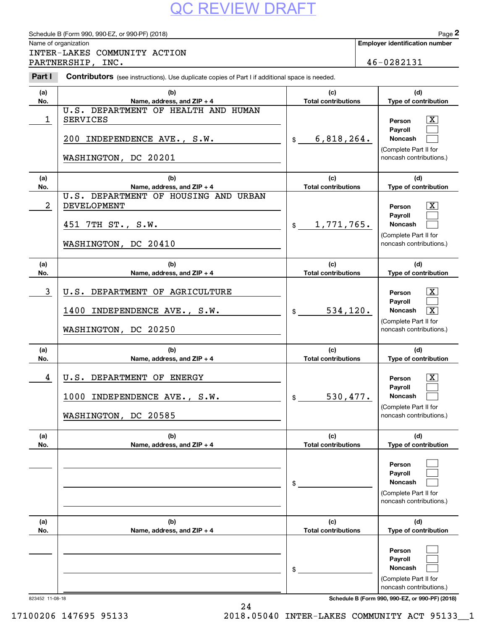|                | Schedule B (Form 990, 990-EZ, or 990-PF) (2018)                                                         |                                   | Page 2                                                                                                                             |
|----------------|---------------------------------------------------------------------------------------------------------|-----------------------------------|------------------------------------------------------------------------------------------------------------------------------------|
|                | Name of organization                                                                                    |                                   | <b>Employer identification number</b>                                                                                              |
|                | INTER-LAKES COMMUNITY ACTION<br>PARTNERSHIP, INC.                                                       |                                   | 46-0282131                                                                                                                         |
| Part I         | Contributors (see instructions). Use duplicate copies of Part I if additional space is needed.          |                                   |                                                                                                                                    |
| (a)            | (b)                                                                                                     | (c)                               | (d)                                                                                                                                |
| No.            | Name, address, and ZIP + 4                                                                              | <b>Total contributions</b>        | Type of contribution                                                                                                               |
| 1              | U.S. DEPARTMENT OF HEALTH AND HUMAN<br><b>SERVICES</b><br>200 INDEPENDENCE AVE., S.W.                   | 6,818,264.<br>\$                  | X<br>Person<br>Pavroll<br>Noncash<br>(Complete Part II for<br>noncash contributions.)                                              |
|                | WASHINGTON, DC 20201                                                                                    |                                   |                                                                                                                                    |
| (a)<br>No.     | (b)<br>Name, address, and ZIP + 4                                                                       | (c)<br><b>Total contributions</b> | (d)<br>Type of contribution                                                                                                        |
| $\overline{a}$ | U.S. DEPARTMENT OF HOUSING AND URBAN<br><b>DEVELOPMENT</b><br>451 7TH ST., S.W.<br>WASHINGTON, DC 20410 | 1, 771, 765.<br>$\frac{1}{2}$     | $\overline{\text{X}}$<br>Person<br>Pavroll<br><b>Noncash</b><br>(Complete Part II for<br>noncash contributions.)                   |
| (a)<br>No.     | (b)<br>Name, address, and $ZIP + 4$                                                                     | (c)<br><b>Total contributions</b> | (d)<br>Type of contribution                                                                                                        |
| 3              | U.S. DEPARTMENT OF AGRICULTURE<br>1400 INDEPENDENCE AVE., S.W.<br>WASHINGTON, DC 20250                  | 534,120.<br>$\mathsf{\$}$         | $\mathbf{X}$<br>Person<br>Payroll<br>$\overline{\mathbf{x}}$<br><b>Noncash</b><br>(Complete Part II for<br>noncash contributions.) |
| (a)<br>No.     | (b)<br>Name, address, and $ZIP + 4$                                                                     | (c)<br><b>Total contributions</b> | (d)<br>Type of contribution                                                                                                        |
| 4              | U.S. DEPARTMENT OF ENERGY<br>1000 INDEPENDENCE AVE., S.W.<br>WASHINGTON, DC 20585                       | 530, 477.<br>$\frac{1}{2}$        | $\overline{\text{X}}$<br>Person<br>Payroll<br>Noncash<br>(Complete Part II for<br>noncash contributions.)                          |
| (a)<br>No.     | (b)<br>Name, address, and ZIP + 4                                                                       | (c)<br><b>Total contributions</b> | (d)<br>Type of contribution                                                                                                        |
|                |                                                                                                         | \$                                | Person<br>Payroll<br>Noncash<br>(Complete Part II for<br>noncash contributions.)                                                   |
| (a)<br>No.     | (b)<br>Name, address, and ZIP + 4                                                                       | (c)<br><b>Total contributions</b> | (d)<br>Type of contribution                                                                                                        |
|                |                                                                                                         | \$                                | Person<br>Payroll<br>Noncash<br>(Complete Part II for<br>noncash contributions.)                                                   |

24

823452 11-08-18 **Schedule B (Form 990, 990-EZ, or 990-PF) (2018)**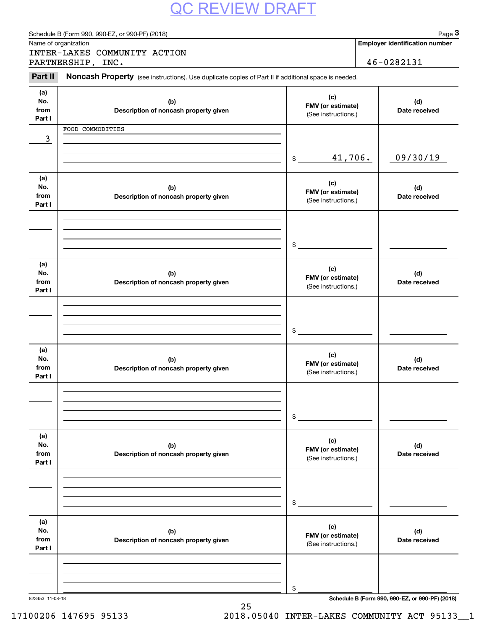|                              | Schedule B (Form 990, 990-EZ, or 990-PF) (2018)<br>Name of organization                             |                                                 | Page 3<br><b>Employer identification number</b> |
|------------------------------|-----------------------------------------------------------------------------------------------------|-------------------------------------------------|-------------------------------------------------|
|                              | INTER-LAKES COMMUNITY ACTION                                                                        |                                                 |                                                 |
|                              | PARTNERSHIP, INC.                                                                                   |                                                 | 46-0282131                                      |
| Part II                      | Noncash Property (see instructions). Use duplicate copies of Part II if additional space is needed. |                                                 |                                                 |
| (a)<br>No.<br>from<br>Part I | (b)<br>Description of noncash property given                                                        | (c)<br>FMV (or estimate)<br>(See instructions.) | (d)<br>Date received                            |
|                              | FOOD COMMODITIES                                                                                    |                                                 |                                                 |
| 3                            |                                                                                                     |                                                 |                                                 |
|                              |                                                                                                     | 41,706.<br>$\mathsf{\$}$                        | 09/30/19                                        |
| (a)<br>No.<br>from<br>Part I | (b)<br>Description of noncash property given                                                        | (c)<br>FMV (or estimate)<br>(See instructions.) | (d)<br>Date received                            |
|                              |                                                                                                     | \$                                              |                                                 |
|                              |                                                                                                     |                                                 |                                                 |
| (a)<br>No.<br>from<br>Part I | (b)<br>Description of noncash property given                                                        | (c)<br>FMV (or estimate)<br>(See instructions.) | (d)<br>Date received                            |
|                              |                                                                                                     |                                                 |                                                 |
|                              |                                                                                                     | \$                                              |                                                 |
| (a)<br>No.<br>from<br>Part I | (b)<br>Description of noncash property given                                                        | (c)<br>FMV (or estimate)<br>(See instructions.) | (d)<br>Date received                            |
|                              |                                                                                                     |                                                 |                                                 |
|                              |                                                                                                     | \$                                              |                                                 |
| (a)<br>No.<br>from<br>Part I | (b)<br>Description of noncash property given                                                        | (c)<br>FMV (or estimate)<br>(See instructions.) | (d)<br>Date received                            |
|                              |                                                                                                     |                                                 |                                                 |
|                              |                                                                                                     | \$                                              |                                                 |
| (a)<br>No.<br>from<br>Part I | (b)<br>Description of noncash property given                                                        | (c)<br>FMV (or estimate)<br>(See instructions.) | (d)<br>Date received                            |
|                              |                                                                                                     |                                                 |                                                 |
|                              |                                                                                                     |                                                 |                                                 |
|                              | 823453 11-08-18                                                                                     | \$                                              | Schedule B (Form 990, 990-EZ, or 990-PF) (2018) |

25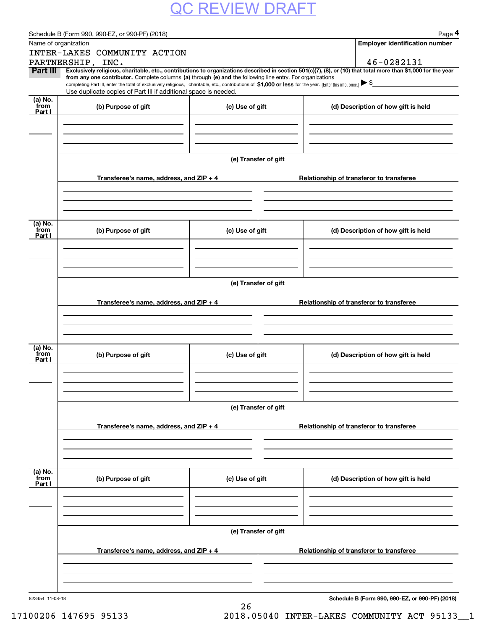|                 | Schedule B (Form 990, 990-EZ, or 990-PF) (2018)                                                            |                      | Page 4                                                                                                                                                                        |  |  |  |  |
|-----------------|------------------------------------------------------------------------------------------------------------|----------------------|-------------------------------------------------------------------------------------------------------------------------------------------------------------------------------|--|--|--|--|
|                 | Name of organization                                                                                       |                      | <b>Employer identification number</b>                                                                                                                                         |  |  |  |  |
|                 | INTER-LAKES COMMUNITY ACTION                                                                               |                      |                                                                                                                                                                               |  |  |  |  |
| Part III        | PARTNERSHIP, INC.                                                                                          |                      | 46-0282131<br>Exclusively religious, charitable, etc., contributions to organizations described in section 501(c)(7), (8), or (10) that total more than \$1,000 for the year  |  |  |  |  |
|                 | from any one contributor. Complete columns (a) through (e) and the following line entry. For organizations |                      |                                                                                                                                                                               |  |  |  |  |
|                 | Use duplicate copies of Part III if additional space is needed.                                            |                      | completing Part III, enter the total of exclusively religious, charitable, etc., contributions of $$1,000$ or less for the year. (Enter this info. once.) $\triangleright$ \$ |  |  |  |  |
| (a) No.         |                                                                                                            |                      |                                                                                                                                                                               |  |  |  |  |
| from<br>Part I  | (b) Purpose of gift                                                                                        | (c) Use of gift      | (d) Description of how gift is held                                                                                                                                           |  |  |  |  |
|                 |                                                                                                            |                      |                                                                                                                                                                               |  |  |  |  |
|                 |                                                                                                            |                      |                                                                                                                                                                               |  |  |  |  |
|                 |                                                                                                            |                      |                                                                                                                                                                               |  |  |  |  |
|                 |                                                                                                            | (e) Transfer of gift |                                                                                                                                                                               |  |  |  |  |
|                 |                                                                                                            |                      |                                                                                                                                                                               |  |  |  |  |
|                 | Transferee's name, address, and ZIP + 4                                                                    |                      | Relationship of transferor to transferee                                                                                                                                      |  |  |  |  |
|                 |                                                                                                            |                      |                                                                                                                                                                               |  |  |  |  |
|                 |                                                                                                            |                      |                                                                                                                                                                               |  |  |  |  |
|                 |                                                                                                            |                      |                                                                                                                                                                               |  |  |  |  |
| (a) No.<br>from | (b) Purpose of gift                                                                                        | (c) Use of gift      | (d) Description of how gift is held                                                                                                                                           |  |  |  |  |
| Part I          |                                                                                                            |                      |                                                                                                                                                                               |  |  |  |  |
|                 |                                                                                                            |                      |                                                                                                                                                                               |  |  |  |  |
|                 |                                                                                                            |                      |                                                                                                                                                                               |  |  |  |  |
|                 |                                                                                                            |                      |                                                                                                                                                                               |  |  |  |  |
|                 |                                                                                                            | (e) Transfer of gift |                                                                                                                                                                               |  |  |  |  |
|                 |                                                                                                            |                      | Relationship of transferor to transferee                                                                                                                                      |  |  |  |  |
|                 | Transferee's name, address, and ZIP + 4                                                                    |                      |                                                                                                                                                                               |  |  |  |  |
|                 |                                                                                                            |                      |                                                                                                                                                                               |  |  |  |  |
|                 |                                                                                                            |                      |                                                                                                                                                                               |  |  |  |  |
| (a) No.         |                                                                                                            |                      |                                                                                                                                                                               |  |  |  |  |
| from<br>Part I  | (b) Purpose of gift                                                                                        | (c) Use of gift      | (d) Description of how gift is held                                                                                                                                           |  |  |  |  |
|                 |                                                                                                            |                      |                                                                                                                                                                               |  |  |  |  |
|                 |                                                                                                            |                      |                                                                                                                                                                               |  |  |  |  |
|                 |                                                                                                            |                      |                                                                                                                                                                               |  |  |  |  |
|                 |                                                                                                            |                      |                                                                                                                                                                               |  |  |  |  |
|                 | (e) Transfer of gift                                                                                       |                      |                                                                                                                                                                               |  |  |  |  |
|                 | Transferee's name, address, and ZIP + 4                                                                    |                      | Relationship of transferor to transferee                                                                                                                                      |  |  |  |  |
|                 |                                                                                                            |                      |                                                                                                                                                                               |  |  |  |  |
|                 |                                                                                                            |                      |                                                                                                                                                                               |  |  |  |  |
|                 |                                                                                                            |                      |                                                                                                                                                                               |  |  |  |  |
| (a) No.<br>from |                                                                                                            |                      |                                                                                                                                                                               |  |  |  |  |
| Part I          | (b) Purpose of gift                                                                                        | (c) Use of gift      | (d) Description of how gift is held                                                                                                                                           |  |  |  |  |
|                 |                                                                                                            |                      |                                                                                                                                                                               |  |  |  |  |
|                 |                                                                                                            |                      |                                                                                                                                                                               |  |  |  |  |
|                 |                                                                                                            |                      |                                                                                                                                                                               |  |  |  |  |
|                 |                                                                                                            | (e) Transfer of gift |                                                                                                                                                                               |  |  |  |  |
|                 |                                                                                                            |                      |                                                                                                                                                                               |  |  |  |  |
|                 | Transferee's name, address, and ZIP + 4                                                                    |                      | Relationship of transferor to transferee                                                                                                                                      |  |  |  |  |
|                 |                                                                                                            |                      |                                                                                                                                                                               |  |  |  |  |
|                 |                                                                                                            |                      |                                                                                                                                                                               |  |  |  |  |
|                 |                                                                                                            |                      |                                                                                                                                                                               |  |  |  |  |
| 823454 11-08-18 |                                                                                                            |                      | Schedule B (Form 990, 990-EZ, or 990-PF) (2018)                                                                                                                               |  |  |  |  |
|                 |                                                                                                            | 26                   |                                                                                                                                                                               |  |  |  |  |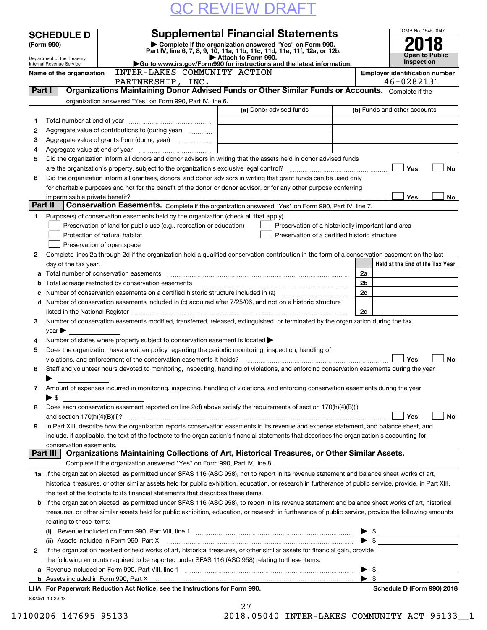| <b>QC REVIEW DRAFT</b> |
|------------------------|
|------------------------|

|         | <b>SCHEDULE D</b>                        |                                                             | <b>Supplemental Financial Statements</b>                                                                                                                                                                                      |                     |                                                | OMB No. 1545-0047                                                                                                                                         |           |
|---------|------------------------------------------|-------------------------------------------------------------|-------------------------------------------------------------------------------------------------------------------------------------------------------------------------------------------------------------------------------|---------------------|------------------------------------------------|-----------------------------------------------------------------------------------------------------------------------------------------------------------|-----------|
|         | (Form 990)                               |                                                             | Complete if the organization answered "Yes" on Form 990,                                                                                                                                                                      |                     |                                                |                                                                                                                                                           |           |
|         | Department of the Treasury               |                                                             | Part IV, line 6, 7, 8, 9, 10, 11a, 11b, 11c, 11d, 11e, 11f, 12a, or 12b.                                                                                                                                                      | Attach to Form 990. |                                                | Open to Public                                                                                                                                            |           |
|         | Internal Revenue Service                 |                                                             | Go to www.irs.gov/Form990 for instructions and the latest information.                                                                                                                                                        |                     |                                                | <b>Inspection</b>                                                                                                                                         |           |
|         | Name of the organization                 |                                                             | INTER-LAKES COMMUNITY ACTION                                                                                                                                                                                                  |                     |                                                | <b>Employer identification number</b>                                                                                                                     |           |
| Part I  |                                          |                                                             | PARTNERSHIP, INC.                                                                                                                                                                                                             |                     |                                                | 46-0282131<br>Organizations Maintaining Donor Advised Funds or Other Similar Funds or Accounts. Complete if the                                           |           |
|         |                                          |                                                             | organization answered "Yes" on Form 990, Part IV, line 6.                                                                                                                                                                     |                     |                                                |                                                                                                                                                           |           |
|         |                                          |                                                             |                                                                                                                                                                                                                               |                     | (a) Donor advised funds                        | (b) Funds and other accounts                                                                                                                              |           |
| 1.      |                                          |                                                             |                                                                                                                                                                                                                               |                     |                                                |                                                                                                                                                           |           |
| 2       |                                          |                                                             | Aggregate value of contributions to (during year)                                                                                                                                                                             |                     |                                                |                                                                                                                                                           |           |
| 3       |                                          |                                                             |                                                                                                                                                                                                                               |                     |                                                |                                                                                                                                                           |           |
| 4       |                                          |                                                             |                                                                                                                                                                                                                               |                     |                                                |                                                                                                                                                           |           |
| 5       |                                          |                                                             | Did the organization inform all donors and donor advisors in writing that the assets held in donor advised funds                                                                                                              |                     |                                                |                                                                                                                                                           |           |
|         |                                          |                                                             |                                                                                                                                                                                                                               |                     |                                                | Yes                                                                                                                                                       | No        |
| 6       |                                          |                                                             | Did the organization inform all grantees, donors, and donor advisors in writing that grant funds can be used only                                                                                                             |                     |                                                |                                                                                                                                                           |           |
|         |                                          |                                                             | for charitable purposes and not for the benefit of the donor or donor advisor, or for any other purpose conferring                                                                                                            |                     |                                                |                                                                                                                                                           |           |
|         | impermissible private benefit?           |                                                             |                                                                                                                                                                                                                               |                     |                                                | Yes                                                                                                                                                       | No        |
| Part II |                                          |                                                             | Conservation Easements. Complete if the organization answered "Yes" on Form 990, Part IV, line 7.                                                                                                                             |                     |                                                |                                                                                                                                                           |           |
| 1.      |                                          |                                                             | Purpose(s) of conservation easements held by the organization (check all that apply).                                                                                                                                         |                     |                                                |                                                                                                                                                           |           |
|         |                                          |                                                             | Preservation of land for public use (e.g., recreation or education)                                                                                                                                                           |                     |                                                | Preservation of a historically important land area                                                                                                        |           |
|         |                                          | Protection of natural habitat<br>Preservation of open space |                                                                                                                                                                                                                               |                     | Preservation of a certified historic structure |                                                                                                                                                           |           |
| 2       |                                          |                                                             |                                                                                                                                                                                                                               |                     |                                                | Complete lines 2a through 2d if the organization held a qualified conservation contribution in the form of a conservation easement on the last            |           |
|         | day of the tax year.                     |                                                             |                                                                                                                                                                                                                               |                     |                                                | Held at the End of the Tax Year                                                                                                                           |           |
| a       |                                          |                                                             |                                                                                                                                                                                                                               |                     |                                                | 2a                                                                                                                                                        |           |
| b       |                                          |                                                             | Total acreage restricted by conservation easements                                                                                                                                                                            |                     |                                                | 2 <sub>b</sub>                                                                                                                                            |           |
| c       |                                          |                                                             | Number of conservation easements on a certified historic structure included in (a) manufacture included in (a)                                                                                                                |                     |                                                | 2c                                                                                                                                                        |           |
|         |                                          |                                                             | d Number of conservation easements included in (c) acquired after 7/25/06, and not on a historic structure                                                                                                                    |                     |                                                |                                                                                                                                                           |           |
|         |                                          |                                                             | listed in the National Register [11, 1200] [12] The National Register [11, 1200] [12] The National Register [11, 1200] [12] The National Register [11, 1200] [12] The National Register [11, 1200] [12] The National Register |                     |                                                | 2d                                                                                                                                                        |           |
| З.      |                                          |                                                             | Number of conservation easements modified, transferred, released, extinguished, or terminated by the organization during the tax                                                                                              |                     |                                                |                                                                                                                                                           |           |
|         | $\vee$ ear $\blacktriangleright$         |                                                             |                                                                                                                                                                                                                               |                     |                                                |                                                                                                                                                           |           |
| 4       |                                          |                                                             | Number of states where property subject to conservation easement is located >                                                                                                                                                 |                     |                                                |                                                                                                                                                           |           |
| 5       |                                          |                                                             | Does the organization have a written policy regarding the periodic monitoring, inspection, handling of                                                                                                                        |                     |                                                |                                                                                                                                                           |           |
|         |                                          |                                                             | violations, and enforcement of the conservation easements it holds?                                                                                                                                                           |                     |                                                | Yes                                                                                                                                                       | No        |
| 6       |                                          |                                                             |                                                                                                                                                                                                                               |                     |                                                | Staff and volunteer hours devoted to monitoring, inspecting, handling of violations, and enforcing conservation easements during the year                 |           |
|         |                                          |                                                             |                                                                                                                                                                                                                               |                     |                                                |                                                                                                                                                           |           |
| 7       |                                          |                                                             | Amount of expenses incurred in monitoring, inspecting, handling of violations, and enforcing conservation easements during the year                                                                                           |                     |                                                |                                                                                                                                                           |           |
|         | $\blacktriangleright$ \$                 |                                                             | Does each conservation easement reported on line 2(d) above satisfy the requirements of section 170(h)(4)(B)(i)                                                                                                               |                     |                                                |                                                                                                                                                           |           |
| 8       |                                          |                                                             |                                                                                                                                                                                                                               |                     |                                                | Yes                                                                                                                                                       | <b>No</b> |
| 9       |                                          |                                                             |                                                                                                                                                                                                                               |                     |                                                | In Part XIII, describe how the organization reports conservation easements in its revenue and expense statement, and balance sheet, and                   |           |
|         |                                          |                                                             | include, if applicable, the text of the footnote to the organization's financial statements that describes the organization's accounting for                                                                                  |                     |                                                |                                                                                                                                                           |           |
|         | conservation easements.                  |                                                             |                                                                                                                                                                                                                               |                     |                                                |                                                                                                                                                           |           |
|         | Part III                                 |                                                             | Organizations Maintaining Collections of Art, Historical Treasures, or Other Similar Assets.                                                                                                                                  |                     |                                                |                                                                                                                                                           |           |
|         |                                          |                                                             | Complete if the organization answered "Yes" on Form 990, Part IV, line 8.                                                                                                                                                     |                     |                                                |                                                                                                                                                           |           |
|         |                                          |                                                             |                                                                                                                                                                                                                               |                     |                                                | 1a If the organization elected, as permitted under SFAS 116 (ASC 958), not to report in its revenue statement and balance sheet works of art,             |           |
|         |                                          |                                                             |                                                                                                                                                                                                                               |                     |                                                | historical treasures, or other similar assets held for public exhibition, education, or research in furtherance of public service, provide, in Part XIII, |           |
|         |                                          |                                                             | the text of the footnote to its financial statements that describes these items.                                                                                                                                              |                     |                                                |                                                                                                                                                           |           |
| b       |                                          |                                                             |                                                                                                                                                                                                                               |                     |                                                | If the organization elected, as permitted under SFAS 116 (ASC 958), to report in its revenue statement and balance sheet works of art, historical         |           |
|         |                                          |                                                             |                                                                                                                                                                                                                               |                     |                                                | treasures, or other similar assets held for public exhibition, education, or research in furtherance of public service, provide the following amounts     |           |
|         | relating to these items:                 |                                                             |                                                                                                                                                                                                                               |                     |                                                |                                                                                                                                                           |           |
|         |                                          |                                                             |                                                                                                                                                                                                                               |                     |                                                | $\frac{1}{2}$                                                                                                                                             |           |
|         | (ii) Assets included in Form 990, Part X |                                                             |                                                                                                                                                                                                                               |                     |                                                | $\frac{1}{2}$                                                                                                                                             |           |
| 2       |                                          |                                                             | If the organization received or held works of art, historical treasures, or other similar assets for financial gain, provide                                                                                                  |                     |                                                |                                                                                                                                                           |           |
|         |                                          |                                                             | the following amounts required to be reported under SFAS 116 (ASC 958) relating to these items:                                                                                                                               |                     |                                                |                                                                                                                                                           |           |
| а       |                                          |                                                             |                                                                                                                                                                                                                               |                     |                                                | -\$<br>▸                                                                                                                                                  |           |
|         |                                          |                                                             |                                                                                                                                                                                                                               |                     |                                                | -\$                                                                                                                                                       |           |
|         |                                          |                                                             | LHA For Paperwork Reduction Act Notice, see the Instructions for Form 990.                                                                                                                                                    |                     |                                                | Schedule D (Form 990) 2018                                                                                                                                |           |
|         | 832051 10-29-18                          |                                                             |                                                                                                                                                                                                                               |                     |                                                |                                                                                                                                                           |           |

27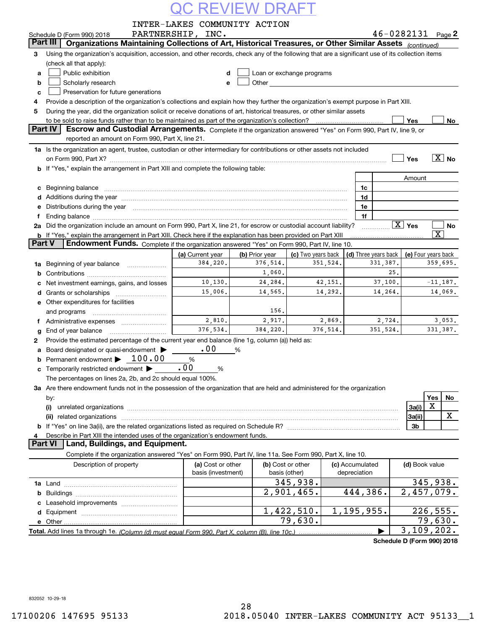|  |  |  |  | <b>OC REVIEW DRAFT</b> |
|--|--|--|--|------------------------|
|--|--|--|--|------------------------|

| $46 - 0282131$ Page 2<br>PARTNERSHIP, INC.<br>Schedule D (Form 990) 2018<br>Organizations Maintaining Collections of Art, Historical Treasures, or Other Similar Assets (continued)<br>Part III<br>Using the organization's acquisition, accession, and other records, check any of the following that are a significant use of its collection items<br>З<br>(check all that apply):<br>Public exhibition<br>Loan or exchange programs<br>d<br>a<br>Scholarly research<br>b<br>е<br>Preservation for future generations<br>c<br>Provide a description of the organization's collections and explain how they further the organization's exempt purpose in Part XIII.<br>4<br>During the year, did the organization solicit or receive donations of art, historical treasures, or other similar assets<br>5<br>to be sold to raise funds rather than to be maintained as part of the organization's collection?<br>Yes<br>No<br>Part IV<br>Escrow and Custodial Arrangements. Complete if the organization answered "Yes" on Form 990, Part IV, line 9, or<br>reported an amount on Form 990, Part X, line 21.<br>1a Is the organization an agent, trustee, custodian or other intermediary for contributions or other assets not included<br>$\overline{X}$ No<br>Yes<br>on Form 990, Part X? [11] matter contracts and contracts and contracts are contracted and contracts are contracted and contract and contract of the set of the set of the set of the set of the set of the set of the set of t<br>If "Yes," explain the arrangement in Part XIII and complete the following table:<br>Amount<br>1c<br>c<br>Additions during the year manufactured and an account of the year manufactured and account of the year manufactured and account of the year manufactured and account of the year manufactured and account of the year manufact<br>1d<br>Distributions during the year manufactured and continuum and contact the year manufactured and contact the year<br>1e<br>е<br>1f<br>$\boxed{\text{X}}$ Yes<br>2a Did the organization include an amount on Form 990, Part X, line 21, for escrow or custodial account liability?<br>No<br>$\overline{\mathbf{x}}$<br>b If "Yes," explain the arrangement in Part XIII. Check here if the explanation has been provided on Part XIII<br>Part V<br>Endowment Funds. Complete if the organization answered "Yes" on Form 990, Part IV, line 10.<br>(d) Three years back<br>(a) Current year<br>(b) Prior year<br>(c) Two years back<br>(e) Four years back<br>384,220.<br>376,514.<br>351,524.<br>331, 387.<br>359,695.<br>Beginning of year balance <i>manumman</i><br>1a<br>1,060.<br>25.<br>b<br>10, 130.<br>24,284.<br>42,151.<br>37,100.<br>$-11, 187.$<br>Net investment earnings, gains, and losses<br>15,006.<br>14,292.<br>14,264.<br>14,069.<br>14,565.<br>d<br>Other expenditures for facilities<br>е<br>156.<br>and programs<br>2,810.<br>2,917.<br>2,869.<br>3,053.<br>2,724.<br>f Administrative expenses <i></i><br>376,534.<br>384,220.<br>376.514.<br>351.524.<br>331,387.<br>End of year balance<br>g<br>Provide the estimated percentage of the current year end balance (line 1g, column (a)) held as:<br>2<br>.00<br>Board designated or quasi-endowment ><br>%<br>a<br>Permanent endowment > 100.00<br>$\%$<br>.00<br>Temporarily restricted endowment ><br>%<br>The percentages on lines 2a, 2b, and 2c should equal 100%.<br>3a Are there endowment funds not in the possession of the organization that are held and administered for the organization<br>Yes<br>No<br>by:<br>X<br>3a(i)<br>(i)<br>X<br>3a(ii)<br>(ii)<br>b<br>3b<br>Describe in Part XIII the intended uses of the organization's endowment funds.<br>4<br>Land, Buildings, and Equipment.<br>Part VI<br>Complete if the organization answered "Yes" on Form 990, Part IV, line 11a. See Form 990, Part X, line 10.<br>Description of property<br>(a) Cost or other<br>(b) Cost or other<br>(c) Accumulated<br>(d) Book value<br>basis (investment)<br>basis (other)<br>depreciation<br>345,938.<br>345,938.<br>2,901,465.<br>444,386.<br>$\overline{2}$ , 457, 079.<br>b<br>1,422,510.<br>1, 195, 955.<br>226,555.<br>79,630.<br>79,630.<br>e Other<br>$\overline{3,109},202.$ |  | INTER-LAKES COMMUNITY ACTION |  |  |  |  |  |  |  |  |  |  |
|------------------------------------------------------------------------------------------------------------------------------------------------------------------------------------------------------------------------------------------------------------------------------------------------------------------------------------------------------------------------------------------------------------------------------------------------------------------------------------------------------------------------------------------------------------------------------------------------------------------------------------------------------------------------------------------------------------------------------------------------------------------------------------------------------------------------------------------------------------------------------------------------------------------------------------------------------------------------------------------------------------------------------------------------------------------------------------------------------------------------------------------------------------------------------------------------------------------------------------------------------------------------------------------------------------------------------------------------------------------------------------------------------------------------------------------------------------------------------------------------------------------------------------------------------------------------------------------------------------------------------------------------------------------------------------------------------------------------------------------------------------------------------------------------------------------------------------------------------------------------------------------------------------------------------------------------------------------------------------------------------------------------------------------------------------------------------------------------------------------------------------------------------------------------------------------------------------------------------------------------------------------------------------------------------------------------------------------------------------------------------------------------------------------------------------------------------------------------------------------------------------------------------------------------------------------------------------------------------------------------------------------------------------------------------------------------------------------------------------------------------------------------------------------------------------------------------------------------------------------------------------------------------------------------------------------------------------------------------------------------------------------------------------------------------------------------------------------------------------------------------------------------------------------------------------------------------------------------------------------------------------------------------------------------------------------------------------------------------------------------------------------------------------------------------------------------------------------------------------------------------------------------------------------------------------------------------------------------------------------------------------------------------------------------------------------------------------------------------------------------------------------------------------------------------------------------------------------------------------------------------------------------------------------------------------------------------------------------------------------------------------------------------------------------------------------------------------------------------------------------------------------------------------------------------------------------------------------------------------|--|------------------------------|--|--|--|--|--|--|--|--|--|--|
|                                                                                                                                                                                                                                                                                                                                                                                                                                                                                                                                                                                                                                                                                                                                                                                                                                                                                                                                                                                                                                                                                                                                                                                                                                                                                                                                                                                                                                                                                                                                                                                                                                                                                                                                                                                                                                                                                                                                                                                                                                                                                                                                                                                                                                                                                                                                                                                                                                                                                                                                                                                                                                                                                                                                                                                                                                                                                                                                                                                                                                                                                                                                                                                                                                                                                                                                                                                                                                                                                                                                                                                                                                                                                                                                                                                                                                                                                                                                                                                                                                                                                                                                                                                                                                    |  |                              |  |  |  |  |  |  |  |  |  |  |
|                                                                                                                                                                                                                                                                                                                                                                                                                                                                                                                                                                                                                                                                                                                                                                                                                                                                                                                                                                                                                                                                                                                                                                                                                                                                                                                                                                                                                                                                                                                                                                                                                                                                                                                                                                                                                                                                                                                                                                                                                                                                                                                                                                                                                                                                                                                                                                                                                                                                                                                                                                                                                                                                                                                                                                                                                                                                                                                                                                                                                                                                                                                                                                                                                                                                                                                                                                                                                                                                                                                                                                                                                                                                                                                                                                                                                                                                                                                                                                                                                                                                                                                                                                                                                                    |  |                              |  |  |  |  |  |  |  |  |  |  |
|                                                                                                                                                                                                                                                                                                                                                                                                                                                                                                                                                                                                                                                                                                                                                                                                                                                                                                                                                                                                                                                                                                                                                                                                                                                                                                                                                                                                                                                                                                                                                                                                                                                                                                                                                                                                                                                                                                                                                                                                                                                                                                                                                                                                                                                                                                                                                                                                                                                                                                                                                                                                                                                                                                                                                                                                                                                                                                                                                                                                                                                                                                                                                                                                                                                                                                                                                                                                                                                                                                                                                                                                                                                                                                                                                                                                                                                                                                                                                                                                                                                                                                                                                                                                                                    |  |                              |  |  |  |  |  |  |  |  |  |  |
|                                                                                                                                                                                                                                                                                                                                                                                                                                                                                                                                                                                                                                                                                                                                                                                                                                                                                                                                                                                                                                                                                                                                                                                                                                                                                                                                                                                                                                                                                                                                                                                                                                                                                                                                                                                                                                                                                                                                                                                                                                                                                                                                                                                                                                                                                                                                                                                                                                                                                                                                                                                                                                                                                                                                                                                                                                                                                                                                                                                                                                                                                                                                                                                                                                                                                                                                                                                                                                                                                                                                                                                                                                                                                                                                                                                                                                                                                                                                                                                                                                                                                                                                                                                                                                    |  |                              |  |  |  |  |  |  |  |  |  |  |
|                                                                                                                                                                                                                                                                                                                                                                                                                                                                                                                                                                                                                                                                                                                                                                                                                                                                                                                                                                                                                                                                                                                                                                                                                                                                                                                                                                                                                                                                                                                                                                                                                                                                                                                                                                                                                                                                                                                                                                                                                                                                                                                                                                                                                                                                                                                                                                                                                                                                                                                                                                                                                                                                                                                                                                                                                                                                                                                                                                                                                                                                                                                                                                                                                                                                                                                                                                                                                                                                                                                                                                                                                                                                                                                                                                                                                                                                                                                                                                                                                                                                                                                                                                                                                                    |  |                              |  |  |  |  |  |  |  |  |  |  |
|                                                                                                                                                                                                                                                                                                                                                                                                                                                                                                                                                                                                                                                                                                                                                                                                                                                                                                                                                                                                                                                                                                                                                                                                                                                                                                                                                                                                                                                                                                                                                                                                                                                                                                                                                                                                                                                                                                                                                                                                                                                                                                                                                                                                                                                                                                                                                                                                                                                                                                                                                                                                                                                                                                                                                                                                                                                                                                                                                                                                                                                                                                                                                                                                                                                                                                                                                                                                                                                                                                                                                                                                                                                                                                                                                                                                                                                                                                                                                                                                                                                                                                                                                                                                                                    |  |                              |  |  |  |  |  |  |  |  |  |  |
|                                                                                                                                                                                                                                                                                                                                                                                                                                                                                                                                                                                                                                                                                                                                                                                                                                                                                                                                                                                                                                                                                                                                                                                                                                                                                                                                                                                                                                                                                                                                                                                                                                                                                                                                                                                                                                                                                                                                                                                                                                                                                                                                                                                                                                                                                                                                                                                                                                                                                                                                                                                                                                                                                                                                                                                                                                                                                                                                                                                                                                                                                                                                                                                                                                                                                                                                                                                                                                                                                                                                                                                                                                                                                                                                                                                                                                                                                                                                                                                                                                                                                                                                                                                                                                    |  |                              |  |  |  |  |  |  |  |  |  |  |
|                                                                                                                                                                                                                                                                                                                                                                                                                                                                                                                                                                                                                                                                                                                                                                                                                                                                                                                                                                                                                                                                                                                                                                                                                                                                                                                                                                                                                                                                                                                                                                                                                                                                                                                                                                                                                                                                                                                                                                                                                                                                                                                                                                                                                                                                                                                                                                                                                                                                                                                                                                                                                                                                                                                                                                                                                                                                                                                                                                                                                                                                                                                                                                                                                                                                                                                                                                                                                                                                                                                                                                                                                                                                                                                                                                                                                                                                                                                                                                                                                                                                                                                                                                                                                                    |  |                              |  |  |  |  |  |  |  |  |  |  |
|                                                                                                                                                                                                                                                                                                                                                                                                                                                                                                                                                                                                                                                                                                                                                                                                                                                                                                                                                                                                                                                                                                                                                                                                                                                                                                                                                                                                                                                                                                                                                                                                                                                                                                                                                                                                                                                                                                                                                                                                                                                                                                                                                                                                                                                                                                                                                                                                                                                                                                                                                                                                                                                                                                                                                                                                                                                                                                                                                                                                                                                                                                                                                                                                                                                                                                                                                                                                                                                                                                                                                                                                                                                                                                                                                                                                                                                                                                                                                                                                                                                                                                                                                                                                                                    |  |                              |  |  |  |  |  |  |  |  |  |  |
|                                                                                                                                                                                                                                                                                                                                                                                                                                                                                                                                                                                                                                                                                                                                                                                                                                                                                                                                                                                                                                                                                                                                                                                                                                                                                                                                                                                                                                                                                                                                                                                                                                                                                                                                                                                                                                                                                                                                                                                                                                                                                                                                                                                                                                                                                                                                                                                                                                                                                                                                                                                                                                                                                                                                                                                                                                                                                                                                                                                                                                                                                                                                                                                                                                                                                                                                                                                                                                                                                                                                                                                                                                                                                                                                                                                                                                                                                                                                                                                                                                                                                                                                                                                                                                    |  |                              |  |  |  |  |  |  |  |  |  |  |
|                                                                                                                                                                                                                                                                                                                                                                                                                                                                                                                                                                                                                                                                                                                                                                                                                                                                                                                                                                                                                                                                                                                                                                                                                                                                                                                                                                                                                                                                                                                                                                                                                                                                                                                                                                                                                                                                                                                                                                                                                                                                                                                                                                                                                                                                                                                                                                                                                                                                                                                                                                                                                                                                                                                                                                                                                                                                                                                                                                                                                                                                                                                                                                                                                                                                                                                                                                                                                                                                                                                                                                                                                                                                                                                                                                                                                                                                                                                                                                                                                                                                                                                                                                                                                                    |  |                              |  |  |  |  |  |  |  |  |  |  |
|                                                                                                                                                                                                                                                                                                                                                                                                                                                                                                                                                                                                                                                                                                                                                                                                                                                                                                                                                                                                                                                                                                                                                                                                                                                                                                                                                                                                                                                                                                                                                                                                                                                                                                                                                                                                                                                                                                                                                                                                                                                                                                                                                                                                                                                                                                                                                                                                                                                                                                                                                                                                                                                                                                                                                                                                                                                                                                                                                                                                                                                                                                                                                                                                                                                                                                                                                                                                                                                                                                                                                                                                                                                                                                                                                                                                                                                                                                                                                                                                                                                                                                                                                                                                                                    |  |                              |  |  |  |  |  |  |  |  |  |  |
|                                                                                                                                                                                                                                                                                                                                                                                                                                                                                                                                                                                                                                                                                                                                                                                                                                                                                                                                                                                                                                                                                                                                                                                                                                                                                                                                                                                                                                                                                                                                                                                                                                                                                                                                                                                                                                                                                                                                                                                                                                                                                                                                                                                                                                                                                                                                                                                                                                                                                                                                                                                                                                                                                                                                                                                                                                                                                                                                                                                                                                                                                                                                                                                                                                                                                                                                                                                                                                                                                                                                                                                                                                                                                                                                                                                                                                                                                                                                                                                                                                                                                                                                                                                                                                    |  |                              |  |  |  |  |  |  |  |  |  |  |
|                                                                                                                                                                                                                                                                                                                                                                                                                                                                                                                                                                                                                                                                                                                                                                                                                                                                                                                                                                                                                                                                                                                                                                                                                                                                                                                                                                                                                                                                                                                                                                                                                                                                                                                                                                                                                                                                                                                                                                                                                                                                                                                                                                                                                                                                                                                                                                                                                                                                                                                                                                                                                                                                                                                                                                                                                                                                                                                                                                                                                                                                                                                                                                                                                                                                                                                                                                                                                                                                                                                                                                                                                                                                                                                                                                                                                                                                                                                                                                                                                                                                                                                                                                                                                                    |  |                              |  |  |  |  |  |  |  |  |  |  |
|                                                                                                                                                                                                                                                                                                                                                                                                                                                                                                                                                                                                                                                                                                                                                                                                                                                                                                                                                                                                                                                                                                                                                                                                                                                                                                                                                                                                                                                                                                                                                                                                                                                                                                                                                                                                                                                                                                                                                                                                                                                                                                                                                                                                                                                                                                                                                                                                                                                                                                                                                                                                                                                                                                                                                                                                                                                                                                                                                                                                                                                                                                                                                                                                                                                                                                                                                                                                                                                                                                                                                                                                                                                                                                                                                                                                                                                                                                                                                                                                                                                                                                                                                                                                                                    |  |                              |  |  |  |  |  |  |  |  |  |  |
|                                                                                                                                                                                                                                                                                                                                                                                                                                                                                                                                                                                                                                                                                                                                                                                                                                                                                                                                                                                                                                                                                                                                                                                                                                                                                                                                                                                                                                                                                                                                                                                                                                                                                                                                                                                                                                                                                                                                                                                                                                                                                                                                                                                                                                                                                                                                                                                                                                                                                                                                                                                                                                                                                                                                                                                                                                                                                                                                                                                                                                                                                                                                                                                                                                                                                                                                                                                                                                                                                                                                                                                                                                                                                                                                                                                                                                                                                                                                                                                                                                                                                                                                                                                                                                    |  |                              |  |  |  |  |  |  |  |  |  |  |
|                                                                                                                                                                                                                                                                                                                                                                                                                                                                                                                                                                                                                                                                                                                                                                                                                                                                                                                                                                                                                                                                                                                                                                                                                                                                                                                                                                                                                                                                                                                                                                                                                                                                                                                                                                                                                                                                                                                                                                                                                                                                                                                                                                                                                                                                                                                                                                                                                                                                                                                                                                                                                                                                                                                                                                                                                                                                                                                                                                                                                                                                                                                                                                                                                                                                                                                                                                                                                                                                                                                                                                                                                                                                                                                                                                                                                                                                                                                                                                                                                                                                                                                                                                                                                                    |  |                              |  |  |  |  |  |  |  |  |  |  |
|                                                                                                                                                                                                                                                                                                                                                                                                                                                                                                                                                                                                                                                                                                                                                                                                                                                                                                                                                                                                                                                                                                                                                                                                                                                                                                                                                                                                                                                                                                                                                                                                                                                                                                                                                                                                                                                                                                                                                                                                                                                                                                                                                                                                                                                                                                                                                                                                                                                                                                                                                                                                                                                                                                                                                                                                                                                                                                                                                                                                                                                                                                                                                                                                                                                                                                                                                                                                                                                                                                                                                                                                                                                                                                                                                                                                                                                                                                                                                                                                                                                                                                                                                                                                                                    |  |                              |  |  |  |  |  |  |  |  |  |  |
|                                                                                                                                                                                                                                                                                                                                                                                                                                                                                                                                                                                                                                                                                                                                                                                                                                                                                                                                                                                                                                                                                                                                                                                                                                                                                                                                                                                                                                                                                                                                                                                                                                                                                                                                                                                                                                                                                                                                                                                                                                                                                                                                                                                                                                                                                                                                                                                                                                                                                                                                                                                                                                                                                                                                                                                                                                                                                                                                                                                                                                                                                                                                                                                                                                                                                                                                                                                                                                                                                                                                                                                                                                                                                                                                                                                                                                                                                                                                                                                                                                                                                                                                                                                                                                    |  |                              |  |  |  |  |  |  |  |  |  |  |
|                                                                                                                                                                                                                                                                                                                                                                                                                                                                                                                                                                                                                                                                                                                                                                                                                                                                                                                                                                                                                                                                                                                                                                                                                                                                                                                                                                                                                                                                                                                                                                                                                                                                                                                                                                                                                                                                                                                                                                                                                                                                                                                                                                                                                                                                                                                                                                                                                                                                                                                                                                                                                                                                                                                                                                                                                                                                                                                                                                                                                                                                                                                                                                                                                                                                                                                                                                                                                                                                                                                                                                                                                                                                                                                                                                                                                                                                                                                                                                                                                                                                                                                                                                                                                                    |  |                              |  |  |  |  |  |  |  |  |  |  |
|                                                                                                                                                                                                                                                                                                                                                                                                                                                                                                                                                                                                                                                                                                                                                                                                                                                                                                                                                                                                                                                                                                                                                                                                                                                                                                                                                                                                                                                                                                                                                                                                                                                                                                                                                                                                                                                                                                                                                                                                                                                                                                                                                                                                                                                                                                                                                                                                                                                                                                                                                                                                                                                                                                                                                                                                                                                                                                                                                                                                                                                                                                                                                                                                                                                                                                                                                                                                                                                                                                                                                                                                                                                                                                                                                                                                                                                                                                                                                                                                                                                                                                                                                                                                                                    |  |                              |  |  |  |  |  |  |  |  |  |  |
|                                                                                                                                                                                                                                                                                                                                                                                                                                                                                                                                                                                                                                                                                                                                                                                                                                                                                                                                                                                                                                                                                                                                                                                                                                                                                                                                                                                                                                                                                                                                                                                                                                                                                                                                                                                                                                                                                                                                                                                                                                                                                                                                                                                                                                                                                                                                                                                                                                                                                                                                                                                                                                                                                                                                                                                                                                                                                                                                                                                                                                                                                                                                                                                                                                                                                                                                                                                                                                                                                                                                                                                                                                                                                                                                                                                                                                                                                                                                                                                                                                                                                                                                                                                                                                    |  |                              |  |  |  |  |  |  |  |  |  |  |
|                                                                                                                                                                                                                                                                                                                                                                                                                                                                                                                                                                                                                                                                                                                                                                                                                                                                                                                                                                                                                                                                                                                                                                                                                                                                                                                                                                                                                                                                                                                                                                                                                                                                                                                                                                                                                                                                                                                                                                                                                                                                                                                                                                                                                                                                                                                                                                                                                                                                                                                                                                                                                                                                                                                                                                                                                                                                                                                                                                                                                                                                                                                                                                                                                                                                                                                                                                                                                                                                                                                                                                                                                                                                                                                                                                                                                                                                                                                                                                                                                                                                                                                                                                                                                                    |  |                              |  |  |  |  |  |  |  |  |  |  |
|                                                                                                                                                                                                                                                                                                                                                                                                                                                                                                                                                                                                                                                                                                                                                                                                                                                                                                                                                                                                                                                                                                                                                                                                                                                                                                                                                                                                                                                                                                                                                                                                                                                                                                                                                                                                                                                                                                                                                                                                                                                                                                                                                                                                                                                                                                                                                                                                                                                                                                                                                                                                                                                                                                                                                                                                                                                                                                                                                                                                                                                                                                                                                                                                                                                                                                                                                                                                                                                                                                                                                                                                                                                                                                                                                                                                                                                                                                                                                                                                                                                                                                                                                                                                                                    |  |                              |  |  |  |  |  |  |  |  |  |  |
|                                                                                                                                                                                                                                                                                                                                                                                                                                                                                                                                                                                                                                                                                                                                                                                                                                                                                                                                                                                                                                                                                                                                                                                                                                                                                                                                                                                                                                                                                                                                                                                                                                                                                                                                                                                                                                                                                                                                                                                                                                                                                                                                                                                                                                                                                                                                                                                                                                                                                                                                                                                                                                                                                                                                                                                                                                                                                                                                                                                                                                                                                                                                                                                                                                                                                                                                                                                                                                                                                                                                                                                                                                                                                                                                                                                                                                                                                                                                                                                                                                                                                                                                                                                                                                    |  |                              |  |  |  |  |  |  |  |  |  |  |
|                                                                                                                                                                                                                                                                                                                                                                                                                                                                                                                                                                                                                                                                                                                                                                                                                                                                                                                                                                                                                                                                                                                                                                                                                                                                                                                                                                                                                                                                                                                                                                                                                                                                                                                                                                                                                                                                                                                                                                                                                                                                                                                                                                                                                                                                                                                                                                                                                                                                                                                                                                                                                                                                                                                                                                                                                                                                                                                                                                                                                                                                                                                                                                                                                                                                                                                                                                                                                                                                                                                                                                                                                                                                                                                                                                                                                                                                                                                                                                                                                                                                                                                                                                                                                                    |  |                              |  |  |  |  |  |  |  |  |  |  |
|                                                                                                                                                                                                                                                                                                                                                                                                                                                                                                                                                                                                                                                                                                                                                                                                                                                                                                                                                                                                                                                                                                                                                                                                                                                                                                                                                                                                                                                                                                                                                                                                                                                                                                                                                                                                                                                                                                                                                                                                                                                                                                                                                                                                                                                                                                                                                                                                                                                                                                                                                                                                                                                                                                                                                                                                                                                                                                                                                                                                                                                                                                                                                                                                                                                                                                                                                                                                                                                                                                                                                                                                                                                                                                                                                                                                                                                                                                                                                                                                                                                                                                                                                                                                                                    |  |                              |  |  |  |  |  |  |  |  |  |  |
|                                                                                                                                                                                                                                                                                                                                                                                                                                                                                                                                                                                                                                                                                                                                                                                                                                                                                                                                                                                                                                                                                                                                                                                                                                                                                                                                                                                                                                                                                                                                                                                                                                                                                                                                                                                                                                                                                                                                                                                                                                                                                                                                                                                                                                                                                                                                                                                                                                                                                                                                                                                                                                                                                                                                                                                                                                                                                                                                                                                                                                                                                                                                                                                                                                                                                                                                                                                                                                                                                                                                                                                                                                                                                                                                                                                                                                                                                                                                                                                                                                                                                                                                                                                                                                    |  |                              |  |  |  |  |  |  |  |  |  |  |
|                                                                                                                                                                                                                                                                                                                                                                                                                                                                                                                                                                                                                                                                                                                                                                                                                                                                                                                                                                                                                                                                                                                                                                                                                                                                                                                                                                                                                                                                                                                                                                                                                                                                                                                                                                                                                                                                                                                                                                                                                                                                                                                                                                                                                                                                                                                                                                                                                                                                                                                                                                                                                                                                                                                                                                                                                                                                                                                                                                                                                                                                                                                                                                                                                                                                                                                                                                                                                                                                                                                                                                                                                                                                                                                                                                                                                                                                                                                                                                                                                                                                                                                                                                                                                                    |  |                              |  |  |  |  |  |  |  |  |  |  |
|                                                                                                                                                                                                                                                                                                                                                                                                                                                                                                                                                                                                                                                                                                                                                                                                                                                                                                                                                                                                                                                                                                                                                                                                                                                                                                                                                                                                                                                                                                                                                                                                                                                                                                                                                                                                                                                                                                                                                                                                                                                                                                                                                                                                                                                                                                                                                                                                                                                                                                                                                                                                                                                                                                                                                                                                                                                                                                                                                                                                                                                                                                                                                                                                                                                                                                                                                                                                                                                                                                                                                                                                                                                                                                                                                                                                                                                                                                                                                                                                                                                                                                                                                                                                                                    |  |                              |  |  |  |  |  |  |  |  |  |  |
|                                                                                                                                                                                                                                                                                                                                                                                                                                                                                                                                                                                                                                                                                                                                                                                                                                                                                                                                                                                                                                                                                                                                                                                                                                                                                                                                                                                                                                                                                                                                                                                                                                                                                                                                                                                                                                                                                                                                                                                                                                                                                                                                                                                                                                                                                                                                                                                                                                                                                                                                                                                                                                                                                                                                                                                                                                                                                                                                                                                                                                                                                                                                                                                                                                                                                                                                                                                                                                                                                                                                                                                                                                                                                                                                                                                                                                                                                                                                                                                                                                                                                                                                                                                                                                    |  |                              |  |  |  |  |  |  |  |  |  |  |
|                                                                                                                                                                                                                                                                                                                                                                                                                                                                                                                                                                                                                                                                                                                                                                                                                                                                                                                                                                                                                                                                                                                                                                                                                                                                                                                                                                                                                                                                                                                                                                                                                                                                                                                                                                                                                                                                                                                                                                                                                                                                                                                                                                                                                                                                                                                                                                                                                                                                                                                                                                                                                                                                                                                                                                                                                                                                                                                                                                                                                                                                                                                                                                                                                                                                                                                                                                                                                                                                                                                                                                                                                                                                                                                                                                                                                                                                                                                                                                                                                                                                                                                                                                                                                                    |  |                              |  |  |  |  |  |  |  |  |  |  |
|                                                                                                                                                                                                                                                                                                                                                                                                                                                                                                                                                                                                                                                                                                                                                                                                                                                                                                                                                                                                                                                                                                                                                                                                                                                                                                                                                                                                                                                                                                                                                                                                                                                                                                                                                                                                                                                                                                                                                                                                                                                                                                                                                                                                                                                                                                                                                                                                                                                                                                                                                                                                                                                                                                                                                                                                                                                                                                                                                                                                                                                                                                                                                                                                                                                                                                                                                                                                                                                                                                                                                                                                                                                                                                                                                                                                                                                                                                                                                                                                                                                                                                                                                                                                                                    |  |                              |  |  |  |  |  |  |  |  |  |  |
|                                                                                                                                                                                                                                                                                                                                                                                                                                                                                                                                                                                                                                                                                                                                                                                                                                                                                                                                                                                                                                                                                                                                                                                                                                                                                                                                                                                                                                                                                                                                                                                                                                                                                                                                                                                                                                                                                                                                                                                                                                                                                                                                                                                                                                                                                                                                                                                                                                                                                                                                                                                                                                                                                                                                                                                                                                                                                                                                                                                                                                                                                                                                                                                                                                                                                                                                                                                                                                                                                                                                                                                                                                                                                                                                                                                                                                                                                                                                                                                                                                                                                                                                                                                                                                    |  |                              |  |  |  |  |  |  |  |  |  |  |
|                                                                                                                                                                                                                                                                                                                                                                                                                                                                                                                                                                                                                                                                                                                                                                                                                                                                                                                                                                                                                                                                                                                                                                                                                                                                                                                                                                                                                                                                                                                                                                                                                                                                                                                                                                                                                                                                                                                                                                                                                                                                                                                                                                                                                                                                                                                                                                                                                                                                                                                                                                                                                                                                                                                                                                                                                                                                                                                                                                                                                                                                                                                                                                                                                                                                                                                                                                                                                                                                                                                                                                                                                                                                                                                                                                                                                                                                                                                                                                                                                                                                                                                                                                                                                                    |  |                              |  |  |  |  |  |  |  |  |  |  |
|                                                                                                                                                                                                                                                                                                                                                                                                                                                                                                                                                                                                                                                                                                                                                                                                                                                                                                                                                                                                                                                                                                                                                                                                                                                                                                                                                                                                                                                                                                                                                                                                                                                                                                                                                                                                                                                                                                                                                                                                                                                                                                                                                                                                                                                                                                                                                                                                                                                                                                                                                                                                                                                                                                                                                                                                                                                                                                                                                                                                                                                                                                                                                                                                                                                                                                                                                                                                                                                                                                                                                                                                                                                                                                                                                                                                                                                                                                                                                                                                                                                                                                                                                                                                                                    |  |                              |  |  |  |  |  |  |  |  |  |  |
|                                                                                                                                                                                                                                                                                                                                                                                                                                                                                                                                                                                                                                                                                                                                                                                                                                                                                                                                                                                                                                                                                                                                                                                                                                                                                                                                                                                                                                                                                                                                                                                                                                                                                                                                                                                                                                                                                                                                                                                                                                                                                                                                                                                                                                                                                                                                                                                                                                                                                                                                                                                                                                                                                                                                                                                                                                                                                                                                                                                                                                                                                                                                                                                                                                                                                                                                                                                                                                                                                                                                                                                                                                                                                                                                                                                                                                                                                                                                                                                                                                                                                                                                                                                                                                    |  |                              |  |  |  |  |  |  |  |  |  |  |
|                                                                                                                                                                                                                                                                                                                                                                                                                                                                                                                                                                                                                                                                                                                                                                                                                                                                                                                                                                                                                                                                                                                                                                                                                                                                                                                                                                                                                                                                                                                                                                                                                                                                                                                                                                                                                                                                                                                                                                                                                                                                                                                                                                                                                                                                                                                                                                                                                                                                                                                                                                                                                                                                                                                                                                                                                                                                                                                                                                                                                                                                                                                                                                                                                                                                                                                                                                                                                                                                                                                                                                                                                                                                                                                                                                                                                                                                                                                                                                                                                                                                                                                                                                                                                                    |  |                              |  |  |  |  |  |  |  |  |  |  |
|                                                                                                                                                                                                                                                                                                                                                                                                                                                                                                                                                                                                                                                                                                                                                                                                                                                                                                                                                                                                                                                                                                                                                                                                                                                                                                                                                                                                                                                                                                                                                                                                                                                                                                                                                                                                                                                                                                                                                                                                                                                                                                                                                                                                                                                                                                                                                                                                                                                                                                                                                                                                                                                                                                                                                                                                                                                                                                                                                                                                                                                                                                                                                                                                                                                                                                                                                                                                                                                                                                                                                                                                                                                                                                                                                                                                                                                                                                                                                                                                                                                                                                                                                                                                                                    |  |                              |  |  |  |  |  |  |  |  |  |  |
|                                                                                                                                                                                                                                                                                                                                                                                                                                                                                                                                                                                                                                                                                                                                                                                                                                                                                                                                                                                                                                                                                                                                                                                                                                                                                                                                                                                                                                                                                                                                                                                                                                                                                                                                                                                                                                                                                                                                                                                                                                                                                                                                                                                                                                                                                                                                                                                                                                                                                                                                                                                                                                                                                                                                                                                                                                                                                                                                                                                                                                                                                                                                                                                                                                                                                                                                                                                                                                                                                                                                                                                                                                                                                                                                                                                                                                                                                                                                                                                                                                                                                                                                                                                                                                    |  |                              |  |  |  |  |  |  |  |  |  |  |
|                                                                                                                                                                                                                                                                                                                                                                                                                                                                                                                                                                                                                                                                                                                                                                                                                                                                                                                                                                                                                                                                                                                                                                                                                                                                                                                                                                                                                                                                                                                                                                                                                                                                                                                                                                                                                                                                                                                                                                                                                                                                                                                                                                                                                                                                                                                                                                                                                                                                                                                                                                                                                                                                                                                                                                                                                                                                                                                                                                                                                                                                                                                                                                                                                                                                                                                                                                                                                                                                                                                                                                                                                                                                                                                                                                                                                                                                                                                                                                                                                                                                                                                                                                                                                                    |  |                              |  |  |  |  |  |  |  |  |  |  |
|                                                                                                                                                                                                                                                                                                                                                                                                                                                                                                                                                                                                                                                                                                                                                                                                                                                                                                                                                                                                                                                                                                                                                                                                                                                                                                                                                                                                                                                                                                                                                                                                                                                                                                                                                                                                                                                                                                                                                                                                                                                                                                                                                                                                                                                                                                                                                                                                                                                                                                                                                                                                                                                                                                                                                                                                                                                                                                                                                                                                                                                                                                                                                                                                                                                                                                                                                                                                                                                                                                                                                                                                                                                                                                                                                                                                                                                                                                                                                                                                                                                                                                                                                                                                                                    |  |                              |  |  |  |  |  |  |  |  |  |  |
|                                                                                                                                                                                                                                                                                                                                                                                                                                                                                                                                                                                                                                                                                                                                                                                                                                                                                                                                                                                                                                                                                                                                                                                                                                                                                                                                                                                                                                                                                                                                                                                                                                                                                                                                                                                                                                                                                                                                                                                                                                                                                                                                                                                                                                                                                                                                                                                                                                                                                                                                                                                                                                                                                                                                                                                                                                                                                                                                                                                                                                                                                                                                                                                                                                                                                                                                                                                                                                                                                                                                                                                                                                                                                                                                                                                                                                                                                                                                                                                                                                                                                                                                                                                                                                    |  |                              |  |  |  |  |  |  |  |  |  |  |
|                                                                                                                                                                                                                                                                                                                                                                                                                                                                                                                                                                                                                                                                                                                                                                                                                                                                                                                                                                                                                                                                                                                                                                                                                                                                                                                                                                                                                                                                                                                                                                                                                                                                                                                                                                                                                                                                                                                                                                                                                                                                                                                                                                                                                                                                                                                                                                                                                                                                                                                                                                                                                                                                                                                                                                                                                                                                                                                                                                                                                                                                                                                                                                                                                                                                                                                                                                                                                                                                                                                                                                                                                                                                                                                                                                                                                                                                                                                                                                                                                                                                                                                                                                                                                                    |  |                              |  |  |  |  |  |  |  |  |  |  |
|                                                                                                                                                                                                                                                                                                                                                                                                                                                                                                                                                                                                                                                                                                                                                                                                                                                                                                                                                                                                                                                                                                                                                                                                                                                                                                                                                                                                                                                                                                                                                                                                                                                                                                                                                                                                                                                                                                                                                                                                                                                                                                                                                                                                                                                                                                                                                                                                                                                                                                                                                                                                                                                                                                                                                                                                                                                                                                                                                                                                                                                                                                                                                                                                                                                                                                                                                                                                                                                                                                                                                                                                                                                                                                                                                                                                                                                                                                                                                                                                                                                                                                                                                                                                                                    |  |                              |  |  |  |  |  |  |  |  |  |  |
|                                                                                                                                                                                                                                                                                                                                                                                                                                                                                                                                                                                                                                                                                                                                                                                                                                                                                                                                                                                                                                                                                                                                                                                                                                                                                                                                                                                                                                                                                                                                                                                                                                                                                                                                                                                                                                                                                                                                                                                                                                                                                                                                                                                                                                                                                                                                                                                                                                                                                                                                                                                                                                                                                                                                                                                                                                                                                                                                                                                                                                                                                                                                                                                                                                                                                                                                                                                                                                                                                                                                                                                                                                                                                                                                                                                                                                                                                                                                                                                                                                                                                                                                                                                                                                    |  |                              |  |  |  |  |  |  |  |  |  |  |
|                                                                                                                                                                                                                                                                                                                                                                                                                                                                                                                                                                                                                                                                                                                                                                                                                                                                                                                                                                                                                                                                                                                                                                                                                                                                                                                                                                                                                                                                                                                                                                                                                                                                                                                                                                                                                                                                                                                                                                                                                                                                                                                                                                                                                                                                                                                                                                                                                                                                                                                                                                                                                                                                                                                                                                                                                                                                                                                                                                                                                                                                                                                                                                                                                                                                                                                                                                                                                                                                                                                                                                                                                                                                                                                                                                                                                                                                                                                                                                                                                                                                                                                                                                                                                                    |  |                              |  |  |  |  |  |  |  |  |  |  |
|                                                                                                                                                                                                                                                                                                                                                                                                                                                                                                                                                                                                                                                                                                                                                                                                                                                                                                                                                                                                                                                                                                                                                                                                                                                                                                                                                                                                                                                                                                                                                                                                                                                                                                                                                                                                                                                                                                                                                                                                                                                                                                                                                                                                                                                                                                                                                                                                                                                                                                                                                                                                                                                                                                                                                                                                                                                                                                                                                                                                                                                                                                                                                                                                                                                                                                                                                                                                                                                                                                                                                                                                                                                                                                                                                                                                                                                                                                                                                                                                                                                                                                                                                                                                                                    |  |                              |  |  |  |  |  |  |  |  |  |  |
|                                                                                                                                                                                                                                                                                                                                                                                                                                                                                                                                                                                                                                                                                                                                                                                                                                                                                                                                                                                                                                                                                                                                                                                                                                                                                                                                                                                                                                                                                                                                                                                                                                                                                                                                                                                                                                                                                                                                                                                                                                                                                                                                                                                                                                                                                                                                                                                                                                                                                                                                                                                                                                                                                                                                                                                                                                                                                                                                                                                                                                                                                                                                                                                                                                                                                                                                                                                                                                                                                                                                                                                                                                                                                                                                                                                                                                                                                                                                                                                                                                                                                                                                                                                                                                    |  |                              |  |  |  |  |  |  |  |  |  |  |
|                                                                                                                                                                                                                                                                                                                                                                                                                                                                                                                                                                                                                                                                                                                                                                                                                                                                                                                                                                                                                                                                                                                                                                                                                                                                                                                                                                                                                                                                                                                                                                                                                                                                                                                                                                                                                                                                                                                                                                                                                                                                                                                                                                                                                                                                                                                                                                                                                                                                                                                                                                                                                                                                                                                                                                                                                                                                                                                                                                                                                                                                                                                                                                                                                                                                                                                                                                                                                                                                                                                                                                                                                                                                                                                                                                                                                                                                                                                                                                                                                                                                                                                                                                                                                                    |  |                              |  |  |  |  |  |  |  |  |  |  |
|                                                                                                                                                                                                                                                                                                                                                                                                                                                                                                                                                                                                                                                                                                                                                                                                                                                                                                                                                                                                                                                                                                                                                                                                                                                                                                                                                                                                                                                                                                                                                                                                                                                                                                                                                                                                                                                                                                                                                                                                                                                                                                                                                                                                                                                                                                                                                                                                                                                                                                                                                                                                                                                                                                                                                                                                                                                                                                                                                                                                                                                                                                                                                                                                                                                                                                                                                                                                                                                                                                                                                                                                                                                                                                                                                                                                                                                                                                                                                                                                                                                                                                                                                                                                                                    |  |                              |  |  |  |  |  |  |  |  |  |  |
|                                                                                                                                                                                                                                                                                                                                                                                                                                                                                                                                                                                                                                                                                                                                                                                                                                                                                                                                                                                                                                                                                                                                                                                                                                                                                                                                                                                                                                                                                                                                                                                                                                                                                                                                                                                                                                                                                                                                                                                                                                                                                                                                                                                                                                                                                                                                                                                                                                                                                                                                                                                                                                                                                                                                                                                                                                                                                                                                                                                                                                                                                                                                                                                                                                                                                                                                                                                                                                                                                                                                                                                                                                                                                                                                                                                                                                                                                                                                                                                                                                                                                                                                                                                                                                    |  |                              |  |  |  |  |  |  |  |  |  |  |
|                                                                                                                                                                                                                                                                                                                                                                                                                                                                                                                                                                                                                                                                                                                                                                                                                                                                                                                                                                                                                                                                                                                                                                                                                                                                                                                                                                                                                                                                                                                                                                                                                                                                                                                                                                                                                                                                                                                                                                                                                                                                                                                                                                                                                                                                                                                                                                                                                                                                                                                                                                                                                                                                                                                                                                                                                                                                                                                                                                                                                                                                                                                                                                                                                                                                                                                                                                                                                                                                                                                                                                                                                                                                                                                                                                                                                                                                                                                                                                                                                                                                                                                                                                                                                                    |  |                              |  |  |  |  |  |  |  |  |  |  |
|                                                                                                                                                                                                                                                                                                                                                                                                                                                                                                                                                                                                                                                                                                                                                                                                                                                                                                                                                                                                                                                                                                                                                                                                                                                                                                                                                                                                                                                                                                                                                                                                                                                                                                                                                                                                                                                                                                                                                                                                                                                                                                                                                                                                                                                                                                                                                                                                                                                                                                                                                                                                                                                                                                                                                                                                                                                                                                                                                                                                                                                                                                                                                                                                                                                                                                                                                                                                                                                                                                                                                                                                                                                                                                                                                                                                                                                                                                                                                                                                                                                                                                                                                                                                                                    |  |                              |  |  |  |  |  |  |  |  |  |  |

**Schedule D (Form 990) 2018**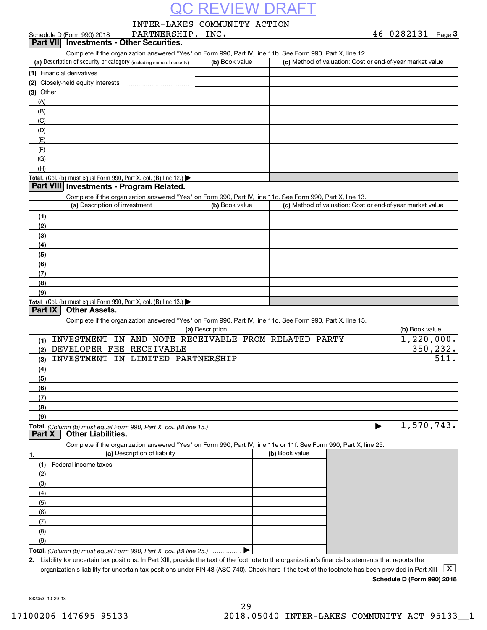INTER-LAKES COMMUNITY ACTION

| 46-0282131 | Page 3 |
|------------|--------|
|            |        |

|             | PARTNERSHIP, INC.<br>Schedule D (Form 990) 2018                                                                                                      |                 |                                                           | $46 - 0282131$ Page 3     |
|-------------|------------------------------------------------------------------------------------------------------------------------------------------------------|-----------------|-----------------------------------------------------------|---------------------------|
|             | Part VII Investments - Other Securities.                                                                                                             |                 |                                                           |                           |
|             | Complete if the organization answered "Yes" on Form 990, Part IV, line 11b. See Form 990, Part X, line 12.                                           |                 |                                                           |                           |
|             | (a) Description of security or category (including name of security)                                                                                 | (b) Book value  | (c) Method of valuation: Cost or end-of-year market value |                           |
|             | (1) Financial derivatives                                                                                                                            |                 |                                                           |                           |
|             |                                                                                                                                                      |                 |                                                           |                           |
| $(3)$ Other |                                                                                                                                                      |                 |                                                           |                           |
|             |                                                                                                                                                      |                 |                                                           |                           |
| (A)         |                                                                                                                                                      |                 |                                                           |                           |
| (B)         |                                                                                                                                                      |                 |                                                           |                           |
| (C)         |                                                                                                                                                      |                 |                                                           |                           |
| (D)         |                                                                                                                                                      |                 |                                                           |                           |
| (E)         |                                                                                                                                                      |                 |                                                           |                           |
| (F)         |                                                                                                                                                      |                 |                                                           |                           |
| (G)         |                                                                                                                                                      |                 |                                                           |                           |
| (H)         |                                                                                                                                                      |                 |                                                           |                           |
|             | Total. (Col. (b) must equal Form 990, Part X, col. (B) line 12.)                                                                                     |                 |                                                           |                           |
|             | Part VIII Investments - Program Related.                                                                                                             |                 |                                                           |                           |
|             | Complete if the organization answered "Yes" on Form 990, Part IV, line 11c. See Form 990, Part X, line 13.                                           |                 |                                                           |                           |
|             | (a) Description of investment                                                                                                                        | (b) Book value  | (c) Method of valuation: Cost or end-of-year market value |                           |
| (1)         |                                                                                                                                                      |                 |                                                           |                           |
| (2)         |                                                                                                                                                      |                 |                                                           |                           |
| (3)         |                                                                                                                                                      |                 |                                                           |                           |
| (4)         |                                                                                                                                                      |                 |                                                           |                           |
| (5)         |                                                                                                                                                      |                 |                                                           |                           |
| (6)         |                                                                                                                                                      |                 |                                                           |                           |
| (7)         |                                                                                                                                                      |                 |                                                           |                           |
| (8)         |                                                                                                                                                      |                 |                                                           |                           |
| (9)         |                                                                                                                                                      |                 |                                                           |                           |
|             | Total. (Col. (b) must equal Form 990, Part X, col. (B) line 13.)                                                                                     |                 |                                                           |                           |
| Part IX     | <b>Other Assets.</b>                                                                                                                                 |                 |                                                           |                           |
|             | Complete if the organization answered "Yes" on Form 990, Part IV, line 11d. See Form 990, Part X, line 15.                                           |                 |                                                           |                           |
|             |                                                                                                                                                      | (a) Description |                                                           | (b) Book value            |
| (1)         | INVESTMENT IN AND NOTE RECEIVABLE FROM RELATED PARTY                                                                                                 |                 |                                                           | $\overline{1,220}$ , 000. |
| (2)         | DEVELOPER FEE RECEIVABLE                                                                                                                             |                 |                                                           | 350,232.                  |
| (3)         | INVESTMENT IN LIMITED PARTNERSHIP                                                                                                                    |                 |                                                           | 511.                      |
| (4)         |                                                                                                                                                      |                 |                                                           |                           |
|             |                                                                                                                                                      |                 |                                                           |                           |
| (5)         |                                                                                                                                                      |                 |                                                           |                           |
| (6)         |                                                                                                                                                      |                 |                                                           |                           |
| (7)         |                                                                                                                                                      |                 |                                                           |                           |
| (8)         |                                                                                                                                                      |                 |                                                           |                           |
| (9)         |                                                                                                                                                      |                 |                                                           |                           |
| Part X      | <b>Other Liabilities.</b>                                                                                                                            |                 |                                                           | 1,570,743.                |
|             |                                                                                                                                                      |                 |                                                           |                           |
|             | Complete if the organization answered "Yes" on Form 990, Part IV, line 11e or 11f. See Form 990, Part X, line 25.                                    |                 |                                                           |                           |
| 1.          | (a) Description of liability                                                                                                                         |                 | (b) Book value                                            |                           |
| (1)         | Federal income taxes                                                                                                                                 |                 |                                                           |                           |
| (2)         |                                                                                                                                                      |                 |                                                           |                           |
| (3)         |                                                                                                                                                      |                 |                                                           |                           |
| (4)         |                                                                                                                                                      |                 |                                                           |                           |
| (5)         |                                                                                                                                                      |                 |                                                           |                           |
| (6)         |                                                                                                                                                      |                 |                                                           |                           |
| (7)         |                                                                                                                                                      |                 |                                                           |                           |
| (8)         |                                                                                                                                                      |                 |                                                           |                           |
| (9)         |                                                                                                                                                      |                 |                                                           |                           |
|             | Total. (Column (b) must equal Form 990. Part X, col. (B) line 25.)                                                                                   |                 |                                                           |                           |
|             | 2. Liability for uncertain tax positions. In Part XIII, provide the text of the footnote to the organization's financial statements that reports the |                 |                                                           |                           |
|             | organization's liability for uncertain tax positions under FIN 48 (ASC 740). Check here if the text of the footnote has been provided in Part XIII   |                 |                                                           | X                         |

**Schedule D (Form 990) 2018**

832053 10-29-18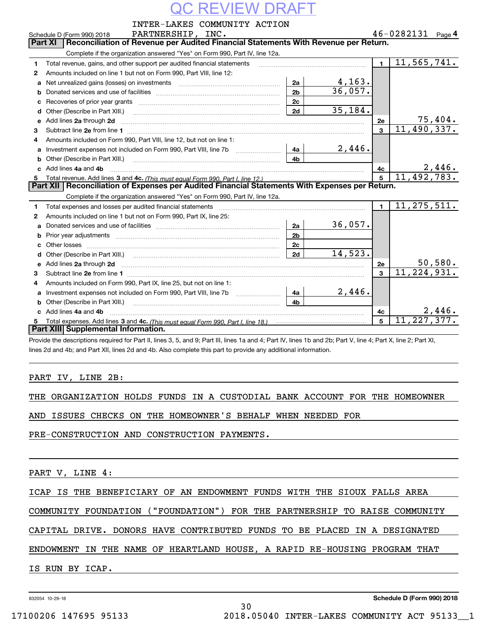| REVIEW DRA |                                                                                                                                                                                                         |                |           |                         |                              |         |  |  |  |  |
|------------|---------------------------------------------------------------------------------------------------------------------------------------------------------------------------------------------------------|----------------|-----------|-------------------------|------------------------------|---------|--|--|--|--|
|            | INTER-LAKES COMMUNITY ACTION                                                                                                                                                                            |                |           |                         |                              |         |  |  |  |  |
|            | PARTNERSHIP, INC.<br>Schedule D (Form 990) 2018                                                                                                                                                         |                |           |                         | $46 - 0282131$ Page 4        |         |  |  |  |  |
|            | Reconciliation of Revenue per Audited Financial Statements With Revenue per Return.<br>Part XI                                                                                                          |                |           |                         |                              |         |  |  |  |  |
|            | Complete if the organization answered "Yes" on Form 990, Part IV, line 12a.                                                                                                                             |                |           |                         |                              |         |  |  |  |  |
| 1          | Total revenue, gains, and other support per audited financial statements                                                                                                                                |                |           | $\mathbf{1}$            | 11,565,741.                  |         |  |  |  |  |
| 2          | Amounts included on line 1 but not on Form 990, Part VIII, line 12:                                                                                                                                     |                |           |                         |                              |         |  |  |  |  |
| a          |                                                                                                                                                                                                         | 2a             | 4,163.    |                         |                              |         |  |  |  |  |
| b          |                                                                                                                                                                                                         | 2 <sub>b</sub> | 36,057.   |                         |                              |         |  |  |  |  |
| c          |                                                                                                                                                                                                         | 2 <sub>c</sub> |           |                         |                              |         |  |  |  |  |
| d          |                                                                                                                                                                                                         | 2d             | 35,184.   |                         |                              |         |  |  |  |  |
| е          | Add lines 2a through 2d                                                                                                                                                                                 |                |           | 2e                      | $\frac{75,404}{11,490,337.}$ |         |  |  |  |  |
| 3          |                                                                                                                                                                                                         |                |           | $\mathbf{a}$            |                              |         |  |  |  |  |
| 4          | Amounts included on Form 990, Part VIII, line 12, but not on line 1:                                                                                                                                    |                |           |                         |                              |         |  |  |  |  |
| a          | Investment expenses not included on Form 990, Part VIII, line 7b [11, 111, 111, 111]                                                                                                                    | -4a l          | 2,446.    |                         |                              |         |  |  |  |  |
| b          |                                                                                                                                                                                                         | 4b.            |           |                         |                              |         |  |  |  |  |
|            | c Add lines 4a and 4b                                                                                                                                                                                   |                |           | 4c                      |                              | 2,446.  |  |  |  |  |
| 5.         |                                                                                                                                                                                                         |                |           | 5                       | 11,492,783.                  |         |  |  |  |  |
|            | Part XII   Reconciliation of Expenses per Audited Financial Statements With Expenses per Return.                                                                                                        |                |           |                         |                              |         |  |  |  |  |
|            | Complete if the organization answered "Yes" on Form 990, Part IV, line 12a.                                                                                                                             |                |           |                         |                              |         |  |  |  |  |
| 1          | Total expenses and losses per audited financial statements [11,11] [11] Total expenses and losses per audited financial statements [11] [11] Total expenses and losses per audited financial statements |                |           |                         | 11, 275, 511.                |         |  |  |  |  |
| 2          | Amounts included on line 1 but not on Form 990, Part IX, line 25:                                                                                                                                       |                |           |                         |                              |         |  |  |  |  |
| a          |                                                                                                                                                                                                         | 2a             | 36,057.   |                         |                              |         |  |  |  |  |
| b          |                                                                                                                                                                                                         | 2 <sub>b</sub> |           |                         |                              |         |  |  |  |  |
|            |                                                                                                                                                                                                         | 2c             |           |                         |                              |         |  |  |  |  |
| d          |                                                                                                                                                                                                         | 2d             | 14,523.   |                         |                              |         |  |  |  |  |
|            |                                                                                                                                                                                                         |                |           | 2е                      |                              | 50,580. |  |  |  |  |
| 3          |                                                                                                                                                                                                         |                |           | $\overline{\mathbf{3}}$ | 11, 224, 931.                |         |  |  |  |  |
| 4          | Amounts included on Form 990, Part IX, line 25, but not on line 1:                                                                                                                                      |                |           |                         |                              |         |  |  |  |  |
| a          |                                                                                                                                                                                                         | 4a             | $2,446$ . |                         |                              |         |  |  |  |  |
| b          | Other (Describe in Part XIII.)                                                                                                                                                                          | 4 <sub>b</sub> |           |                         |                              |         |  |  |  |  |
|            | c Add lines 4a and 4b                                                                                                                                                                                   |                |           | 4с                      |                              | 2,446.  |  |  |  |  |
| 5          |                                                                                                                                                                                                         |                |           | 5                       | 11, 227, 377.                |         |  |  |  |  |
|            | Part XIII Supplemental Information.                                                                                                                                                                     |                |           |                         |                              |         |  |  |  |  |
|            | Provide the descriptions required for Part II, lines 3, 5, and 9; Part III, lines 1a and 4; Part IV, lines 1b and 2b; Part V, line 4; Part X, line 2; Part XI,                                          |                |           |                         |                              |         |  |  |  |  |

lines 2d and 4b; and Part XII, lines 2d and 4b. Also complete this part to provide any additional information.

### PART IV, LINE 2B:

|  | THE ORGANIZATION HOLDS FUNDS IN A CUSTODIAL BANK ACCOUNT FOR THE HOMEOWNER |  |  |  |  |  |  |  |  |  |  |
|--|----------------------------------------------------------------------------|--|--|--|--|--|--|--|--|--|--|
|--|----------------------------------------------------------------------------|--|--|--|--|--|--|--|--|--|--|

AND ISSUES CHECKS ON THE HOMEOWNER'S BEHALF WHEN NEEDED FOR

PRE-CONSTRUCTION AND CONSTRUCTION PAYMENTS.

PART V, LINE 4:

ICAP IS THE BENEFICIARY OF AN ENDOWMENT FUNDS WITH THE SIOUX FALLS AREA

COMMUNITY FOUNDATION ("FOUNDATION") FOR THE PARTNERSHIP TO RAISE COMMUNITY

CAPITAL DRIVE. DONORS HAVE CONTRIBUTED FUNDS TO BE PLACED IN A DESIGNATED

ENDOWMENT IN THE NAME OF HEARTLAND HOUSE, A RAPID RE-HOUSING PROGRAM THAT

30

IS RUN BY ICAP.

832054 10-29-18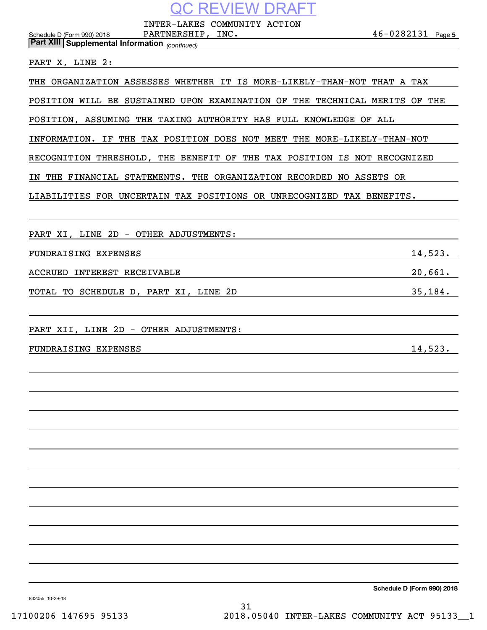INTER-LAKES COMMUNITY ACTION

 $46 - 0282131$  Page 5 Schedule D (Form 990) 2018 PARTNERSHIP , INC . 4 6-0 2 8 2 1 3 1 Page

PART X, LINE 2:

*(continued)* **Part XIII Supplemental Information** 

THE ORGANIZATION ASSESSES WHETHER IT IS MORE-LIKELY-THAN-NOT THAT A TAX

POSITION WILL BE SUSTAINED UPON EXAMINATION OF THE TECHNICAL MERITS OF THE

POSITION, ASSUMING THE TAXING AUTHORITY HAS FULL KNOWLEDGE OF ALL

INFORMATION. IF THE TAX POSITION DOES NOT MEET THE MORE-LIKELY-THAN-NOT

RECOGNITION THRESHOLD, THE BENEFIT OF THE TAX POSITION IS NOT RECOGNIZED

IN THE FINANCIAL STATEMENTS. THE ORGANIZATION RECORDED NO ASSETS OR

LIABILITIES FOR UNCERTAIN TAX POSITIONS OR UNRECOGNIZED TAX BENEFITS.

PART XI, LINE 2D - OTHER ADJUSTMENTS: FUNDRAISING EXPENSES 14,523. ACCRUED INTEREST RECEIVABLE **ACCRUED 120,661**. TOTAL TO SCHEDULE D, PART XI, LINE 2D 35,184.

PART XII, LINE 2D - OTHER ADJUSTMENTS:

FUNDRAISING EXPENSES 14,523.

**Schedule D (Form 990) 2018**

832055 10-29-18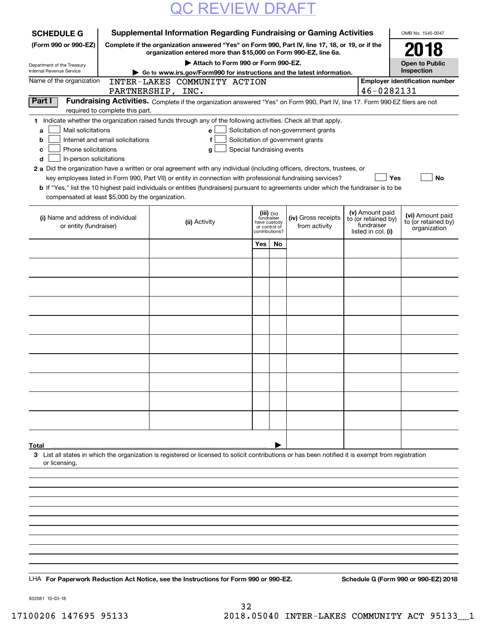| <b>SCHEDULE G</b>                                            |                                                   | Supplemental Information Regarding Fundraising or Gaming Activities                                                                                                                                                                                         |                                                                            |    |                                                                            |                                                                            | OMB No. 1545-0047                                       |
|--------------------------------------------------------------|---------------------------------------------------|-------------------------------------------------------------------------------------------------------------------------------------------------------------------------------------------------------------------------------------------------------------|----------------------------------------------------------------------------|----|----------------------------------------------------------------------------|----------------------------------------------------------------------------|---------------------------------------------------------|
| (Form 990 or 990-EZ)                                         |                                                   | Complete if the organization answered "Yes" on Form 990, Part IV, line 17, 18, or 19, or if the<br>organization entered more than \$15,000 on Form 990-EZ, line 6a.                                                                                         |                                                                            |    |                                                                            |                                                                            | 2018                                                    |
| Department of the Treasury                                   |                                                   | Attach to Form 990 or Form 990-EZ.                                                                                                                                                                                                                          |                                                                            |    |                                                                            |                                                                            | <b>Open to Public</b>                                   |
| Internal Revenue Service                                     |                                                   | Go to www.irs.gov/Form990 for instructions and the latest information.                                                                                                                                                                                      |                                                                            |    |                                                                            |                                                                            | Inspection                                              |
| Name of the organization                                     | PARTNERSHIP, INC.                                 | INTER-LAKES COMMUNITY ACTION                                                                                                                                                                                                                                |                                                                            |    |                                                                            | 46-0282131                                                                 | <b>Employer identification number</b>                   |
| Part I                                                       |                                                   | Fundraising Activities. Complete if the organization answered "Yes" on Form 990, Part IV, line 17. Form 990-EZ filers are not                                                                                                                               |                                                                            |    |                                                                            |                                                                            |                                                         |
|                                                              | required to complete this part.                   |                                                                                                                                                                                                                                                             |                                                                            |    |                                                                            |                                                                            |                                                         |
| Mail solicitations<br>a<br>b                                 | Internet and email solicitations                  | 1 Indicate whether the organization raised funds through any of the following activities. Check all that apply.<br>е<br>f                                                                                                                                   |                                                                            |    | Solicitation of non-government grants<br>Solicitation of government grants |                                                                            |                                                         |
| Phone solicitations<br>c<br>In-person solicitations<br>d     |                                                   | g                                                                                                                                                                                                                                                           | Special fundraising events                                                 |    |                                                                            |                                                                            |                                                         |
|                                                              |                                                   | 2 a Did the organization have a written or oral agreement with any individual (including officers, directors, trustees, or                                                                                                                                  |                                                                            |    |                                                                            |                                                                            |                                                         |
|                                                              | compensated at least \$5,000 by the organization. | key employees listed in Form 990, Part VII) or entity in connection with professional fundraising services?<br><b>b</b> If "Yes," list the 10 highest paid individuals or entities (fundraisers) pursuant to agreements under which the fundraiser is to be |                                                                            |    |                                                                            | Yes                                                                        | No                                                      |
| (i) Name and address of individual<br>or entity (fundraiser) |                                                   | (ii) Activity                                                                                                                                                                                                                                               | (iii) Did<br>fundraiser<br>have custody<br>or control of<br>contributions? |    | (iv) Gross receipts<br>from activity                                       | (v) Amount paid<br>to (or retained by)<br>fundraiser<br>listed in col. (i) | (vi) Amount paid<br>to (or retained by)<br>organization |
|                                                              |                                                   |                                                                                                                                                                                                                                                             | Yes                                                                        | No |                                                                            |                                                                            |                                                         |
|                                                              |                                                   |                                                                                                                                                                                                                                                             |                                                                            |    |                                                                            |                                                                            |                                                         |
|                                                              |                                                   |                                                                                                                                                                                                                                                             |                                                                            |    |                                                                            |                                                                            |                                                         |
|                                                              |                                                   |                                                                                                                                                                                                                                                             |                                                                            |    |                                                                            |                                                                            |                                                         |
|                                                              |                                                   |                                                                                                                                                                                                                                                             |                                                                            |    |                                                                            |                                                                            |                                                         |
|                                                              |                                                   |                                                                                                                                                                                                                                                             |                                                                            |    |                                                                            |                                                                            |                                                         |
|                                                              |                                                   |                                                                                                                                                                                                                                                             |                                                                            |    |                                                                            |                                                                            |                                                         |
|                                                              |                                                   |                                                                                                                                                                                                                                                             |                                                                            |    |                                                                            |                                                                            |                                                         |
|                                                              |                                                   |                                                                                                                                                                                                                                                             |                                                                            |    |                                                                            |                                                                            |                                                         |
|                                                              |                                                   |                                                                                                                                                                                                                                                             |                                                                            |    |                                                                            |                                                                            |                                                         |
| Total                                                        |                                                   |                                                                                                                                                                                                                                                             |                                                                            |    |                                                                            |                                                                            |                                                         |
| or licensing.                                                |                                                   | 3 List all states in which the organization is registered or licensed to solicit contributions or has been notified it is exempt from registration                                                                                                          |                                                                            |    |                                                                            |                                                                            |                                                         |
|                                                              |                                                   |                                                                                                                                                                                                                                                             |                                                                            |    |                                                                            |                                                                            |                                                         |
|                                                              |                                                   |                                                                                                                                                                                                                                                             |                                                                            |    |                                                                            |                                                                            |                                                         |
|                                                              |                                                   |                                                                                                                                                                                                                                                             |                                                                            |    |                                                                            |                                                                            |                                                         |
|                                                              |                                                   |                                                                                                                                                                                                                                                             |                                                                            |    |                                                                            |                                                                            |                                                         |
|                                                              |                                                   |                                                                                                                                                                                                                                                             |                                                                            |    |                                                                            |                                                                            |                                                         |
|                                                              |                                                   |                                                                                                                                                                                                                                                             |                                                                            |    |                                                                            |                                                                            |                                                         |
|                                                              |                                                   |                                                                                                                                                                                                                                                             |                                                                            |    |                                                                            |                                                                            |                                                         |
|                                                              |                                                   | LHA For Paperwork Reduction Act Notice, see the Instructions for Form 990 or 990-EZ.                                                                                                                                                                        |                                                                            |    |                                                                            |                                                                            | Schedule G (Form 990 or 990-EZ) 2018                    |

832081 10-03-18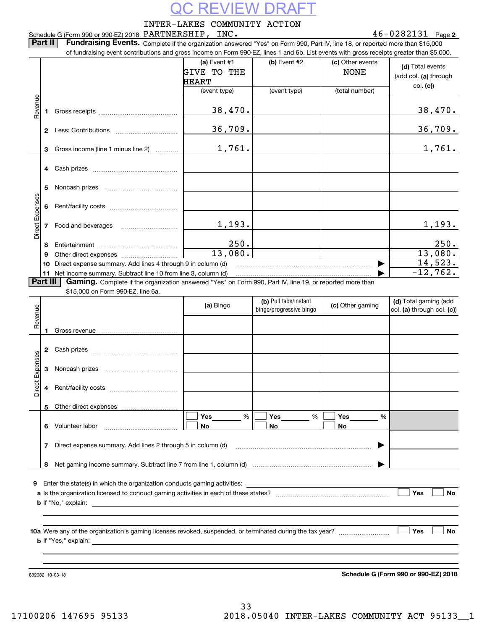|                 |          | Schedule G (Form 990 or 990-EZ) 2018 PARTNERSHIP, INC.                                                                                                                                                                         | INTER-LAKES COMMUNITY ACTION                                         |                              |                                                   | $46 - 0282131$ Page 2                                 |
|-----------------|----------|--------------------------------------------------------------------------------------------------------------------------------------------------------------------------------------------------------------------------------|----------------------------------------------------------------------|------------------------------|---------------------------------------------------|-------------------------------------------------------|
|                 | Part II  | Fundraising Events. Complete if the organization answered "Yes" on Form 990, Part IV, line 18, or reported more than \$15,000                                                                                                  |                                                                      |                              |                                                   |                                                       |
|                 |          | of fundraising event contributions and gross income on Form 990-EZ, lines 1 and 6b. List events with gross receipts greater than \$5,000.                                                                                      | (a) Event $#1$<br><b>GIVE TO THE</b><br><b>HEART</b><br>(event type) | (b) Event #2<br>(event type) | (c) Other events<br><b>NONE</b><br>(total number) | (d) Total events<br>(add col. (a) through<br>col. (c) |
|                 |          |                                                                                                                                                                                                                                |                                                                      |                              |                                                   |                                                       |
| Revenue         | 1        |                                                                                                                                                                                                                                | 38,470.                                                              |                              |                                                   | 38,470.                                               |
|                 |          |                                                                                                                                                                                                                                | 36, 709.                                                             |                              |                                                   | <u>36,709.</u>                                        |
|                 | 3        | Gross income (line 1 minus line 2)                                                                                                                                                                                             | 1,761.                                                               |                              |                                                   | 1,761.                                                |
|                 | 4        |                                                                                                                                                                                                                                |                                                                      |                              |                                                   |                                                       |
|                 | 5        |                                                                                                                                                                                                                                |                                                                      |                              |                                                   |                                                       |
| Direct Expenses | 6        |                                                                                                                                                                                                                                |                                                                      |                              |                                                   |                                                       |
|                 | 7        |                                                                                                                                                                                                                                | 1,193.                                                               |                              |                                                   | 1,193.                                                |
|                 | 8        |                                                                                                                                                                                                                                | 250.                                                                 |                              |                                                   | 250.                                                  |
|                 | 9        |                                                                                                                                                                                                                                | 13,080.                                                              |                              |                                                   | 13,080.                                               |
|                 | 10       | Direct expense summary. Add lines 4 through 9 in column (d) [11] manuscription and the summary. Add lines 4 through 9 in column (d)                                                                                            |                                                                      |                              | ▶                                                 | 14,523.<br>$-12,762.$                                 |
|                 | Part III | Gaming. Complete if the organization answered "Yes" on Form 990, Part IV, line 19, or reported more than                                                                                                                       |                                                                      |                              |                                                   |                                                       |
|                 |          | \$15,000 on Form 990-EZ, line 6a.                                                                                                                                                                                              |                                                                      |                              |                                                   |                                                       |
|                 |          |                                                                                                                                                                                                                                |                                                                      | (b) Pull tabs/instant        |                                                   | (d) Total gaming (add                                 |
| Revenue         |          |                                                                                                                                                                                                                                | (a) Bingo                                                            | bingo/progressive bingo      | (c) Other gaming                                  | col. (a) through col. (c))                            |
|                 |          |                                                                                                                                                                                                                                |                                                                      |                              |                                                   |                                                       |
|                 |          |                                                                                                                                                                                                                                |                                                                      |                              |                                                   |                                                       |
|                 | 2        |                                                                                                                                                                                                                                |                                                                      |                              |                                                   |                                                       |
| Expenses        | 3        |                                                                                                                                                                                                                                |                                                                      |                              |                                                   |                                                       |
| Direct          | 4        |                                                                                                                                                                                                                                |                                                                      |                              |                                                   |                                                       |
|                 | 5        |                                                                                                                                                                                                                                |                                                                      |                              |                                                   |                                                       |
|                 | 6        | Volunteer labor                                                                                                                                                                                                                | %<br>Yes<br>No                                                       | Yes<br>%<br><b>No</b>        | Yes<br>%<br>No.                                   |                                                       |
|                 |          |                                                                                                                                                                                                                                |                                                                      |                              |                                                   |                                                       |
|                 | 7        | Direct expense summary. Add lines 2 through 5 in column (d) [11] manus and the summan control of the summan control of the Director of the Director of the Director of the Director of the Director of the Director of the Dir |                                                                      |                              | ▶                                                 |                                                       |
|                 |          |                                                                                                                                                                                                                                |                                                                      |                              |                                                   |                                                       |
|                 |          |                                                                                                                                                                                                                                |                                                                      |                              |                                                   |                                                       |
|                 |          |                                                                                                                                                                                                                                |                                                                      |                              |                                                   |                                                       |
|                 |          |                                                                                                                                                                                                                                |                                                                      |                              |                                                   | Yes<br>No                                             |
|                 |          |                                                                                                                                                                                                                                |                                                                      |                              |                                                   |                                                       |
|                 |          |                                                                                                                                                                                                                                |                                                                      |                              |                                                   |                                                       |
|                 |          |                                                                                                                                                                                                                                |                                                                      |                              |                                                   | Yes<br>No                                             |
|                 |          |                                                                                                                                                                                                                                |                                                                      |                              |                                                   |                                                       |
|                 |          |                                                                                                                                                                                                                                |                                                                      |                              |                                                   |                                                       |
|                 |          |                                                                                                                                                                                                                                |                                                                      |                              |                                                   |                                                       |
|                 |          | 832082 10-03-18                                                                                                                                                                                                                |                                                                      |                              |                                                   | Schedule G (Form 990 or 990-EZ) 2018                  |
|                 |          |                                                                                                                                                                                                                                |                                                                      |                              |                                                   |                                                       |
|                 |          |                                                                                                                                                                                                                                |                                                                      |                              |                                                   |                                                       |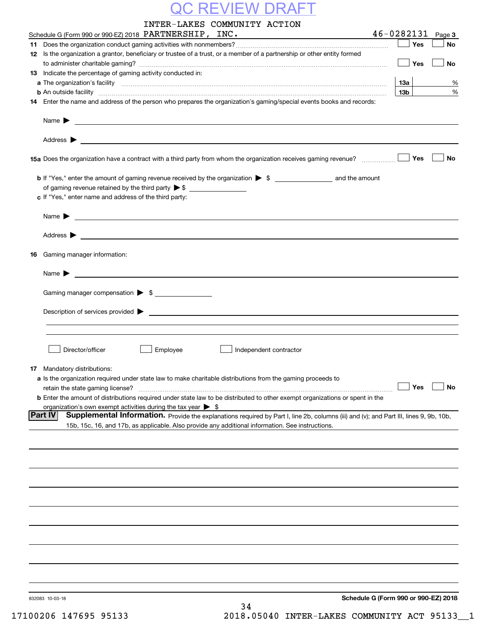|    | INTER-LAKES COMMUNITY ACTION                                                                                                                                                                                                             |                 |     |           |
|----|------------------------------------------------------------------------------------------------------------------------------------------------------------------------------------------------------------------------------------------|-----------------|-----|-----------|
|    | Schedule G (Form 990 or 990-EZ) 2018 PARTNERSHIP, INC.                                                                                                                                                                                   | 46-0282131      |     | Page 3    |
|    |                                                                                                                                                                                                                                          |                 | Yes | No        |
|    | 12 Is the organization a grantor, beneficiary or trustee of a trust, or a member of a partnership or other entity formed                                                                                                                 |                 |     |           |
|    |                                                                                                                                                                                                                                          |                 | Yes | No        |
|    | 13 Indicate the percentage of gaming activity conducted in:                                                                                                                                                                              |                 |     |           |
|    |                                                                                                                                                                                                                                          | 13а             |     | %         |
|    | <b>b</b> An outside facility <i>www.communicality www.communicality.communicality www.communicality www.communicality.communicality www.communicality.com</i>                                                                            | 13 <sub>b</sub> |     | %         |
|    | 14 Enter the name and address of the person who prepares the organization's gaming/special events books and records:                                                                                                                     |                 |     |           |
|    | Name $\blacktriangleright$                                                                                                                                                                                                               |                 |     |           |
|    | Address $\blacktriangleright$                                                                                                                                                                                                            |                 |     |           |
|    | 15a Does the organization have a contract with a third party from whom the organization receives gaming revenue?                                                                                                                         |                 | Yes | No        |
|    | <b>b</b> If "Yes," enter the amount of gaming revenue received by the organization $\triangleright$ \$ ___________________ and the amount                                                                                                |                 |     |           |
|    |                                                                                                                                                                                                                                          |                 |     |           |
|    | c If "Yes," enter name and address of the third party:                                                                                                                                                                                   |                 |     |           |
|    |                                                                                                                                                                                                                                          |                 |     |           |
|    | Name $\blacktriangleright$                                                                                                                                                                                                               |                 |     |           |
|    | Address $\blacktriangleright$                                                                                                                                                                                                            |                 |     |           |
| 16 | Gaming manager information:                                                                                                                                                                                                              |                 |     |           |
|    |                                                                                                                                                                                                                                          |                 |     |           |
|    | Name $\blacktriangleright$                                                                                                                                                                                                               |                 |     |           |
|    | Gaming manager compensation > \$                                                                                                                                                                                                         |                 |     |           |
|    |                                                                                                                                                                                                                                          |                 |     |           |
|    | $Description of services provided$ $\triangleright$                                                                                                                                                                                      |                 |     |           |
|    |                                                                                                                                                                                                                                          |                 |     |           |
|    |                                                                                                                                                                                                                                          |                 |     |           |
|    | Director/officer<br>Employee<br>Independent contractor                                                                                                                                                                                   |                 |     |           |
|    |                                                                                                                                                                                                                                          |                 |     |           |
|    | <b>17</b> Mandatory distributions:                                                                                                                                                                                                       |                 |     |           |
|    | a Is the organization required under state law to make charitable distributions from the gaming proceeds to                                                                                                                              |                 |     |           |
|    | retain the state gaming license?                                                                                                                                                                                                         |                 | Yes | <b>No</b> |
|    | <b>b</b> Enter the amount of distributions required under state law to be distributed to other exempt organizations or spent in the                                                                                                      |                 |     |           |
|    | organization's own exempt activities during the tax year $\triangleright$ \$<br><b>Part IV</b><br>Supplemental Information. Provide the explanations required by Part I, line 2b, columns (iii) and (v); and Part III, lines 9, 9b, 10b, |                 |     |           |
|    | 15b, 15c, 16, and 17b, as applicable. Also provide any additional information. See instructions.                                                                                                                                         |                 |     |           |
|    |                                                                                                                                                                                                                                          |                 |     |           |
|    |                                                                                                                                                                                                                                          |                 |     |           |
|    |                                                                                                                                                                                                                                          |                 |     |           |
|    |                                                                                                                                                                                                                                          |                 |     |           |
|    |                                                                                                                                                                                                                                          |                 |     |           |
|    |                                                                                                                                                                                                                                          |                 |     |           |
|    |                                                                                                                                                                                                                                          |                 |     |           |
|    |                                                                                                                                                                                                                                          |                 |     |           |
|    |                                                                                                                                                                                                                                          |                 |     |           |
|    |                                                                                                                                                                                                                                          |                 |     |           |
|    |                                                                                                                                                                                                                                          |                 |     |           |
|    |                                                                                                                                                                                                                                          |                 |     |           |
|    |                                                                                                                                                                                                                                          |                 |     |           |
|    |                                                                                                                                                                                                                                          |                 |     |           |
|    | Schedule G (Form 990 or 990-EZ) 2018<br>832083 10-03-18                                                                                                                                                                                  |                 |     |           |
|    | 34                                                                                                                                                                                                                                       |                 |     |           |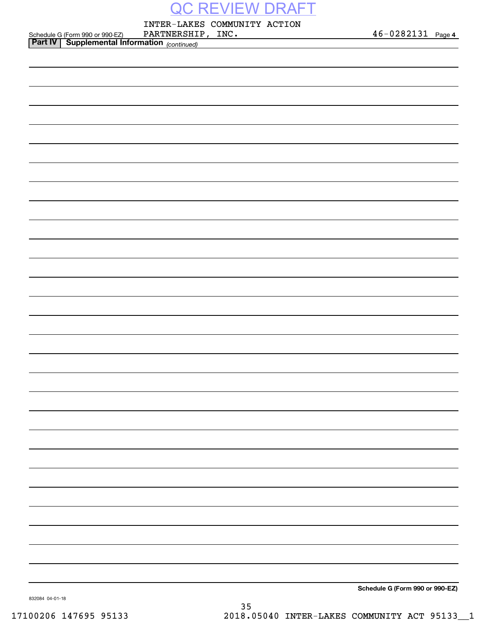INTER-LAKES COMMUNITY ACTION

| $46 - 0282131$ Page 4 |  |
|-----------------------|--|
|                       |  |

|                                                                                               | PARTNERSHIP, INC. | 46-0282131 Page 4               |
|-----------------------------------------------------------------------------------------------|-------------------|---------------------------------|
| Schedule G (Form 990 or 990-EZ) PARTNERSHII<br>Part IV   Supplemental Information (continued) |                   |                                 |
|                                                                                               |                   |                                 |
|                                                                                               |                   |                                 |
|                                                                                               |                   |                                 |
|                                                                                               |                   |                                 |
|                                                                                               |                   |                                 |
|                                                                                               |                   |                                 |
|                                                                                               |                   |                                 |
|                                                                                               |                   |                                 |
|                                                                                               |                   |                                 |
|                                                                                               |                   |                                 |
|                                                                                               |                   |                                 |
|                                                                                               |                   |                                 |
|                                                                                               |                   |                                 |
|                                                                                               |                   |                                 |
|                                                                                               |                   |                                 |
|                                                                                               |                   |                                 |
|                                                                                               |                   |                                 |
|                                                                                               |                   |                                 |
|                                                                                               |                   |                                 |
|                                                                                               |                   |                                 |
|                                                                                               |                   |                                 |
|                                                                                               |                   |                                 |
|                                                                                               |                   |                                 |
|                                                                                               |                   |                                 |
|                                                                                               |                   |                                 |
|                                                                                               |                   |                                 |
|                                                                                               |                   |                                 |
|                                                                                               |                   |                                 |
|                                                                                               |                   |                                 |
|                                                                                               |                   |                                 |
|                                                                                               |                   |                                 |
|                                                                                               |                   |                                 |
|                                                                                               |                   |                                 |
|                                                                                               |                   |                                 |
|                                                                                               |                   |                                 |
|                                                                                               |                   |                                 |
|                                                                                               |                   |                                 |
|                                                                                               |                   |                                 |
|                                                                                               |                   |                                 |
|                                                                                               |                   |                                 |
|                                                                                               |                   |                                 |
|                                                                                               |                   |                                 |
|                                                                                               |                   |                                 |
|                                                                                               |                   |                                 |
|                                                                                               |                   |                                 |
|                                                                                               |                   |                                 |
|                                                                                               |                   |                                 |
|                                                                                               |                   |                                 |
|                                                                                               |                   | Schedule G (Form 990 or 990-EZ) |

832084 04-01-18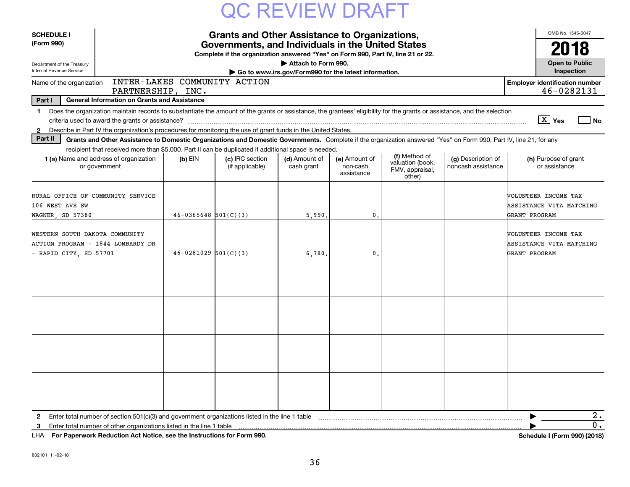| <b>SCHEDULE I</b><br><b>Grants and Other Assistance to Organizations,</b>                     |                                                                                                                                                                                                                                                                                           |                          |                                                                                                                                       |                                                                              |                                         |                                                                |                                          |               | OMB No. 1545-0047                                   |
|-----------------------------------------------------------------------------------------------|-------------------------------------------------------------------------------------------------------------------------------------------------------------------------------------------------------------------------------------------------------------------------------------------|--------------------------|---------------------------------------------------------------------------------------------------------------------------------------|------------------------------------------------------------------------------|-----------------------------------------|----------------------------------------------------------------|------------------------------------------|---------------|-----------------------------------------------------|
| (Form 990)                                                                                    |                                                                                                                                                                                                                                                                                           |                          | Governments, and Individuals in the United States<br>Complete if the organization answered "Yes" on Form 990, Part IV, line 21 or 22. |                                                                              |                                         |                                                                |                                          |               | 2018                                                |
| Department of the Treasury<br>Internal Revenue Service                                        |                                                                                                                                                                                                                                                                                           |                          |                                                                                                                                       | Attach to Form 990.<br>Go to www.irs.gov/Form990 for the latest information. |                                         |                                                                |                                          |               | <b>Open to Public</b><br>Inspection                 |
| Name of the organization                                                                      | PARTNERSHIP, INC.                                                                                                                                                                                                                                                                         |                          | INTER-LAKES COMMUNITY ACTION                                                                                                          |                                                                              |                                         |                                                                |                                          |               | <b>Employer identification number</b><br>46-0282131 |
| Part I                                                                                        | <b>General Information on Grants and Assistance</b>                                                                                                                                                                                                                                       |                          |                                                                                                                                       |                                                                              |                                         |                                                                |                                          |               |                                                     |
| 1<br>$\mathbf{2}$                                                                             | Does the organization maintain records to substantiate the amount of the grants or assistance, the grantees' eligibility for the grants or assistance, and the selection<br>Describe in Part IV the organization's procedures for monitoring the use of grant funds in the United States. |                          |                                                                                                                                       |                                                                              |                                         |                                                                |                                          |               | $\boxed{\text{X}}$ Yes<br>l No                      |
| Part II                                                                                       | Grants and Other Assistance to Domestic Organizations and Domestic Governments. Complete if the organization answered "Yes" on Form 990, Part IV, line 21, for any<br>recipient that received more than \$5,000. Part II can be duplicated if additional space is needed.                 |                          |                                                                                                                                       |                                                                              |                                         |                                                                |                                          |               |                                                     |
|                                                                                               | 1 (a) Name and address of organization<br>or government                                                                                                                                                                                                                                   | $(b)$ EIN                | (c) IRC section<br>(if applicable)                                                                                                    | (d) Amount of<br>cash grant                                                  | (e) Amount of<br>non-cash<br>assistance | (f) Method of<br>valuation (book,<br>FMV, appraisal,<br>other) | (g) Description of<br>noncash assistance |               | (h) Purpose of grant<br>or assistance               |
| RURAL OFFICE OF COMMUNITY SERVICE<br>106 WEST AVE SW<br>WAGNER, SD 57380                      |                                                                                                                                                                                                                                                                                           | $46 - 0365648$ 501(C)(3) |                                                                                                                                       | 5,950.                                                                       | 0.                                      |                                                                |                                          | GRANT PROGRAM | WOLUNTEER INCOME TAX<br>ASSISTANCE VITA MATCHING    |
| WESTERN SOUTH DAKOTA COMMUNITY<br>ACTION PROGRAM - 1844 LOMBARDY DR<br>- RAPID CITY, SD 57701 |                                                                                                                                                                                                                                                                                           | $46 - 0281029$ 501(C)(3) |                                                                                                                                       | 6,780,                                                                       | 0.                                      |                                                                |                                          | GRANT PROGRAM | VOLUNTEER INCOME TAX<br>ASSISTANCE VITA MATCHING    |
|                                                                                               |                                                                                                                                                                                                                                                                                           |                          |                                                                                                                                       |                                                                              |                                         |                                                                |                                          |               |                                                     |
|                                                                                               |                                                                                                                                                                                                                                                                                           |                          |                                                                                                                                       |                                                                              |                                         |                                                                |                                          |               |                                                     |
|                                                                                               |                                                                                                                                                                                                                                                                                           |                          |                                                                                                                                       |                                                                              |                                         |                                                                |                                          |               |                                                     |
|                                                                                               |                                                                                                                                                                                                                                                                                           |                          |                                                                                                                                       |                                                                              |                                         |                                                                |                                          |               |                                                     |
| $\mathbf{2}$<br>3                                                                             | Enter total number of section 501(c)(3) and government organizations listed in the line 1 table<br>Enter total number of other organizations listed in the line 1 table                                                                                                                   |                          |                                                                                                                                       |                                                                              |                                         |                                                                |                                          |               | 2.<br>0.                                            |

**For Paperwork Reduction Act Notice, see the Instructions for Form 990. Schedule I (Form 990) (2018)** LHA

Schedule I (Form 990) (2018)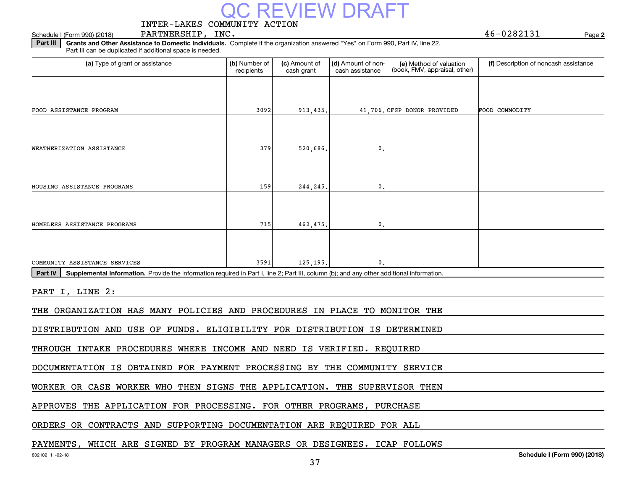# EVIEW DR

### INTER-LAKES COMMUNITY ACTION

### Schedule I (Form 990) (2018) Page PARTNERSHIP, INC. 46-0282131

**2**

**Part III** | Grants and Other Assistance to Domestic Individuals. Complete if the organization answered "Yes" on Form 990, Part IV, line 22. Part III can be duplicated if additional space is needed.

| (a) Type of grant or assistance                                                                                                                      | (b) Number of<br>recipients | (c) Amount of<br>cash grant | (d) Amount of non-<br>cash assistance | (e) Method of valuation<br>(book, FMV, appraisal, other) | (f) Description of noncash assistance |  |  |  |  |
|------------------------------------------------------------------------------------------------------------------------------------------------------|-----------------------------|-----------------------------|---------------------------------------|----------------------------------------------------------|---------------------------------------|--|--|--|--|
|                                                                                                                                                      |                             |                             |                                       |                                                          |                                       |  |  |  |  |
| FOOD ASSISTANCE PROGRAM                                                                                                                              | 3092                        | 913,435.                    |                                       | 41,706. CFSP DONOR PROVIDED                              | FOOD COMMODITY                        |  |  |  |  |
|                                                                                                                                                      |                             |                             |                                       |                                                          |                                       |  |  |  |  |
| WEATHERIZATION ASSISTANCE                                                                                                                            | 379                         | 520,686.                    | 0.                                    |                                                          |                                       |  |  |  |  |
|                                                                                                                                                      |                             |                             |                                       |                                                          |                                       |  |  |  |  |
| HOUSING ASSISTANCE PROGRAMS                                                                                                                          | 159                         | 244,245.                    | $\mathbf 0$ .                         |                                                          |                                       |  |  |  |  |
|                                                                                                                                                      |                             |                             |                                       |                                                          |                                       |  |  |  |  |
| HOMELESS ASSISTANCE PROGRAMS                                                                                                                         | 715                         | 462,475.                    | 0.                                    |                                                          |                                       |  |  |  |  |
| COMMUNITY ASSISTANCE SERVICES                                                                                                                        | 3591                        | 125, 195.                   | $\mathbf{0}$                          |                                                          |                                       |  |  |  |  |
| Supplemental Information. Provide the information required in Part I, line 2; Part III, column (b); and any other additional information.<br>Part IV |                             |                             |                                       |                                                          |                                       |  |  |  |  |
| PART I, LINE 2:                                                                                                                                      |                             |                             |                                       |                                                          |                                       |  |  |  |  |
| THE ORGANIZATION HAS MANY POLICIES AND PROCEDURES IN PLACE TO MONITOR THE                                                                            |                             |                             |                                       |                                                          |                                       |  |  |  |  |
| DISTRIBUTION AND USE OF FUNDS. ELIGIBILITY FOR DISTRIBUTION IS DETERMINED                                                                            |                             |                             |                                       |                                                          |                                       |  |  |  |  |
| THROUGH INTAKE PROCEDURES WHERE INCOME AND NEED IS VERIFIED. REQUIRED                                                                                |                             |                             |                                       |                                                          |                                       |  |  |  |  |

DOCUMENTATION IS OBTAINED FOR PAYMENT PROCESSING BY THE COMMUNITY SERVICE

WORKER OR CASE WORKER WHO THEN SIGNS THE APPLICATION. THE SUPERVISOR THEN

APPROVES THE APPLICATION FOR PROCESSING. FOR OTHER PROGRAMS, PURCHASE

ORDERS OR CONTRACTS AND SUPPORTING DOCUMENTATION ARE REQUIRED FOR ALL

### PAYMENTS, WHICH ARE SIGNED BY PROGRAM MANAGERS OR DESIGNEES. ICAP FOLLOWS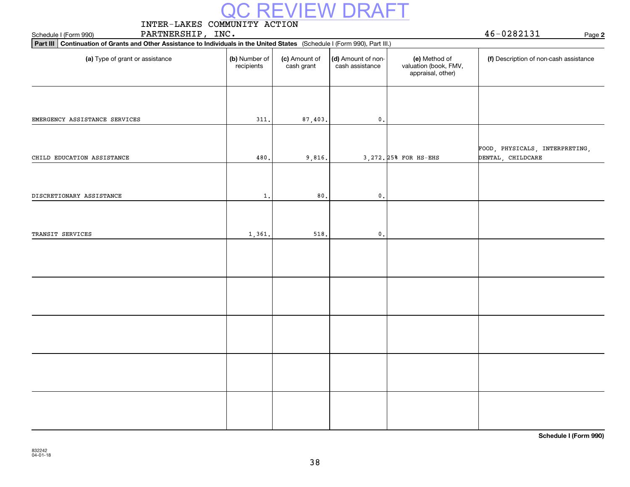|                                                                                                                               |                             |                             | QC REVIEW DRAFT                       |                                                             |                                                     |
|-------------------------------------------------------------------------------------------------------------------------------|-----------------------------|-----------------------------|---------------------------------------|-------------------------------------------------------------|-----------------------------------------------------|
| INTER-LAKES COMMUNITY ACTION                                                                                                  |                             |                             |                                       |                                                             |                                                     |
| PARTNERSHIP, INC.<br>Schedule I (Form 990)                                                                                    |                             |                             |                                       |                                                             | 46-0282131<br>Page 2                                |
| Part III   Continuation of Grants and Other Assistance to Individuals in the United States (Schedule I (Form 990), Part III.) |                             |                             |                                       |                                                             |                                                     |
| (a) Type of grant or assistance                                                                                               | (b) Number of<br>recipients | (c) Amount of<br>cash grant | (d) Amount of non-<br>cash assistance | (e) Method of<br>valuation (book, FMV,<br>appraisal, other) | (f) Description of non-cash assistance              |
|                                                                                                                               |                             |                             |                                       |                                                             |                                                     |
| EMERGENCY ASSISTANCE SERVICES                                                                                                 | 311.                        | 87,403.                     | $\mathfrak o$ .                       |                                                             |                                                     |
| CHILD EDUCATION ASSISTANCE                                                                                                    | 480                         | 9,816.                      |                                       | 3, 272. 25% FOR HS-EHS                                      | FOOD, PHYSICALS, INTERPRETING,<br>DENTAL, CHILDCARE |
|                                                                                                                               |                             |                             |                                       |                                                             |                                                     |
| DISCRETIONARY ASSISTANCE                                                                                                      | 1.                          | 80.                         | $\mathfrak o$ .                       |                                                             |                                                     |
|                                                                                                                               |                             |                             |                                       |                                                             |                                                     |
| TRANSIT SERVICES                                                                                                              | 1,361.                      | 518.                        | $\mathfrak o$ .                       |                                                             |                                                     |
|                                                                                                                               |                             |                             |                                       |                                                             |                                                     |
|                                                                                                                               |                             |                             |                                       |                                                             |                                                     |
|                                                                                                                               |                             |                             |                                       |                                                             |                                                     |
|                                                                                                                               |                             |                             |                                       |                                                             |                                                     |
|                                                                                                                               |                             |                             |                                       |                                                             |                                                     |

**Schedule I (Form 990)**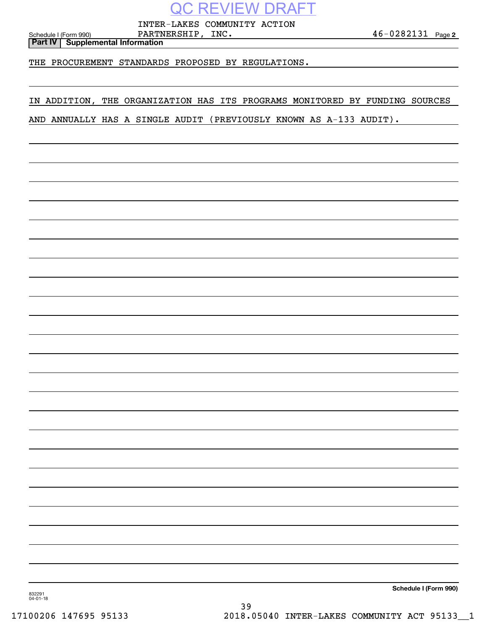INTER-LAKES COMMUNITY ACTION

**2** Schedule I (Form 990) P ${\tt RRTNERSHIP}$  ,  ${\tt INC.}$  4  ${\tt 6-0282131}$  . Page

**Part IV Supplemental Information**

THE PROCUREMENT STANDARDS PROPOSED BY REGULATIONS.

IN ADDITION, THE ORGANIZATION HAS ITS PROGRAMS MONITORED BY FUNDING SOURCES

AND ANNUALLY HAS A SINGLE AUDIT (PREVIOUSLY KNOWN AS A-133 AUDIT).

**Schedule I (Form 990)**

832291 04-01-18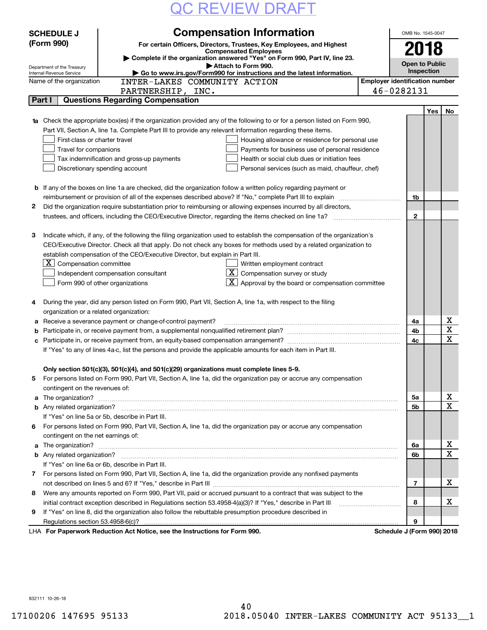| <b>QC REVIEW DRAFT</b> |
|------------------------|
|------------------------|

|              | <b>SCHEDULE J</b>                                      | OMB No. 1545-0047                                                                                                                             |                                       |                            |     |                         |
|--------------|--------------------------------------------------------|-----------------------------------------------------------------------------------------------------------------------------------------------|---------------------------------------|----------------------------|-----|-------------------------|
|              | (Form 990)                                             | <b>Compensation Information</b><br>For certain Officers, Directors, Trustees, Key Employees, and Highest                                      |                                       |                            |     |                         |
|              |                                                        | <b>Compensated Employees</b>                                                                                                                  |                                       | 2018                       |     |                         |
|              |                                                        | Complete if the organization answered "Yes" on Form 990, Part IV, line 23.                                                                    |                                       | <b>Open to Public</b>      |     |                         |
|              | Department of the Treasury<br>Internal Revenue Service | Attach to Form 990.<br>Go to www.irs.gov/Form990 for instructions and the latest information.                                                 |                                       | Inspection                 |     |                         |
|              | Name of the organization                               | INTER-LAKES COMMUNITY ACTION                                                                                                                  | <b>Employer identification number</b> |                            |     |                         |
|              |                                                        | PARTNERSHIP, INC.                                                                                                                             |                                       | 46-0282131                 |     |                         |
|              | Part I                                                 | <b>Questions Regarding Compensation</b>                                                                                                       |                                       |                            |     |                         |
|              |                                                        |                                                                                                                                               |                                       |                            | Yes | No                      |
|              |                                                        | <b>1a</b> Check the appropriate box(es) if the organization provided any of the following to or for a person listed on Form 990,              |                                       |                            |     |                         |
|              |                                                        | Part VII, Section A, line 1a. Complete Part III to provide any relevant information regarding these items.                                    |                                       |                            |     |                         |
|              | First-class or charter travel                          | Housing allowance or residence for personal use                                                                                               |                                       |                            |     |                         |
|              | Travel for companions                                  | Payments for business use of personal residence                                                                                               |                                       |                            |     |                         |
|              |                                                        | Health or social club dues or initiation fees<br>Tax indemnification and gross-up payments                                                    |                                       |                            |     |                         |
|              |                                                        | Discretionary spending account<br>Personal services (such as maid, chauffeur, chef)                                                           |                                       |                            |     |                         |
|              |                                                        |                                                                                                                                               |                                       |                            |     |                         |
|              |                                                        | <b>b</b> If any of the boxes on line 1a are checked, did the organization follow a written policy regarding payment or                        |                                       |                            |     |                         |
|              |                                                        |                                                                                                                                               |                                       | 1b                         |     |                         |
| 2            |                                                        | Did the organization require substantiation prior to reimbursing or allowing expenses incurred by all directors,                              |                                       |                            |     |                         |
|              |                                                        |                                                                                                                                               |                                       | $\mathbf{2}$               |     |                         |
|              |                                                        |                                                                                                                                               |                                       |                            |     |                         |
| З            |                                                        | Indicate which, if any, of the following the filing organization used to establish the compensation of the organization's                     |                                       |                            |     |                         |
|              |                                                        | CEO/Executive Director. Check all that apply. Do not check any boxes for methods used by a related organization to                            |                                       |                            |     |                         |
|              | X.                                                     | establish compensation of the CEO/Executive Director, but explain in Part III.                                                                |                                       |                            |     |                         |
|              | Compensation committee                                 | Written employment contract<br>$\lfloor \underline{X} \rfloor$ Compensation survey or study                                                   |                                       |                            |     |                         |
|              |                                                        | Independent compensation consultant<br>$\lfloor x \rfloor$ Approval by the board or compensation committee<br>Form 990 of other organizations |                                       |                            |     |                         |
|              |                                                        |                                                                                                                                               |                                       |                            |     |                         |
| 4            |                                                        | During the year, did any person listed on Form 990, Part VII, Section A, line 1a, with respect to the filing                                  |                                       |                            |     |                         |
|              | organization or a related organization:                |                                                                                                                                               |                                       |                            |     |                         |
| а            |                                                        | Receive a severance payment or change-of-control payment?                                                                                     |                                       | 4a                         |     | X                       |
| b            |                                                        | Participate in, or receive payment from, a supplemental nonqualified retirement plan?                                                         |                                       | 4b                         |     | $\overline{\mathtt{x}}$ |
|              |                                                        |                                                                                                                                               |                                       | 4c                         |     | $\overline{\mathbf{x}}$ |
|              |                                                        | If "Yes" to any of lines 4a-c, list the persons and provide the applicable amounts for each item in Part III.                                 |                                       |                            |     |                         |
|              |                                                        |                                                                                                                                               |                                       |                            |     |                         |
|              |                                                        | Only section 501(c)(3), 501(c)(4), and 501(c)(29) organizations must complete lines 5-9.                                                      |                                       |                            |     |                         |
| 5            |                                                        | For persons listed on Form 990, Part VII, Section A, line 1a, did the organization pay or accrue any compensation                             |                                       |                            |     |                         |
|              | contingent on the revenues of:                         |                                                                                                                                               |                                       |                            |     |                         |
| а            |                                                        |                                                                                                                                               |                                       | 5a                         |     | х                       |
|              |                                                        |                                                                                                                                               |                                       | 5b                         |     | $\overline{\mathbf{x}}$ |
|              |                                                        | If "Yes" on line 5a or 5b, describe in Part III.                                                                                              |                                       |                            |     |                         |
| 6            |                                                        | For persons listed on Form 990, Part VII, Section A, line 1a, did the organization pay or accrue any compensation                             |                                       |                            |     |                         |
|              | contingent on the net earnings of:                     |                                                                                                                                               |                                       |                            |     |                         |
| а            |                                                        |                                                                                                                                               |                                       | 6a                         |     | х                       |
|              |                                                        |                                                                                                                                               |                                       | 6b                         |     | $\overline{\mathbf{x}}$ |
|              |                                                        | If "Yes" on line 6a or 6b, describe in Part III.                                                                                              |                                       |                            |     |                         |
| $\mathbf{7}$ |                                                        | For persons listed on Form 990, Part VII, Section A, line 1a, did the organization provide any nonfixed payments                              |                                       |                            |     |                         |
|              |                                                        |                                                                                                                                               |                                       | 7                          |     | х                       |
| 8            |                                                        | Were any amounts reported on Form 990, Part VII, paid or accrued pursuant to a contract that was subject to the                               |                                       |                            |     |                         |
|              |                                                        | initial contract exception described in Regulations section 53.4958-4(a)(3)? If "Yes," describe in Part III                                   |                                       | 8                          |     | х                       |
| 9            |                                                        | If "Yes" on line 8, did the organization also follow the rebuttable presumption procedure described in                                        |                                       |                            |     |                         |
|              |                                                        |                                                                                                                                               |                                       | 9                          |     |                         |
|              |                                                        | LHA For Paperwork Reduction Act Notice, see the Instructions for Form 990.                                                                    |                                       | Schedule J (Form 990) 2018 |     |                         |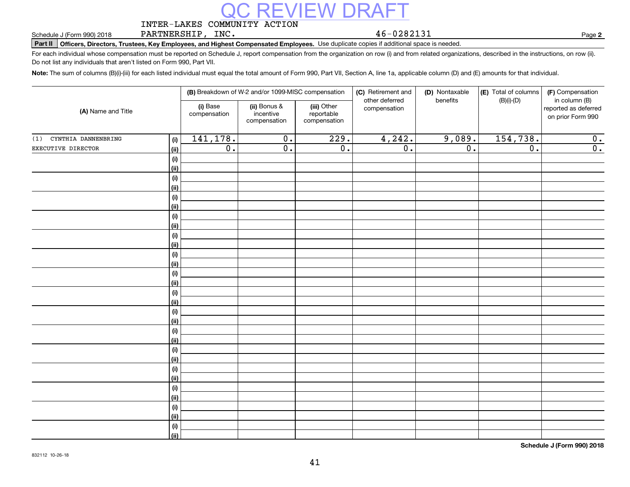### INTER-LAKES COMMUNITY ACTION REVIEW D

PARTNERSHIP, INC.

46-0282131

**2**

**Part II Officers, Directors, Trustees, Key Employees, and Highest Compensated Employees.**  Schedule J (Form 990) 2018 Page Use duplicate copies if additional space is needed.

For each individual whose compensation must be reported on Schedule J, report compensation from the organization on row (i) and from related organizations, described in the instructions, on row (ii). Do not list any individuals that aren't listed on Form 990, Part VII.

**Note:**  The sum of columns (B)(i)-(iii) for each listed individual must equal the total amount of Form 990, Part VII, Section A, line 1a, applicable column (D) and (E) amounts for that individual.

|                            |                |                          | (B) Breakdown of W-2 and/or 1099-MISC compensation |                                           | (C) Retirement and<br>other deferred | (D) Nontaxable<br>benefits | (E) Total of columns<br>$(B)(i)-(D)$ | (F) Compensation<br>in column (B)         |  |
|----------------------------|----------------|--------------------------|----------------------------------------------------|-------------------------------------------|--------------------------------------|----------------------------|--------------------------------------|-------------------------------------------|--|
| (A) Name and Title         |                | (i) Base<br>compensation | (ii) Bonus &<br>incentive<br>compensation          | (iii) Other<br>reportable<br>compensation | compensation                         |                            |                                      | reported as deferred<br>on prior Form 990 |  |
| CYNTHIA DANNENBRING<br>(1) | (i)            | 141,178.                 | $\overline{0}$ .                                   | $\overline{229}$ .                        | 4,242.                               | 9,089.                     | 154,738.                             | 0.                                        |  |
| EXECUTIVE DIRECTOR         | (ii)           | $\overline{0}$ .         | $\overline{0}$ .                                   | $\overline{0}$ .                          | $\overline{0}$ .                     | $\overline{0}$ .           | $\overline{0}$ .                     | $\overline{0}$ .                          |  |
|                            | (i)            |                          |                                                    |                                           |                                      |                            |                                      |                                           |  |
|                            | <u>(ii)</u>    |                          |                                                    |                                           |                                      |                            |                                      |                                           |  |
|                            | (i)            |                          |                                                    |                                           |                                      |                            |                                      |                                           |  |
|                            | <u>(ii)</u>    |                          |                                                    |                                           |                                      |                            |                                      |                                           |  |
|                            | (i)            |                          |                                                    |                                           |                                      |                            |                                      |                                           |  |
|                            | <u>(ii)</u>    |                          |                                                    |                                           |                                      |                            |                                      |                                           |  |
|                            | (i)            |                          |                                                    |                                           |                                      |                            |                                      |                                           |  |
|                            | <u>(ii)</u>    |                          |                                                    |                                           |                                      |                            |                                      |                                           |  |
|                            | (i)            |                          |                                                    |                                           |                                      |                            |                                      |                                           |  |
|                            | <u>(ii)</u>    |                          |                                                    |                                           |                                      |                            |                                      |                                           |  |
|                            | (i)            |                          |                                                    |                                           |                                      |                            |                                      |                                           |  |
|                            | (ii)           |                          |                                                    |                                           |                                      |                            |                                      |                                           |  |
|                            | (i)<br>(ii)    |                          |                                                    |                                           |                                      |                            |                                      |                                           |  |
|                            | (i)            |                          |                                                    |                                           |                                      |                            |                                      |                                           |  |
|                            | (ii)           |                          |                                                    |                                           |                                      |                            |                                      |                                           |  |
|                            | (i)            |                          |                                                    |                                           |                                      |                            |                                      |                                           |  |
|                            | (ii)           |                          |                                                    |                                           |                                      |                            |                                      |                                           |  |
|                            | (i)            |                          |                                                    |                                           |                                      |                            |                                      |                                           |  |
|                            | <u>(ii)</u>    |                          |                                                    |                                           |                                      |                            |                                      |                                           |  |
|                            | (i)            |                          |                                                    |                                           |                                      |                            |                                      |                                           |  |
|                            | <u>(ii)</u>    |                          |                                                    |                                           |                                      |                            |                                      |                                           |  |
|                            | (i)            |                          |                                                    |                                           |                                      |                            |                                      |                                           |  |
|                            | <u>(ii)</u>    |                          |                                                    |                                           |                                      |                            |                                      |                                           |  |
|                            | (i)            |                          |                                                    |                                           |                                      |                            |                                      |                                           |  |
|                            | (ii)           |                          |                                                    |                                           |                                      |                            |                                      |                                           |  |
|                            | (i)            |                          |                                                    |                                           |                                      |                            |                                      |                                           |  |
|                            | <u>(ii)</u>    |                          |                                                    |                                           |                                      |                            |                                      |                                           |  |
|                            | (i)            |                          |                                                    |                                           |                                      |                            |                                      |                                           |  |
|                            | $\overline{}}$ |                          |                                                    |                                           |                                      |                            |                                      |                                           |  |

**Schedule J (Form 990) 2018**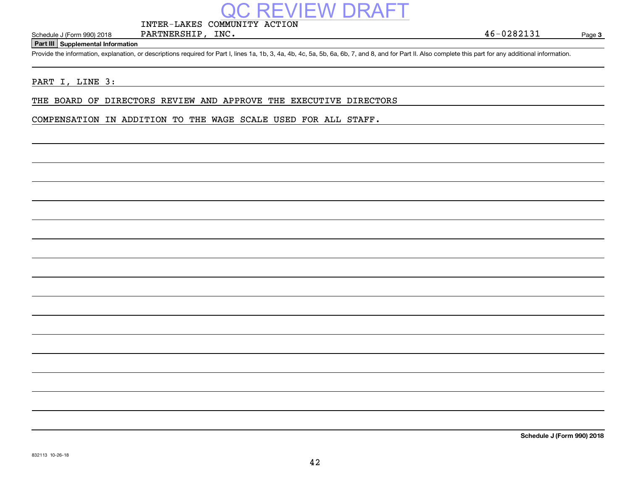### INTER-LAKES COMMUNITY ACTION

PARTNERSHIP, INC.

Page 3

#### **Part III Supplemental Information**

Schedule J (Form 990) 2018 PARTNERSHIP, INC.<br>Part III Supplemental Information<br>Provide the information, explanation, or descriptions required for Part I, lines 1a, 1b, 3, 4a, 4b, 4c, 5a, 5b, 6a, 6b, 7, and 8, and for Part

EVIEW DRA

### PART I, LINE 3:

THE BOARD OF DIRECTORS REVIEW AND APPROVE THE EXECUTIVE DIRECTORS

COMPENSATION IN ADDITION TO THE WAGE SCALE USED FOR ALL STAFF.

**Schedule J (Form 990) 2018**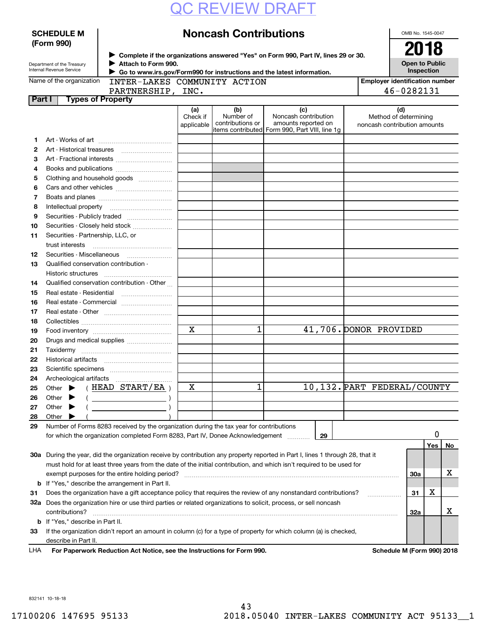|        | <b>SCHEDULE M</b>                                      |                                                                                                                                |                        | <b>Noncash Contributions</b>                                                     |                                             |    |                                                       | OMB No. 1545-0047                   |     |    |
|--------|--------------------------------------------------------|--------------------------------------------------------------------------------------------------------------------------------|------------------------|----------------------------------------------------------------------------------|---------------------------------------------|----|-------------------------------------------------------|-------------------------------------|-----|----|
|        | (Form 990)                                             |                                                                                                                                |                        |                                                                                  |                                             |    |                                                       | 2018                                |     |    |
|        |                                                        | > Complete if the organizations answered "Yes" on Form 990, Part IV, lines 29 or 30.                                           |                        |                                                                                  |                                             |    |                                                       |                                     |     |    |
|        | Department of the Treasury<br>Internal Revenue Service | Attach to Form 990.                                                                                                            |                        |                                                                                  |                                             |    |                                                       | <b>Open to Public</b><br>Inspection |     |    |
|        | Name of the organization                               | Go to www.irs.gov/Form990 for instructions and the latest information.<br>INTER-LAKES COMMUNITY ACTION                         |                        |                                                                                  |                                             |    | <b>Employer identification number</b>                 |                                     |     |    |
|        |                                                        | PARTNERSHIP, INC.                                                                                                              |                        |                                                                                  |                                             |    |                                                       | 46-0282131                          |     |    |
| Part I | <b>Types of Property</b>                               |                                                                                                                                |                        |                                                                                  |                                             |    |                                                       |                                     |     |    |
|        |                                                        |                                                                                                                                | (a)                    | (b)                                                                              | (c)                                         |    | (d)                                                   |                                     |     |    |
|        |                                                        |                                                                                                                                | Check if<br>applicable | Number of<br>contributions or<br>litems contributed Form 990, Part VIII, line 1g | Noncash contribution<br>amounts reported on |    | Method of determining<br>noncash contribution amounts |                                     |     |    |
| 1      |                                                        |                                                                                                                                |                        |                                                                                  |                                             |    |                                                       |                                     |     |    |
| 2      |                                                        |                                                                                                                                |                        |                                                                                  |                                             |    |                                                       |                                     |     |    |
| з      |                                                        | Art - Fractional interests                                                                                                     |                        |                                                                                  |                                             |    |                                                       |                                     |     |    |
| 4      |                                                        | Books and publications                                                                                                         |                        |                                                                                  |                                             |    |                                                       |                                     |     |    |
| 5      |                                                        | Clothing and household goods                                                                                                   |                        |                                                                                  |                                             |    |                                                       |                                     |     |    |
| 6      |                                                        |                                                                                                                                |                        |                                                                                  |                                             |    |                                                       |                                     |     |    |
| 7      |                                                        |                                                                                                                                |                        |                                                                                  |                                             |    |                                                       |                                     |     |    |
| 8      |                                                        |                                                                                                                                |                        |                                                                                  |                                             |    |                                                       |                                     |     |    |
| 9      |                                                        | Securities - Publicly traded                                                                                                   |                        |                                                                                  |                                             |    |                                                       |                                     |     |    |
| 10     |                                                        | Securities - Closely held stock                                                                                                |                        |                                                                                  |                                             |    |                                                       |                                     |     |    |
| 11     | Securities - Partnership, LLC, or<br>trust interests   |                                                                                                                                |                        |                                                                                  |                                             |    |                                                       |                                     |     |    |
| 12     |                                                        | Securities - Miscellaneous                                                                                                     |                        |                                                                                  |                                             |    |                                                       |                                     |     |    |
| 13     | Qualified conservation contribution -                  |                                                                                                                                |                        |                                                                                  |                                             |    |                                                       |                                     |     |    |
|        | Historic structures                                    |                                                                                                                                |                        |                                                                                  |                                             |    |                                                       |                                     |     |    |
| 14     |                                                        | Qualified conservation contribution - Other                                                                                    |                        |                                                                                  |                                             |    |                                                       |                                     |     |    |
| 15     | Real estate - Residential                              |                                                                                                                                |                        |                                                                                  |                                             |    |                                                       |                                     |     |    |
| 16     |                                                        | Real estate - Commercial                                                                                                       |                        |                                                                                  |                                             |    |                                                       |                                     |     |    |
| 17     |                                                        |                                                                                                                                |                        |                                                                                  |                                             |    |                                                       |                                     |     |    |
| 18     |                                                        |                                                                                                                                |                        |                                                                                  |                                             |    |                                                       |                                     |     |    |
| 19     |                                                        |                                                                                                                                | X                      | 1                                                                                |                                             |    | 41,706. DONOR PROVIDED                                |                                     |     |    |
| 20     |                                                        | Drugs and medical supplies                                                                                                     |                        |                                                                                  |                                             |    |                                                       |                                     |     |    |
| 21     |                                                        |                                                                                                                                |                        |                                                                                  |                                             |    |                                                       |                                     |     |    |
| 22     |                                                        |                                                                                                                                |                        |                                                                                  |                                             |    |                                                       |                                     |     |    |
| 23     |                                                        |                                                                                                                                |                        |                                                                                  |                                             |    |                                                       |                                     |     |    |
| 24     | Archeological artifacts                                |                                                                                                                                |                        |                                                                                  |                                             |    |                                                       |                                     |     |    |
| 25     | Other                                                  | HEAD START/EA $\rangle$                                                                                                        | X                      | 1                                                                                |                                             |    | 10,132. PART FEDERAL/COUNTY                           |                                     |     |    |
| 26     | Other                                                  |                                                                                                                                |                        |                                                                                  |                                             |    |                                                       |                                     |     |    |
| 27     | Other                                                  |                                                                                                                                |                        |                                                                                  |                                             |    |                                                       |                                     |     |    |
| 28     | Other                                                  |                                                                                                                                |                        |                                                                                  |                                             |    |                                                       |                                     |     |    |
| 29     |                                                        | Number of Forms 8283 received by the organization during the tax year for contributions                                        |                        |                                                                                  |                                             |    |                                                       |                                     |     |    |
|        |                                                        | for which the organization completed Form 8283, Part IV, Donee Acknowledgement                                                 |                        |                                                                                  |                                             | 29 |                                                       |                                     | 0   |    |
|        |                                                        |                                                                                                                                |                        |                                                                                  |                                             |    |                                                       |                                     | Yes | No |
|        |                                                        | 30a During the year, did the organization receive by contribution any property reported in Part I, lines 1 through 28, that it |                        |                                                                                  |                                             |    |                                                       |                                     |     |    |
|        |                                                        | must hold for at least three years from the date of the initial contribution, and which isn't required to be used for          |                        |                                                                                  |                                             |    |                                                       |                                     |     |    |
|        |                                                        | exempt purposes for the entire holding period?                                                                                 |                        |                                                                                  |                                             |    |                                                       | 30a                                 |     | х  |
|        |                                                        | <b>b</b> If "Yes," describe the arrangement in Part II.                                                                        |                        |                                                                                  |                                             |    |                                                       |                                     | х   |    |
| 31     |                                                        | Does the organization have a gift acceptance policy that requires the review of any nonstandard contributions?                 |                        |                                                                                  |                                             |    |                                                       | 31                                  |     |    |
|        |                                                        | 32a Does the organization hire or use third parties or related organizations to solicit, process, or sell noncash              |                        |                                                                                  |                                             |    |                                                       |                                     |     | х  |
|        | contributions?                                         |                                                                                                                                |                        |                                                                                  |                                             |    |                                                       | 32a                                 |     |    |
|        | <b>b</b> If "Yes," describe in Part II.                |                                                                                                                                |                        |                                                                                  |                                             |    |                                                       |                                     |     |    |
| 33     |                                                        | If the organization didn't report an amount in column (c) for a type of property for which column (a) is checked,              |                        |                                                                                  |                                             |    |                                                       |                                     |     |    |
|        | describe in Part II.                                   |                                                                                                                                |                        |                                                                                  |                                             |    |                                                       |                                     |     |    |
| LHA    |                                                        | For Paperwork Reduction Act Notice, see the Instructions for Form 990.                                                         |                        |                                                                                  |                                             |    | Schedule M (Form 990) 2018                            |                                     |     |    |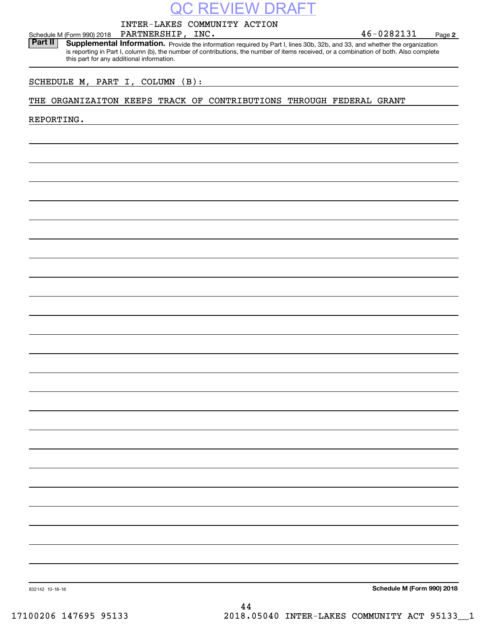|                                       |                                           | QC REVIEW DRAFT                                                                                                                                                                                                                                                      |                            |
|---------------------------------------|-------------------------------------------|----------------------------------------------------------------------------------------------------------------------------------------------------------------------------------------------------------------------------------------------------------------------|----------------------------|
|                                       |                                           | INTER-LAKES COMMUNITY ACTION                                                                                                                                                                                                                                         |                            |
| Schedule M (Form 990) 2018<br>Part II | PARTNERSHIP, INC.                         |                                                                                                                                                                                                                                                                      | 46-0282131<br>Page 2       |
|                                       | this part for any additional information. | Supplemental Information. Provide the information required by Part I, lines 30b, 32b, and 33, and whether the organization<br>is reporting in Part I, column (b), the number of contributions, the number of items received, or a combination of both. Also complete |                            |
| SCHEDULE M, PART I, COLUMN (B):       |                                           |                                                                                                                                                                                                                                                                      |                            |
|                                       |                                           | THE ORGANIZAITON KEEPS TRACK OF CONTRIBUTIONS THROUGH FEDERAL GRANT                                                                                                                                                                                                  |                            |
| REPORTING.                            |                                           |                                                                                                                                                                                                                                                                      |                            |
|                                       |                                           |                                                                                                                                                                                                                                                                      |                            |
|                                       |                                           |                                                                                                                                                                                                                                                                      |                            |
|                                       |                                           |                                                                                                                                                                                                                                                                      |                            |
|                                       |                                           |                                                                                                                                                                                                                                                                      |                            |
|                                       |                                           |                                                                                                                                                                                                                                                                      |                            |
|                                       |                                           |                                                                                                                                                                                                                                                                      |                            |
|                                       |                                           |                                                                                                                                                                                                                                                                      |                            |
|                                       |                                           |                                                                                                                                                                                                                                                                      |                            |
|                                       |                                           |                                                                                                                                                                                                                                                                      |                            |
|                                       |                                           |                                                                                                                                                                                                                                                                      |                            |
|                                       |                                           |                                                                                                                                                                                                                                                                      |                            |
|                                       |                                           |                                                                                                                                                                                                                                                                      |                            |
|                                       |                                           |                                                                                                                                                                                                                                                                      |                            |
|                                       |                                           |                                                                                                                                                                                                                                                                      |                            |
|                                       |                                           |                                                                                                                                                                                                                                                                      |                            |
|                                       |                                           |                                                                                                                                                                                                                                                                      |                            |
|                                       |                                           |                                                                                                                                                                                                                                                                      |                            |
|                                       |                                           |                                                                                                                                                                                                                                                                      |                            |
|                                       |                                           |                                                                                                                                                                                                                                                                      |                            |
|                                       |                                           |                                                                                                                                                                                                                                                                      |                            |
|                                       |                                           |                                                                                                                                                                                                                                                                      |                            |
|                                       |                                           |                                                                                                                                                                                                                                                                      |                            |
|                                       |                                           |                                                                                                                                                                                                                                                                      |                            |
|                                       |                                           |                                                                                                                                                                                                                                                                      |                            |
| 832142 10-18-18                       |                                           |                                                                                                                                                                                                                                                                      | Schedule M (Form 990) 2018 |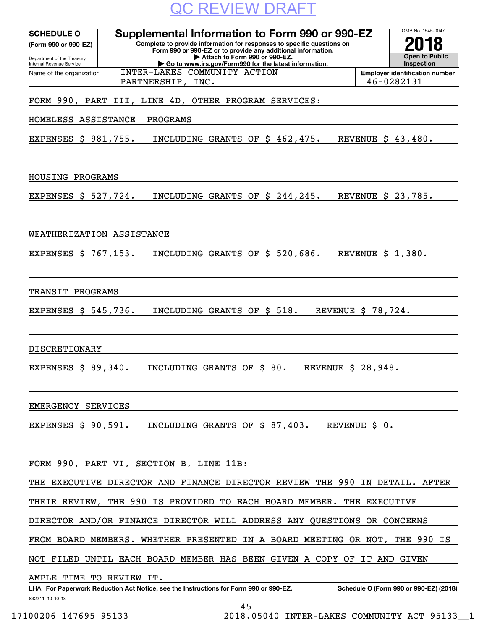

| <b>SCHEDULE O</b><br>(Form 990 or 990-EZ)<br>Department of the Treasury<br>Internal Revenue Service | Supplemental Information to Form 990 or 990-EZ<br>Complete to provide information for responses to specific questions on<br>Form 990 or 990-EZ or to provide any additional information.<br>Attach to Form 990 or 990-EZ.<br>Go to www.irs.gov/Form990 for the latest information. | OMB No. 1545-0047<br><b>Open to Public</b><br>Inspection |
|-----------------------------------------------------------------------------------------------------|------------------------------------------------------------------------------------------------------------------------------------------------------------------------------------------------------------------------------------------------------------------------------------|----------------------------------------------------------|
| Name of the organization                                                                            | INTER-LAKES COMMUNITY ACTION                                                                                                                                                                                                                                                       | <b>Employer identification number</b>                    |
|                                                                                                     | PARTNERSHIP, INC.                                                                                                                                                                                                                                                                  | 46-0282131                                               |
|                                                                                                     | FORM 990, PART III, LINE 4D, OTHER PROGRAM SERVICES:                                                                                                                                                                                                                               |                                                          |
| HOMELESS ASSISTANCE                                                                                 | PROGRAMS                                                                                                                                                                                                                                                                           |                                                          |
| EXPENSES \$ 981,755.                                                                                | INCLUDING GRANTS OF \$ 462,475.                                                                                                                                                                                                                                                    | REVENUE \$ 43,480.                                       |
| HOUSING PROGRAMS                                                                                    |                                                                                                                                                                                                                                                                                    |                                                          |
| EXPENSES \$ 527,724.                                                                                | INCLUDING GRANTS OF \$ 244,245.                                                                                                                                                                                                                                                    | REVENUE \$ 23,785.                                       |
| WEATHERIZATION ASSISTANCE                                                                           |                                                                                                                                                                                                                                                                                    |                                                          |
| EXPENSES \$ 767,153.                                                                                | INCLUDING GRANTS OF \$ 520,686.                                                                                                                                                                                                                                                    | REVENUE \$ 1,380.                                        |
| TRANSIT<br>PROGRAMS                                                                                 |                                                                                                                                                                                                                                                                                    |                                                          |
| EXPENSES \$ 545,736.                                                                                | \$518.<br>INCLUDING GRANTS OF                                                                                                                                                                                                                                                      | REVENUE \$ 78,724.                                       |
| <b>DISCRETIONARY</b>                                                                                |                                                                                                                                                                                                                                                                                    |                                                          |
| <b>EXPENSES \$ 89,340.</b>                                                                          | INCLUDING GRANTS OF \$ 80.                                                                                                                                                                                                                                                         | REVENUE \$ 28,948.                                       |
| EMERGENCY SERVICES                                                                                  |                                                                                                                                                                                                                                                                                    |                                                          |
| EXPENSES $$90,591.$                                                                                 | INCLUDING GRANTS OF \$87,403.                                                                                                                                                                                                                                                      | REVENUE \$<br>0.                                         |
|                                                                                                     | FORM 990, PART VI, SECTION B, LINE 11B:                                                                                                                                                                                                                                            |                                                          |
|                                                                                                     | THE EXECUTIVE DIRECTOR AND FINANCE DIRECTOR REVIEW THE 990 IN DETAIL. AFTER                                                                                                                                                                                                        |                                                          |
|                                                                                                     | THEIR REVIEW, THE 990 IS PROVIDED TO EACH BOARD MEMBER. THE EXECUTIVE                                                                                                                                                                                                              |                                                          |
|                                                                                                     | DIRECTOR AND/OR FINANCE DIRECTOR WILL ADDRESS ANY QUESTIONS OR CONCERNS                                                                                                                                                                                                            |                                                          |
|                                                                                                     | FROM BOARD MEMBERS. WHETHER PRESENTED IN A BOARD MEETING OR NOT, THE 990 IS                                                                                                                                                                                                        |                                                          |
|                                                                                                     | NOT FILED UNTIL EACH BOARD MEMBER HAS BEEN GIVEN A COPY OF IT AND GIVEN                                                                                                                                                                                                            |                                                          |
| AMPLE TIME TO REVIEW IT.                                                                            | LHA For Paperwork Reduction Act Notice, see the Instructions for Form 990 or 990-EZ.                                                                                                                                                                                               | Schedule O (Form 990 or 990-EZ) (2018)                   |

832211 10-10-18

45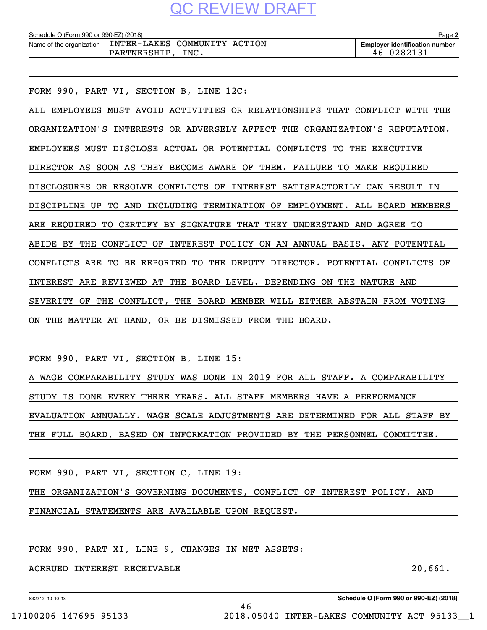| Schedule O (Form 990 or 990-EZ) (2018) |                              |  | Page                                  |
|----------------------------------------|------------------------------|--|---------------------------------------|
| Name of the organization               | INTER-LAKES COMMUNITY ACTION |  | <b>Emplover identification number</b> |

FORM 990, PART VI, SECTION B, LINE 12C:

ALL EMPLOYEES MUST AVOID ACTIVITIES OR RELATIONSHIPS THAT CONFLICT WITH THE ORGANIZATION'S INTERESTS OR ADVERSELY AFFECT THE ORGANIZATION'S REPUTATION. EMPLOYEES MUST DISCLOSE ACTUAL OR POTENTIAL CONFLICTS TO THE EXECUTIVE DIRECTOR AS SOON AS THEY BECOME AWARE OF THEM. FAILURE TO MAKE REQUIRED DISCLOSURES OR RESOLVE CONFLICTS OF INTEREST SATISFACTORILY CAN RESULT IN DISCIPLINE UP TO AND INCLUDING TERMINATION OF EMPLOYMENT. ALL BOARD MEMBERS ARE REQUIRED TO CERTIFY BY SIGNATURE THAT THEY UNDERSTAND AND AGREE TO ABIDE BY THE CONFLICT OF INTEREST POLICY ON AN ANNUAL BASIS. ANY POTENTIAL CONFLICTS ARE TO BE REPORTED TO THE DEPUTY DIRECTOR. POTENTIAL CONFLICTS OF INTEREST ARE REVIEWED AT THE BOARD LEVEL. DEPENDING ON THE NATURE AND SEVERITY OF THE CONFLICT, THE BOARD MEMBER WILL EITHER ABSTAIN FROM VOTING ON THE MATTER AT HAND, OR BE DISMISSED FROM THE BOARD.

FORM 990, PART VI, SECTION B, LINE 15:

A WAGE COMPARABILITY STUDY WAS DONE IN 2019 FOR ALL STAFF. A COMPARABILITY STUDY IS DONE EVERY THREE YEARS. ALL STAFF MEMBERS HAVE A PERFORMANCE EVALUATION ANNUALLY. WAGE SCALE ADJUSTMENTS ARE DETERMINED FOR ALL STAFF BY THE FULL BOARD, BASED ON INFORMATION PROVIDED BY THE PERSONNEL COMMITTEE.

FORM 990, PART VI, SECTION C, LINE 19:

THE ORGANIZATION'S GOVERNING DOCUMENTS, CONFLICT OF INTEREST POLICY, AND

FINANCIAL STATEMENTS ARE AVAILABLE UPON REQUEST.

FORM 990, PART XI, LINE 9, CHANGES IN NET ASSETS:

ACRRUED INTEREST RECEIVABLE **20,000 and 20,000 and 20,000 and 20,000 and 20,000 and 20,000 and 20,000 and 20,000 and 20,000 and 20,000 and 20,000 and 20,000 and 20,000 and 20,000 and 20,000 and 20,000 and 20,000 and 20,000**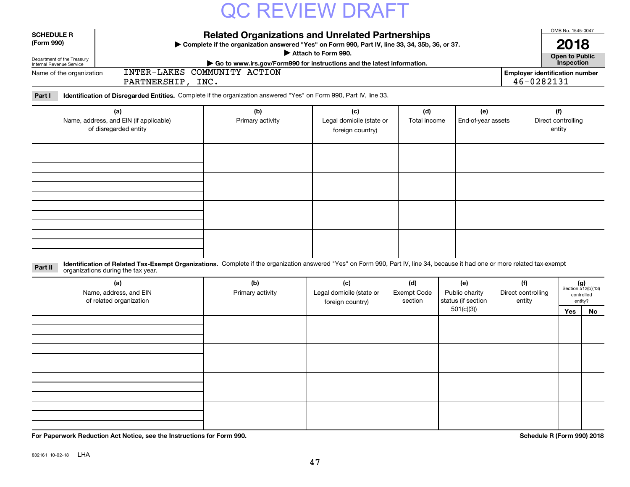| <b>Related Organizations and Unrelated Partnerships</b><br><b>SCHEDULE R</b><br>(Form 990)<br>> Complete if the organization answered "Yes" on Form 990, Part IV, line 33, 34, 35b, 36, or 37.<br>Attach to Form 990.<br>Department of the Treasury<br>Go to www.irs.gov/Form990 for instructions and the latest information.<br>Internal Revenue Service<br>INTER-LAKES COMMUNITY ACTION<br><b>Employer identification number</b><br>Name of the organization<br>46-0282131<br>PARTNERSHIP, INC. |                                                                                                                    |                         |                                                     |                     |                           |                                     |  |
|---------------------------------------------------------------------------------------------------------------------------------------------------------------------------------------------------------------------------------------------------------------------------------------------------------------------------------------------------------------------------------------------------------------------------------------------------------------------------------------------------|--------------------------------------------------------------------------------------------------------------------|-------------------------|-----------------------------------------------------|---------------------|---------------------------|-------------------------------------|--|
| Part I                                                                                                                                                                                                                                                                                                                                                                                                                                                                                            | Identification of Disregarded Entities. Complete if the organization answered "Yes" on Form 990, Part IV, line 33. |                         |                                                     |                     |                           |                                     |  |
|                                                                                                                                                                                                                                                                                                                                                                                                                                                                                                   | (a)<br>Name, address, and EIN (if applicable)<br>of disregarded entity                                             | (b)<br>Primary activity | (c)<br>Legal domicile (state or<br>foreign country) | (d)<br>Total income | (e)<br>End-of-year assets | (f)<br>Direct controlling<br>entity |  |
|                                                                                                                                                                                                                                                                                                                                                                                                                                                                                                   |                                                                                                                    |                         |                                                     |                     |                           |                                     |  |
|                                                                                                                                                                                                                                                                                                                                                                                                                                                                                                   |                                                                                                                    |                         |                                                     |                     |                           |                                     |  |
|                                                                                                                                                                                                                                                                                                                                                                                                                                                                                                   |                                                                                                                    |                         |                                                     |                     |                           |                                     |  |

#### **Identification of Related Tax-Exempt Organizations.** Complete if the organization answered "Yes" on Form 990, Part IV, line 34, because it had one or more related tax-exempt **Part II** organizations during the tax year.

| (a)<br>Name, address, and EIN<br>of related organization | (b)<br>Primary activity | (c)<br>Legal domicile (state or<br><b>Exempt Code</b><br>foreign country) |  | (e)<br>Public charity<br>status (if section | (f)<br>Direct controlling<br>entity |     | $(g)$<br>Section 512(b)(13)<br>controlled<br>entity? |
|----------------------------------------------------------|-------------------------|---------------------------------------------------------------------------|--|---------------------------------------------|-------------------------------------|-----|------------------------------------------------------|
|                                                          |                         |                                                                           |  | 501(c)(3))                                  |                                     | Yes | No                                                   |
|                                                          |                         |                                                                           |  |                                             |                                     |     |                                                      |
|                                                          |                         |                                                                           |  |                                             |                                     |     |                                                      |
|                                                          |                         |                                                                           |  |                                             |                                     |     |                                                      |
|                                                          |                         |                                                                           |  |                                             |                                     |     |                                                      |

**For Paperwork Reduction Act Notice, see the Instructions for Form 990. Schedule R (Form 990) 2018**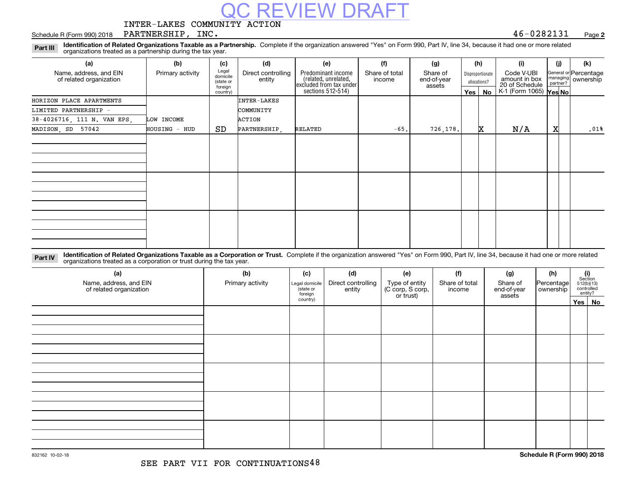INTER-LAKES COMMUNITY ACTION

#### Schedule R (Form 990) 2018 Page PARTNERSHIP, INC. 46-0282131

**2**

**Identification of Related Organizations Taxable as a Partnership.** Complete if the organization answered "Yes" on Form 990, Part IV, line 34, because it had one or more related **Part III** organizations treated as a partnership during the tax year.

**C REVIEW DRAFT** 

| (a)                                               | (b)              | (c)                                       | (d)                          | (e)                                                                                        | (f)                      | (g)                               |         | (h)                              | (i)                                           | (i) | (k)                                         |
|---------------------------------------------------|------------------|-------------------------------------------|------------------------------|--------------------------------------------------------------------------------------------|--------------------------|-----------------------------------|---------|----------------------------------|-----------------------------------------------|-----|---------------------------------------------|
| Name, address, and EIN<br>of related organization | Primary activity | Legal<br>domicile<br>(state or<br>foreign | Direct controlling<br>entity | Predominant income<br>(related, unrelated,<br>excluded from tax under<br>sections 512-514) | Share of total<br>income | Share of<br>end-of-year<br>assets |         | Disproportionate<br>allocations? | Code V-UBI<br>amount in box<br>20 of Schedule |     | General or Percentage<br>managing ownership |
|                                                   |                  | country)                                  |                              |                                                                                            |                          |                                   | Yes $ $ | No                               | K-1 (Form 1065) Yes No                        |     |                                             |
| HORIZON PLACE APARTMENTS                          |                  |                                           | INTER-LAKES                  |                                                                                            |                          |                                   |         |                                  |                                               |     |                                             |
| LIMITED PARTNERSHIP -                             |                  |                                           | COMMUNITY                    |                                                                                            |                          |                                   |         |                                  |                                               |     |                                             |
| 38-4026716, 111 N. VAN EPS,                       | LOW INCOME       |                                           | ACTION                       |                                                                                            |                          |                                   |         |                                  |                                               |     |                                             |
| MADISON, SD 57042                                 | HOUSING - HUD    | SD                                        | PARTNERSHIP,                 | RELATED                                                                                    | $-65.$                   | 726,178.                          |         | X.                               | N/A                                           | x   | .01%                                        |
|                                                   |                  |                                           |                              |                                                                                            |                          |                                   |         |                                  |                                               |     |                                             |
|                                                   |                  |                                           |                              |                                                                                            |                          |                                   |         |                                  |                                               |     |                                             |
|                                                   |                  |                                           |                              |                                                                                            |                          |                                   |         |                                  |                                               |     |                                             |
|                                                   |                  |                                           |                              |                                                                                            |                          |                                   |         |                                  |                                               |     |                                             |
|                                                   |                  |                                           |                              |                                                                                            |                          |                                   |         |                                  |                                               |     |                                             |
|                                                   |                  |                                           |                              |                                                                                            |                          |                                   |         |                                  |                                               |     |                                             |
|                                                   |                  |                                           |                              |                                                                                            |                          |                                   |         |                                  |                                               |     |                                             |
|                                                   |                  |                                           |                              |                                                                                            |                          |                                   |         |                                  |                                               |     |                                             |
|                                                   |                  |                                           |                              |                                                                                            |                          |                                   |         |                                  |                                               |     |                                             |
|                                                   |                  |                                           |                              |                                                                                            |                          |                                   |         |                                  |                                               |     |                                             |
|                                                   |                  |                                           |                              |                                                                                            |                          |                                   |         |                                  |                                               |     |                                             |
|                                                   |                  |                                           |                              |                                                                                            |                          |                                   |         |                                  |                                               |     |                                             |

**Identification of Related Organizations Taxable as a Corporation or Trust.** Complete if the organization answered "Yes" on Form 990, Part IV, line 34, because it had one or more related **Part IV** organizations treated as a corporation or trust during the tax year.

| (a)<br>Name, address, and EIN<br>of related organization | (b)<br>Primary activity | (c)<br>Legal domicile<br>(state or<br>foreign | (d)<br>Direct controlling<br>entity | (e)<br>Type of entity<br>(C corp, S corp,<br>or trust) | (f)<br>Share of total<br>income | (g)<br>Share of<br>end-of-year<br>assets | (h)<br>Percentage<br>ownership | $\begin{array}{c} \textbf{(i)}\\ \text{Section}\\ 512 \text{(b)} \text{(13)}\\ \text{controlled}\\ \text{entity?} \end{array}$ |  |
|----------------------------------------------------------|-------------------------|-----------------------------------------------|-------------------------------------|--------------------------------------------------------|---------------------------------|------------------------------------------|--------------------------------|--------------------------------------------------------------------------------------------------------------------------------|--|
|                                                          |                         | country)                                      |                                     |                                                        |                                 |                                          |                                | Yes No                                                                                                                         |  |
|                                                          |                         |                                               |                                     |                                                        |                                 |                                          |                                |                                                                                                                                |  |
|                                                          |                         |                                               |                                     |                                                        |                                 |                                          |                                |                                                                                                                                |  |
|                                                          |                         |                                               |                                     |                                                        |                                 |                                          |                                |                                                                                                                                |  |
|                                                          |                         |                                               |                                     |                                                        |                                 |                                          |                                |                                                                                                                                |  |
|                                                          |                         |                                               |                                     |                                                        |                                 |                                          |                                |                                                                                                                                |  |
|                                                          |                         |                                               |                                     |                                                        |                                 |                                          |                                |                                                                                                                                |  |
|                                                          |                         |                                               |                                     |                                                        |                                 |                                          |                                |                                                                                                                                |  |
|                                                          |                         |                                               |                                     |                                                        |                                 |                                          |                                |                                                                                                                                |  |
|                                                          |                         |                                               |                                     |                                                        |                                 |                                          |                                |                                                                                                                                |  |
|                                                          |                         |                                               |                                     |                                                        |                                 |                                          |                                |                                                                                                                                |  |
|                                                          |                         |                                               |                                     |                                                        |                                 |                                          |                                |                                                                                                                                |  |
|                                                          |                         |                                               |                                     |                                                        |                                 |                                          |                                |                                                                                                                                |  |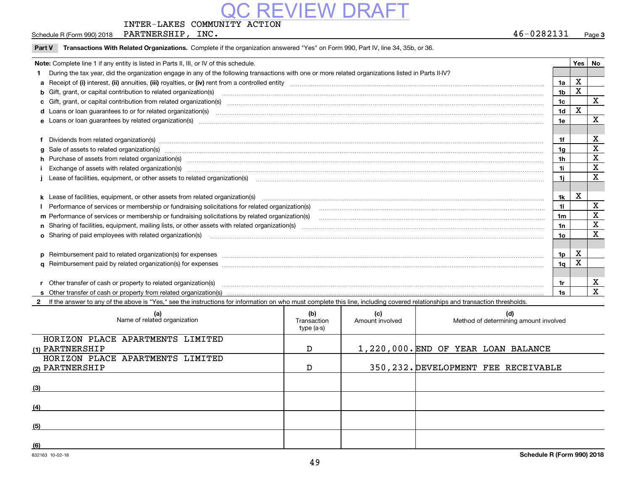### INTER-LAKES COMMUNITY ACTION

Schedule R (Form 990) 2018 Page PARTNERSHIP, INC. 46-0282131

Name of related organization  $\vert$  Transaction

**(1)**PARTNERSHIP

HORIZON PLACE APARTMENTS LIMITED

HORIZON PLACE APARTMENTS LIMITED

**(2)**PARTNERSHIP

**(3)**

**(4)**

**(5)**

**(6)**

Page 3

Amount involved | Method of determining amount involved

1,220,000. END OF YEAR LOAN BALANCE

350,232. DEVELOPMENT FEE RECEIVABLE

### 49

| Part V                                                                                  | Transactions With Related Organizations. Complete if the organization answered "Yes" on Form 990, Part IV, line 34, 35b, or 36.                                                                                                |                |              |             |  |
|-----------------------------------------------------------------------------------------|--------------------------------------------------------------------------------------------------------------------------------------------------------------------------------------------------------------------------------|----------------|--------------|-------------|--|
| Note: Complete line 1 if any entity is listed in Parts II, III, or IV of this schedule. |                                                                                                                                                                                                                                |                |              |             |  |
|                                                                                         | During the tax year, did the organization engage in any of the following transactions with one or more related organizations listed in Parts II-IV?                                                                            |                |              |             |  |
|                                                                                         |                                                                                                                                                                                                                                | 1a             | X            |             |  |
|                                                                                         | b Gift, grant, or capital contribution to related organization(s) manufactured and contribution to related organization(s)                                                                                                     | 1 <sub>b</sub> | X            |             |  |
|                                                                                         | c Gift, grant, or capital contribution from related organization(s) CONCORRECT CONSERVITY OF Gift, grant, or capital contribution from related organization(s)                                                                 | 1 <sub>c</sub> |              | $\mathbf X$ |  |
|                                                                                         |                                                                                                                                                                                                                                | 1 <sub>d</sub> | $\mathbf{x}$ |             |  |
|                                                                                         | e Loans or loan guarantees by related organization(s) manufaction contraction and contract the contract of the contract or contract or contract or contract or contract or contract or contract or contract or contract or con | 1e             |              | X           |  |
|                                                                                         |                                                                                                                                                                                                                                |                |              |             |  |
|                                                                                         | Dividends from related organization(s) manufactured and contract and contract and contract and contract and contract and contract and contract and contract and contract and contract and contract and contract and contract a | 1f             |              | х           |  |
|                                                                                         | g Sale of assets to related organization(s) manufactured content and content and content and content and content and content and content and content and content and content and content and content and content and content a | 1 <sub>g</sub> |              | $\mathbf X$ |  |
|                                                                                         |                                                                                                                                                                                                                                | 1 <sub>h</sub> |              | X           |  |
|                                                                                         |                                                                                                                                                                                                                                | 1i.            |              | $\mathbf X$ |  |
|                                                                                         | Lease of facilities, equipment, or other assets to related organization(s) material content and content and content and content and content and content and content and content and content and content and content and conten | 11             |              | $\mathbf X$ |  |
|                                                                                         |                                                                                                                                                                                                                                |                |              |             |  |
|                                                                                         |                                                                                                                                                                                                                                | 1k             | Χ            |             |  |
|                                                                                         |                                                                                                                                                                                                                                | 11             |              | X           |  |
|                                                                                         |                                                                                                                                                                                                                                | 1m             |              | X           |  |
|                                                                                         |                                                                                                                                                                                                                                | 1n             |              | X           |  |
|                                                                                         | o Sharing of paid employees with related organization(s) manufactured and content to the content of the content of the content of the content of the content of the content of the content of the content of the content of th | 10             |              | х           |  |
|                                                                                         |                                                                                                                                                                                                                                |                |              |             |  |
|                                                                                         |                                                                                                                                                                                                                                | 1p             | Χ            |             |  |
|                                                                                         |                                                                                                                                                                                                                                | 1q             | X            |             |  |
|                                                                                         |                                                                                                                                                                                                                                |                |              |             |  |
|                                                                                         |                                                                                                                                                                                                                                | 1r             |              | x           |  |
|                                                                                         |                                                                                                                                                                                                                                | 1s             |              | X           |  |
|                                                                                         | 2 If the answer to any of the above is "Yes," see the instructions for information on who must complete this line, including covered relationships and transaction thresholds.                                                 |                |              |             |  |

**(a) (b) (c) (d)**

type (a-s)

D

D

# REVIEW DRA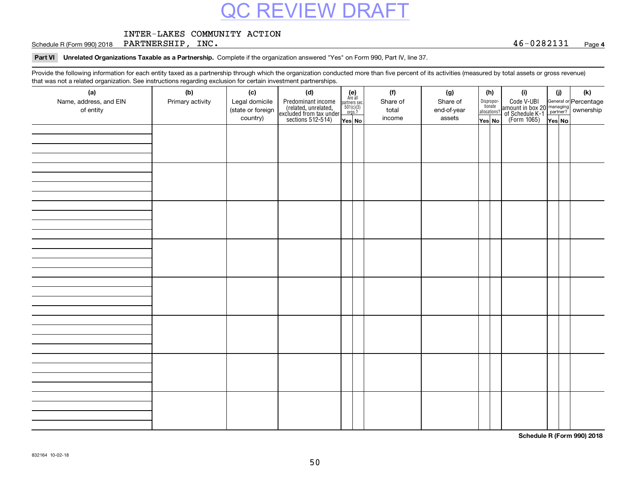### INTER-LAKES COMMUNITY ACTION

Schedule R (Form 990) 2018 Page PARTNERSHIP, INC. 46-0282131

### **4**

### **Part VI Unrelated Organizations Taxable as a Partnership.**  Complete if the organization answered "Yes" on Form 990, Part IV, line 37.

Provide the following information for each entity taxed as a partnership through which the organization conducted more than five percent of its activities (measured by total assets or gross revenue) that was not a related organization. See instructions regarding exclusion for certain investment partnerships.

| (a)<br>Name, address, and EIN<br>of entity | (b)<br>Primary activity | (c)<br>Legal domicile<br>(state or foreign<br>country) | (d)<br>Predominant income<br>(related, unrelated,<br>excluded from tax under<br>sections 512-514) | (e)<br>Are all<br>partners sec.<br>$501(c)(3)$<br>$orgs.?$<br>Yes No | (f)<br>Share of<br>total<br>income | (g)<br>Share of<br>end-of-year<br>assets | (h)<br>Dispropor-<br>tionate<br>allocations?<br>Yes No | (i)<br>Code V-UBI<br>amount in box 20 managing<br>of Schedule K-1 partner?<br>(Form 1065)<br>ves No | (i) | (k) |
|--------------------------------------------|-------------------------|--------------------------------------------------------|---------------------------------------------------------------------------------------------------|----------------------------------------------------------------------|------------------------------------|------------------------------------------|--------------------------------------------------------|-----------------------------------------------------------------------------------------------------|-----|-----|
|                                            |                         |                                                        |                                                                                                   |                                                                      |                                    |                                          |                                                        |                                                                                                     |     |     |
|                                            |                         |                                                        |                                                                                                   |                                                                      |                                    |                                          |                                                        |                                                                                                     |     |     |
|                                            |                         |                                                        |                                                                                                   |                                                                      |                                    |                                          |                                                        |                                                                                                     |     |     |
|                                            |                         |                                                        |                                                                                                   |                                                                      |                                    |                                          |                                                        |                                                                                                     |     |     |
|                                            |                         |                                                        |                                                                                                   |                                                                      |                                    |                                          |                                                        |                                                                                                     |     |     |
|                                            |                         |                                                        |                                                                                                   |                                                                      |                                    |                                          |                                                        |                                                                                                     |     |     |
|                                            |                         |                                                        |                                                                                                   |                                                                      |                                    |                                          |                                                        |                                                                                                     |     |     |
|                                            |                         |                                                        |                                                                                                   |                                                                      |                                    |                                          |                                                        |                                                                                                     |     |     |

**Schedule R (Form 990) 2018**